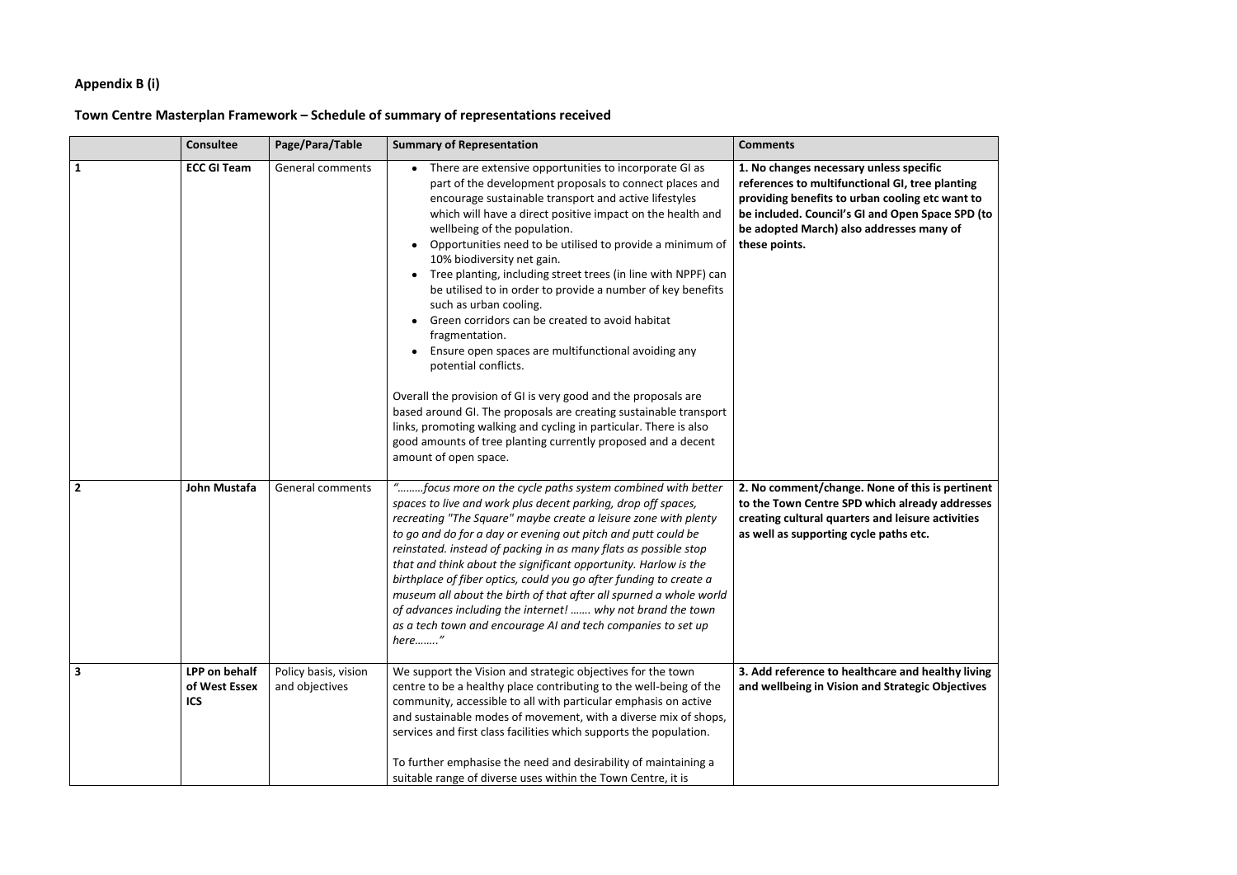## **Appendix B (i)**

## **Town Centre Masterplan Framework – Schedule of summary of representations received**

|                | <b>Consultee</b>                             | Page/Para/Table                        | <b>Summary of Representation</b>                                                                                                                                                                                                                                                                                                                                                                                                                                                                                                                                                                                                                                                                                                                                                                                                                                                                                                                                                          | <b>Comments</b>                                                                                                                                                                                                                                                |
|----------------|----------------------------------------------|----------------------------------------|-------------------------------------------------------------------------------------------------------------------------------------------------------------------------------------------------------------------------------------------------------------------------------------------------------------------------------------------------------------------------------------------------------------------------------------------------------------------------------------------------------------------------------------------------------------------------------------------------------------------------------------------------------------------------------------------------------------------------------------------------------------------------------------------------------------------------------------------------------------------------------------------------------------------------------------------------------------------------------------------|----------------------------------------------------------------------------------------------------------------------------------------------------------------------------------------------------------------------------------------------------------------|
| 1              | <b>ECC GI Team</b>                           | General comments                       | • There are extensive opportunities to incorporate GI as<br>part of the development proposals to connect places and<br>encourage sustainable transport and active lifestyles<br>which will have a direct positive impact on the health and<br>wellbeing of the population.<br>Opportunities need to be utilised to provide a minimum of<br>10% biodiversity net gain.<br>Tree planting, including street trees (in line with NPPF) can<br>be utilised to in order to provide a number of key benefits<br>such as urban cooling.<br>Green corridors can be created to avoid habitat<br>fragmentation.<br>Ensure open spaces are multifunctional avoiding any<br>potential conflicts.<br>Overall the provision of GI is very good and the proposals are<br>based around GI. The proposals are creating sustainable transport<br>links, promoting walking and cycling in particular. There is also<br>good amounts of tree planting currently proposed and a decent<br>amount of open space. | 1. No changes necessary unless specific<br>references to multifunctional GI, tree planting<br>providing benefits to urban cooling etc want to<br>be included. Council's GI and Open Space SPD (to<br>be adopted March) also addresses many of<br>these points. |
| $\overline{2}$ | John Mustafa                                 | General comments                       | "focus more on the cycle paths system combined with better<br>spaces to live and work plus decent parking, drop off spaces,<br>recreating "The Square" maybe create a leisure zone with plenty<br>to go and do for a day or evening out pitch and putt could be<br>reinstated. instead of packing in as many flats as possible stop<br>that and think about the significant opportunity. Harlow is the<br>birthplace of fiber optics, could you go after funding to create a<br>museum all about the birth of that after all spurned a whole world<br>of advances including the internet!  why not brand the town<br>as a tech town and encourage AI and tech companies to set up<br>here"                                                                                                                                                                                                                                                                                                | 2. No comment/change. None of this is pertinent<br>to the Town Centre SPD which already addresses<br>creating cultural quarters and leisure activities<br>as well as supporting cycle paths etc.                                                               |
| $\mathbf{3}$   | LPP on behalf<br>of West Essex<br><b>ICS</b> | Policy basis, vision<br>and objectives | We support the Vision and strategic objectives for the town<br>centre to be a healthy place contributing to the well-being of the<br>community, accessible to all with particular emphasis on active<br>and sustainable modes of movement, with a diverse mix of shops,<br>services and first class facilities which supports the population.<br>To further emphasise the need and desirability of maintaining a<br>suitable range of diverse uses within the Town Centre, it is                                                                                                                                                                                                                                                                                                                                                                                                                                                                                                          | 3. Add reference to healthcare and healthy living<br>and wellbeing in Vision and Strategic Objectives                                                                                                                                                          |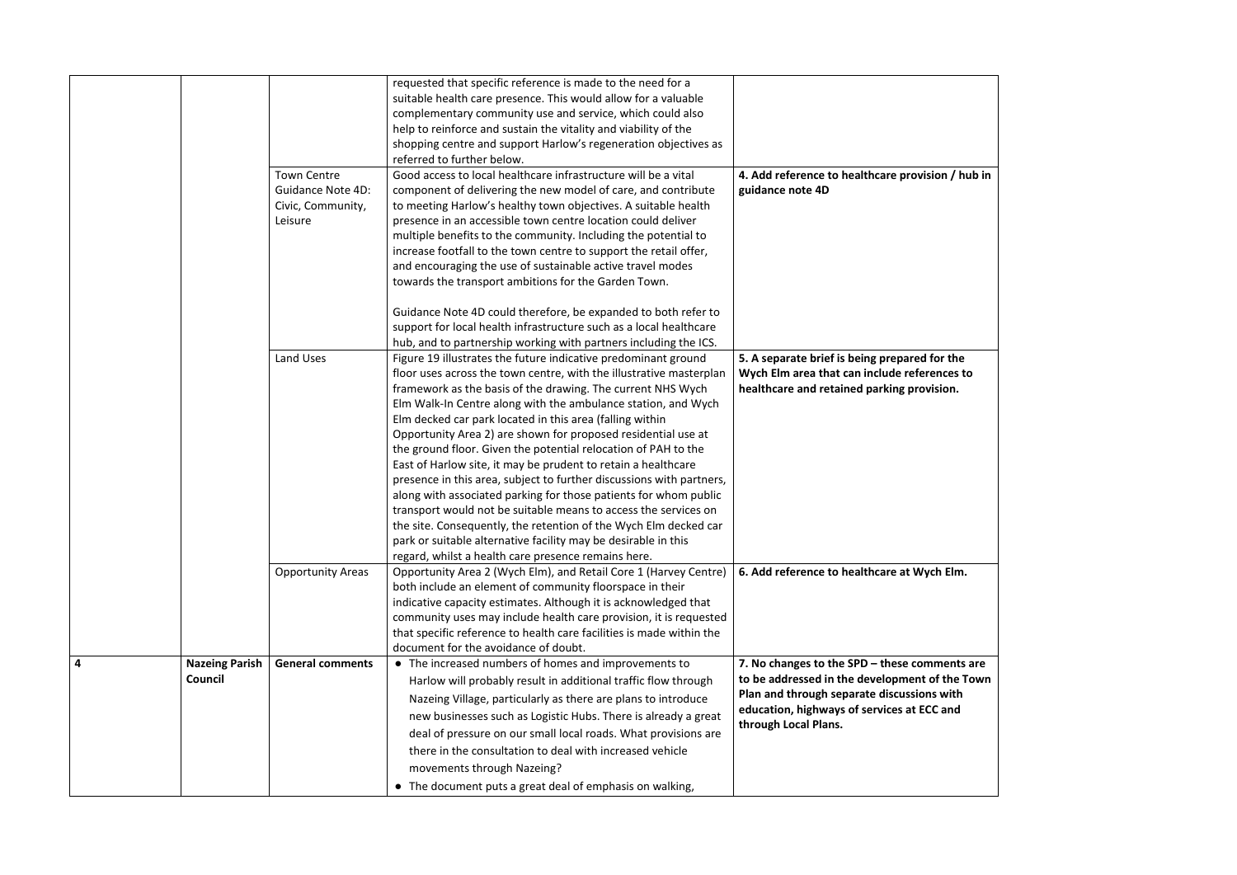|   |                                  |                                                                                | requested that specific reference is made to the need for a<br>suitable health care presence. This would allow for a valuable<br>complementary community use and service, which could also<br>help to reinforce and sustain the vitality and viability of the<br>shopping centre and support Harlow's regeneration objectives as<br>referred to further below.<br>Good access to local healthcare infrastructure will be a vital                                                                                                                                                                                                                                                                                                                                                                                                                                                                                                                  |                                                                                                                                                                                                                       |
|---|----------------------------------|--------------------------------------------------------------------------------|---------------------------------------------------------------------------------------------------------------------------------------------------------------------------------------------------------------------------------------------------------------------------------------------------------------------------------------------------------------------------------------------------------------------------------------------------------------------------------------------------------------------------------------------------------------------------------------------------------------------------------------------------------------------------------------------------------------------------------------------------------------------------------------------------------------------------------------------------------------------------------------------------------------------------------------------------|-----------------------------------------------------------------------------------------------------------------------------------------------------------------------------------------------------------------------|
|   |                                  | <b>Town Centre</b><br><b>Guidance Note 4D:</b><br>Civic, Community,<br>Leisure | component of delivering the new model of care, and contribute<br>to meeting Harlow's healthy town objectives. A suitable health<br>presence in an accessible town centre location could deliver<br>multiple benefits to the community. Including the potential to<br>increase footfall to the town centre to support the retail offer,<br>and encouraging the use of sustainable active travel modes<br>towards the transport ambitions for the Garden Town.                                                                                                                                                                                                                                                                                                                                                                                                                                                                                      | 4. Add reference to healthcare provision / hub in<br>guidance note 4D                                                                                                                                                 |
|   |                                  |                                                                                | Guidance Note 4D could therefore, be expanded to both refer to<br>support for local health infrastructure such as a local healthcare<br>hub, and to partnership working with partners including the ICS.                                                                                                                                                                                                                                                                                                                                                                                                                                                                                                                                                                                                                                                                                                                                          |                                                                                                                                                                                                                       |
|   |                                  | Land Uses                                                                      | Figure 19 illustrates the future indicative predominant ground<br>floor uses across the town centre, with the illustrative masterplan<br>framework as the basis of the drawing. The current NHS Wych<br>Elm Walk-In Centre along with the ambulance station, and Wych<br>Elm decked car park located in this area (falling within<br>Opportunity Area 2) are shown for proposed residential use at<br>the ground floor. Given the potential relocation of PAH to the<br>East of Harlow site, it may be prudent to retain a healthcare<br>presence in this area, subject to further discussions with partners,<br>along with associated parking for those patients for whom public<br>transport would not be suitable means to access the services on<br>the site. Consequently, the retention of the Wych Elm decked car<br>park or suitable alternative facility may be desirable in this<br>regard, whilst a health care presence remains here. | 5. A separate brief is being prepared for the<br>Wych Elm area that can include references to<br>healthcare and retained parking provision.                                                                           |
|   |                                  | <b>Opportunity Areas</b>                                                       | Opportunity Area 2 (Wych Elm), and Retail Core 1 (Harvey Centre)<br>both include an element of community floorspace in their<br>indicative capacity estimates. Although it is acknowledged that<br>community uses may include health care provision, it is requested<br>that specific reference to health care facilities is made within the<br>document for the avoidance of doubt.                                                                                                                                                                                                                                                                                                                                                                                                                                                                                                                                                              | 6. Add reference to healthcare at Wych Elm.                                                                                                                                                                           |
| 4 | <b>Nazeing Parish</b><br>Council | <b>General comments</b>                                                        | • The increased numbers of homes and improvements to<br>Harlow will probably result in additional traffic flow through<br>Nazeing Village, particularly as there are plans to introduce<br>new businesses such as Logistic Hubs. There is already a great<br>deal of pressure on our small local roads. What provisions are<br>there in the consultation to deal with increased vehicle<br>movements through Nazeing?<br>• The document puts a great deal of emphasis on walking,                                                                                                                                                                                                                                                                                                                                                                                                                                                                 | 7. No changes to the SPD $-$ these comments are<br>to be addressed in the development of the Town<br>Plan and through separate discussions with<br>education, highways of services at ECC and<br>through Local Plans. |

| on / hub in                               |  |
|-------------------------------------------|--|
| or the<br>nces to                         |  |
| sion.                                     |  |
| h Elm.                                    |  |
| ments are<br>f the Town<br>s with<br>Cand |  |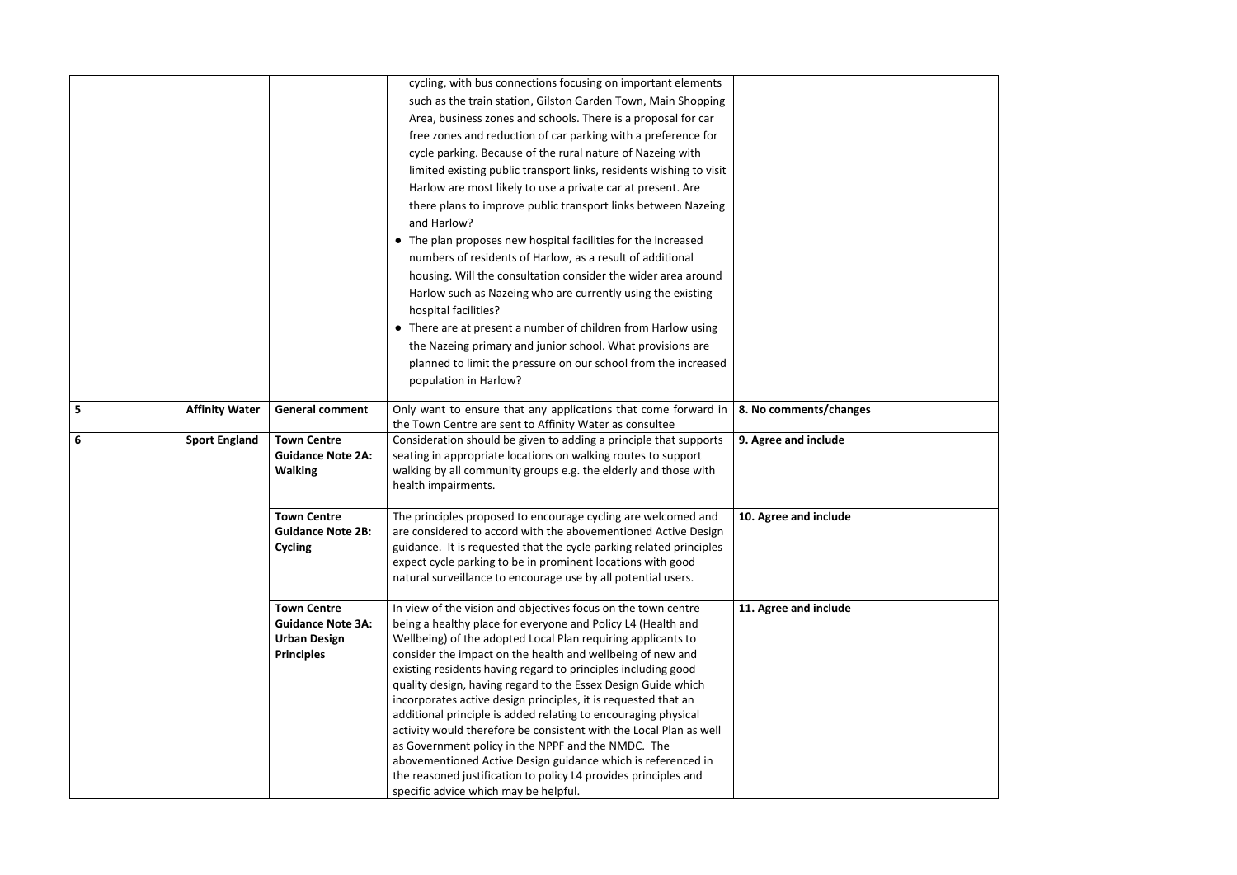|                 |                       |                                                                                            | cycling, with bus connections focusing on important elements<br>such as the train station, Gilston Garden Town, Main Shopping<br>Area, business zones and schools. There is a proposal for car<br>free zones and reduction of car parking with a preference for<br>cycle parking. Because of the rural nature of Nazeing with<br>limited existing public transport links, residents wishing to visit<br>Harlow are most likely to use a private car at present. Are<br>there plans to improve public transport links between Nazeing<br>and Harlow?<br>The plan proposes new hospital facilities for the increased<br>numbers of residents of Harlow, as a result of additional<br>housing. Will the consultation consider the wider area around<br>Harlow such as Nazeing who are currently using the existing<br>hospital facilities?<br>There are at present a number of children from Harlow using<br>the Nazeing primary and junior school. What provisions are<br>planned to limit the pressure on our school from the increased<br>population in Harlow? |                        |
|-----------------|-----------------------|--------------------------------------------------------------------------------------------|-----------------------------------------------------------------------------------------------------------------------------------------------------------------------------------------------------------------------------------------------------------------------------------------------------------------------------------------------------------------------------------------------------------------------------------------------------------------------------------------------------------------------------------------------------------------------------------------------------------------------------------------------------------------------------------------------------------------------------------------------------------------------------------------------------------------------------------------------------------------------------------------------------------------------------------------------------------------------------------------------------------------------------------------------------------------|------------------------|
| 5               | <b>Affinity Water</b> | <b>General comment</b>                                                                     | Only want to ensure that any applications that come forward in<br>the Town Centre are sent to Affinity Water as consultee                                                                                                                                                                                                                                                                                                                                                                                                                                                                                                                                                                                                                                                                                                                                                                                                                                                                                                                                       | 8. No comments/changes |
| $6\phantom{1}6$ | <b>Sport England</b>  | <b>Town Centre</b><br><b>Guidance Note 2A:</b><br><b>Walking</b>                           | Consideration should be given to adding a principle that supports<br>seating in appropriate locations on walking routes to support<br>walking by all community groups e.g. the elderly and those with<br>health impairments.                                                                                                                                                                                                                                                                                                                                                                                                                                                                                                                                                                                                                                                                                                                                                                                                                                    | 9. Agree and include   |
|                 |                       | <b>Town Centre</b><br><b>Guidance Note 2B:</b><br>Cycling                                  | The principles proposed to encourage cycling are welcomed and<br>are considered to accord with the abovementioned Active Design<br>guidance. It is requested that the cycle parking related principles<br>expect cycle parking to be in prominent locations with good<br>natural surveillance to encourage use by all potential users.                                                                                                                                                                                                                                                                                                                                                                                                                                                                                                                                                                                                                                                                                                                          | 10. Agree and include  |
|                 |                       | <b>Town Centre</b><br><b>Guidance Note 3A:</b><br><b>Urban Design</b><br><b>Principles</b> | In view of the vision and objectives focus on the town centre<br>being a healthy place for everyone and Policy L4 (Health and<br>Wellbeing) of the adopted Local Plan requiring applicants to<br>consider the impact on the health and wellbeing of new and<br>existing residents having regard to principles including good<br>quality design, having regard to the Essex Design Guide which<br>incorporates active design principles, it is requested that an<br>additional principle is added relating to encouraging physical<br>activity would therefore be consistent with the Local Plan as well<br>as Government policy in the NPPF and the NMDC. The<br>abovementioned Active Design guidance which is referenced in<br>the reasoned justification to policy L4 provides principles and<br>specific advice which may be helpful.                                                                                                                                                                                                                       | 11. Agree and include  |

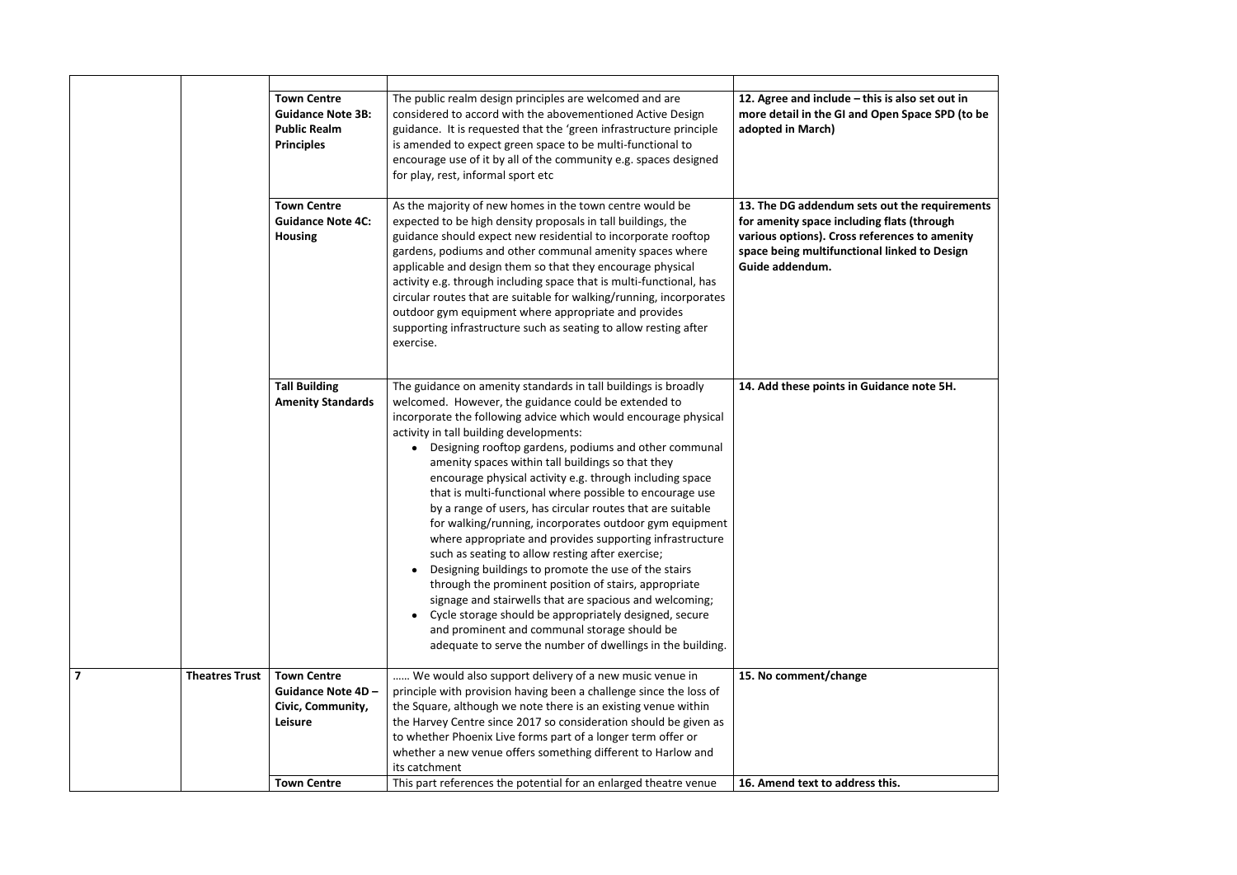

|                         |                       | <b>Town Centre</b><br><b>Guidance Note 3B:</b><br><b>Public Realm</b><br><b>Principles</b> | The public realm design principles are welcomed and are<br>considered to accord with the abovementioned Active Design<br>guidance. It is requested that the 'green infrastructure principle<br>is amended to expect green space to be multi-functional to<br>encourage use of it by all of the community e.g. spaces designed<br>for play, rest, informal sport etc                                                                                                                                                                                                                                                                                                                                                                                                                                                                                                                                                                                                                                                                                                     | 12. Agree and include - this is also set<br>more detail in the GI and Open Space<br>adopted in March)                                                                               |
|-------------------------|-----------------------|--------------------------------------------------------------------------------------------|-------------------------------------------------------------------------------------------------------------------------------------------------------------------------------------------------------------------------------------------------------------------------------------------------------------------------------------------------------------------------------------------------------------------------------------------------------------------------------------------------------------------------------------------------------------------------------------------------------------------------------------------------------------------------------------------------------------------------------------------------------------------------------------------------------------------------------------------------------------------------------------------------------------------------------------------------------------------------------------------------------------------------------------------------------------------------|-------------------------------------------------------------------------------------------------------------------------------------------------------------------------------------|
|                         |                       | <b>Town Centre</b><br><b>Guidance Note 4C:</b><br><b>Housing</b>                           | As the majority of new homes in the town centre would be<br>expected to be high density proposals in tall buildings, the<br>guidance should expect new residential to incorporate rooftop<br>gardens, podiums and other communal amenity spaces where<br>applicable and design them so that they encourage physical<br>activity e.g. through including space that is multi-functional, has<br>circular routes that are suitable for walking/running, incorporates<br>outdoor gym equipment where appropriate and provides<br>supporting infrastructure such as seating to allow resting after<br>exercise.                                                                                                                                                                                                                                                                                                                                                                                                                                                              | 13. The DG addendum sets out the re<br>for amenity space including flats (thro<br>various options). Cross references to<br>space being multifunctional linked to<br>Guide addendum. |
|                         |                       | <b>Tall Building</b><br><b>Amenity Standards</b>                                           | The guidance on amenity standards in tall buildings is broadly<br>welcomed. However, the guidance could be extended to<br>incorporate the following advice which would encourage physical<br>activity in tall building developments:<br>Designing rooftop gardens, podiums and other communal<br>amenity spaces within tall buildings so that they<br>encourage physical activity e.g. through including space<br>that is multi-functional where possible to encourage use<br>by a range of users, has circular routes that are suitable<br>for walking/running, incorporates outdoor gym equipment<br>where appropriate and provides supporting infrastructure<br>such as seating to allow resting after exercise;<br>Designing buildings to promote the use of the stairs<br>through the prominent position of stairs, appropriate<br>signage and stairwells that are spacious and welcoming;<br>Cycle storage should be appropriately designed, secure<br>and prominent and communal storage should be<br>adequate to serve the number of dwellings in the building. | 14. Add these points in Guidance note                                                                                                                                               |
| $\overline{\mathbf{z}}$ | <b>Theatres Trust</b> | <b>Town Centre</b><br>Guidance Note 4D -<br>Civic, Community,<br>Leisure                   | We would also support delivery of a new music venue in<br>principle with provision having been a challenge since the loss of<br>the Square, although we note there is an existing venue within<br>the Harvey Centre since 2017 so consideration should be given as<br>to whether Phoenix Live forms part of a longer term offer or<br>whether a new venue offers something different to Harlow and<br>its catchment                                                                                                                                                                                                                                                                                                                                                                                                                                                                                                                                                                                                                                                     | 15. No comment/change                                                                                                                                                               |
|                         |                       | <b>Town Centre</b>                                                                         | This part references the potential for an enlarged theatre venue                                                                                                                                                                                                                                                                                                                                                                                                                                                                                                                                                                                                                                                                                                                                                                                                                                                                                                                                                                                                        | 16. Amend text to address this.                                                                                                                                                     |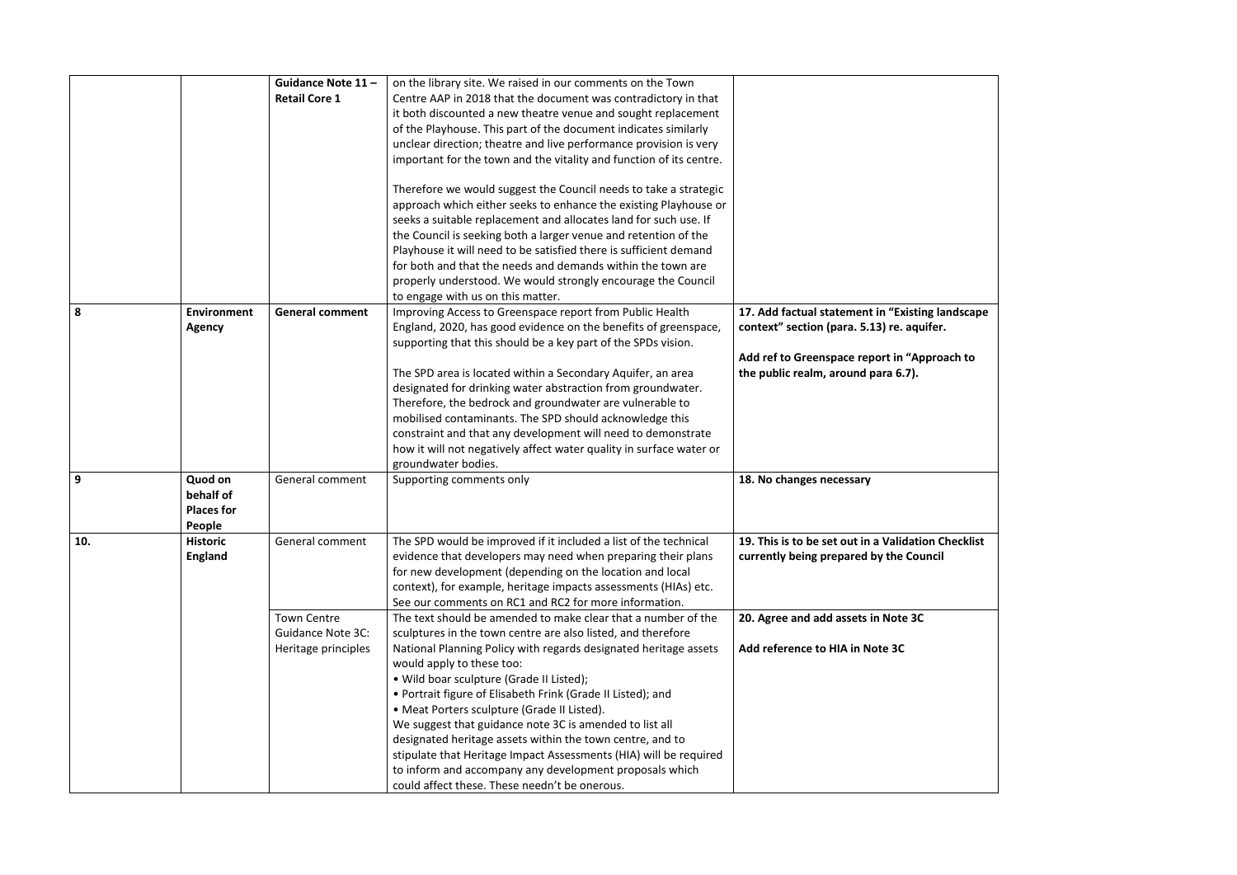|     |                                                     | Guidance Note 11-<br><b>Retail Core 1</b>                             | on the library site. We raised in our comments on the Town<br>Centre AAP in 2018 that the document was contradictory in that<br>it both discounted a new theatre venue and sought replacement<br>of the Playhouse. This part of the document indicates similarly<br>unclear direction; theatre and live performance provision is very<br>important for the town and the vitality and function of its centre.<br>Therefore we would suggest the Council needs to take a strategic<br>approach which either seeks to enhance the existing Playhouse or<br>seeks a suitable replacement and allocates land for such use. If<br>the Council is seeking both a larger venue and retention of the<br>Playhouse it will need to be satisfied there is sufficient demand |                                                                                                |
|-----|-----------------------------------------------------|-----------------------------------------------------------------------|------------------------------------------------------------------------------------------------------------------------------------------------------------------------------------------------------------------------------------------------------------------------------------------------------------------------------------------------------------------------------------------------------------------------------------------------------------------------------------------------------------------------------------------------------------------------------------------------------------------------------------------------------------------------------------------------------------------------------------------------------------------|------------------------------------------------------------------------------------------------|
| 8   | <b>Environment</b><br><b>Agency</b>                 | <b>General comment</b>                                                | for both and that the needs and demands within the town are<br>properly understood. We would strongly encourage the Council<br>to engage with us on this matter.<br>Improving Access to Greenspace report from Public Health<br>England, 2020, has good evidence on the benefits of greenspace,                                                                                                                                                                                                                                                                                                                                                                                                                                                                  | 17. Add factual statement in "Existing landscape<br>context" section (para. 5.13) re. aquifer. |
|     |                                                     |                                                                       | supporting that this should be a key part of the SPDs vision.<br>The SPD area is located within a Secondary Aquifer, an area<br>designated for drinking water abstraction from groundwater.<br>Therefore, the bedrock and groundwater are vulnerable to<br>mobilised contaminants. The SPD should acknowledge this<br>constraint and that any development will need to demonstrate<br>how it will not negatively affect water quality in surface water or<br>groundwater bodies.                                                                                                                                                                                                                                                                                 | Add ref to Greenspace report in "Approach to<br>the public realm, around para 6.7).            |
| 9   | Quod on<br>behalf of<br><b>Places for</b><br>People | General comment                                                       | Supporting comments only                                                                                                                                                                                                                                                                                                                                                                                                                                                                                                                                                                                                                                                                                                                                         | 18. No changes necessary                                                                       |
| 10. | <b>Historic</b><br><b>England</b>                   | General comment                                                       | The SPD would be improved if it included a list of the technical<br>evidence that developers may need when preparing their plans<br>for new development (depending on the location and local<br>context), for example, heritage impacts assessments (HIAs) etc.<br>See our comments on RC1 and RC2 for more information.                                                                                                                                                                                                                                                                                                                                                                                                                                         | 19. This is to be set out in a Validation Checklist<br>currently being prepared by the Council |
|     |                                                     | <b>Town Centre</b><br><b>Guidance Note 3C:</b><br>Heritage principles | The text should be amended to make clear that a number of the<br>sculptures in the town centre are also listed, and therefore<br>National Planning Policy with regards designated heritage assets<br>would apply to these too:<br>• Wild boar sculpture (Grade II Listed);<br>• Portrait figure of Elisabeth Frink (Grade II Listed); and<br>• Meat Porters sculpture (Grade II Listed).<br>We suggest that guidance note 3C is amended to list all<br>designated heritage assets within the town centre, and to<br>stipulate that Heritage Impact Assessments (HIA) will be required<br>to inform and accompany any development proposals which<br>could affect these. These needn't be onerous.                                                                | 20. Agree and add assets in Note 3C<br>Add reference to HIA in Note 3C                         |

| ng landscape          |  |
|-----------------------|--|
| uifer.                |  |
| pproach to            |  |
|                       |  |
|                       |  |
|                       |  |
|                       |  |
| on Checklist<br>uncil |  |
|                       |  |
|                       |  |
|                       |  |
|                       |  |
|                       |  |
|                       |  |
|                       |  |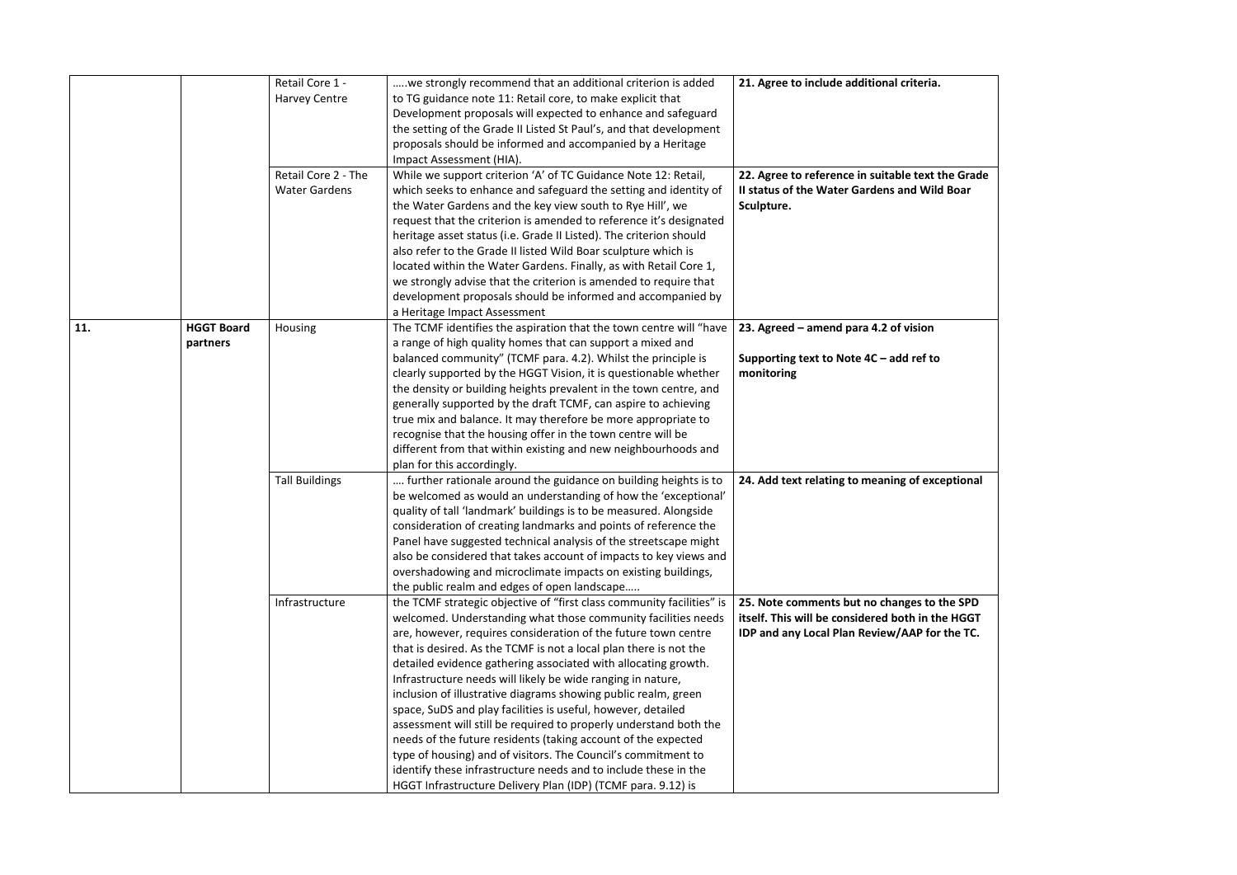|     |                               | Retail Core 1 -<br><b>Harvey Centre</b>     | we strongly recommend that an additional criterion is added<br>to TG guidance note 11: Retail core, to make explicit that<br>Development proposals will expected to enhance and safeguard<br>the setting of the Grade II Listed St Paul's, and that development<br>proposals should be informed and accompanied by a Heritage<br>Impact Assessment (HIA).                                                                                                                                                                                                                                                                                                                                                                                                                                                                                                                                  | 21. Agree to include additional criteria.                                                                                    |
|-----|-------------------------------|---------------------------------------------|--------------------------------------------------------------------------------------------------------------------------------------------------------------------------------------------------------------------------------------------------------------------------------------------------------------------------------------------------------------------------------------------------------------------------------------------------------------------------------------------------------------------------------------------------------------------------------------------------------------------------------------------------------------------------------------------------------------------------------------------------------------------------------------------------------------------------------------------------------------------------------------------|------------------------------------------------------------------------------------------------------------------------------|
|     |                               | Retail Core 2 - The<br><b>Water Gardens</b> | While we support criterion 'A' of TC Guidance Note 12: Retail,<br>which seeks to enhance and safeguard the setting and identity of<br>the Water Gardens and the key view south to Rye Hill', we<br>request that the criterion is amended to reference it's designated<br>heritage asset status (i.e. Grade II Listed). The criterion should<br>also refer to the Grade II listed Wild Boar sculpture which is<br>located within the Water Gardens. Finally, as with Retail Core 1,<br>we strongly advise that the criterion is amended to require that<br>development proposals should be informed and accompanied by<br>a Heritage Impact Assessment                                                                                                                                                                                                                                      | 22. Agree to reference in suitable text t<br>II status of the Water Gardens and Wild<br>Sculpture.                           |
| 11. | <b>HGGT Board</b><br>partners | Housing                                     | The TCMF identifies the aspiration that the town centre will "have<br>a range of high quality homes that can support a mixed and<br>balanced community" (TCMF para. 4.2). Whilst the principle is<br>clearly supported by the HGGT Vision, it is questionable whether<br>the density or building heights prevalent in the town centre, and<br>generally supported by the draft TCMF, can aspire to achieving<br>true mix and balance. It may therefore be more appropriate to<br>recognise that the housing offer in the town centre will be<br>different from that within existing and new neighbourhoods and<br>plan for this accordingly.                                                                                                                                                                                                                                               | 23. Agreed – amend para 4.2 of vision<br>Supporting text to Note $4C - add$ ref to<br>monitoring                             |
|     |                               | <b>Tall Buildings</b>                       | further rationale around the guidance on building heights is to<br>be welcomed as would an understanding of how the 'exceptional'<br>quality of tall 'landmark' buildings is to be measured. Alongside<br>consideration of creating landmarks and points of reference the<br>Panel have suggested technical analysis of the streetscape might<br>also be considered that takes account of impacts to key views and<br>overshadowing and microclimate impacts on existing buildings,<br>the public realm and edges of open landscape                                                                                                                                                                                                                                                                                                                                                        | 24. Add text relating to meaning of exce                                                                                     |
|     |                               | Infrastructure                              | the TCMF strategic objective of "first class community facilities" is<br>welcomed. Understanding what those community facilities needs<br>are, however, requires consideration of the future town centre<br>that is desired. As the TCMF is not a local plan there is not the<br>detailed evidence gathering associated with allocating growth.<br>Infrastructure needs will likely be wide ranging in nature,<br>inclusion of illustrative diagrams showing public realm, green<br>space, SuDS and play facilities is useful, however, detailed<br>assessment will still be required to properly understand both the<br>needs of the future residents (taking account of the expected<br>type of housing) and of visitors. The Council's commitment to<br>identify these infrastructure needs and to include these in the<br>HGGT Infrastructure Delivery Plan (IDP) (TCMF para. 9.12) is | 25. Note comments but no changes to t<br>itself. This will be considered both in th<br>IDP and any Local Plan Review/AAP for |

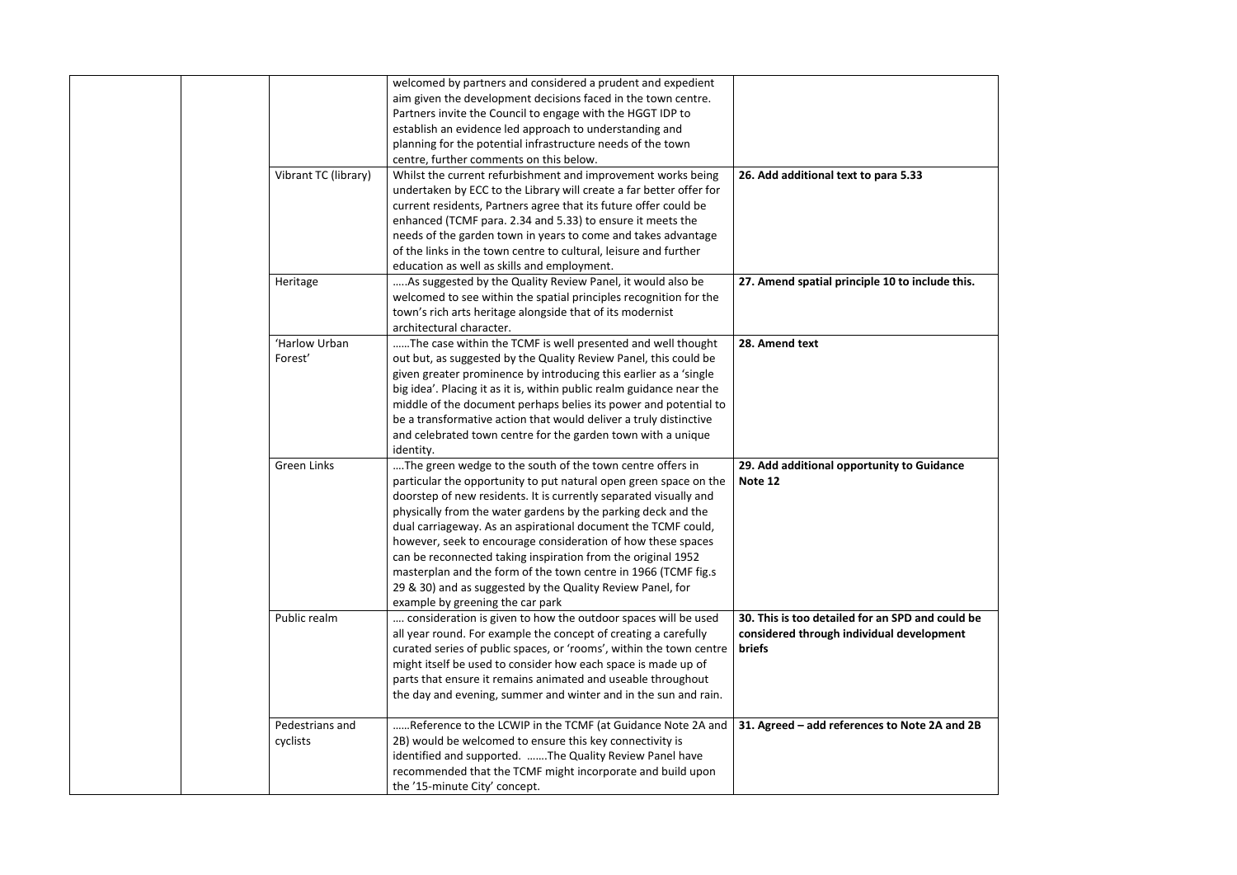|                             | welcomed by partners and considered a prudent and expedient<br>aim given the development decisions faced in the town centre.<br>Partners invite the Council to engage with the HGGT IDP to<br>establish an evidence led approach to understanding and<br>planning for the potential infrastructure needs of the town<br>centre, further comments on this below.                                                                                                                                                                                                                                                                           |                                                                                                  |
|-----------------------------|-------------------------------------------------------------------------------------------------------------------------------------------------------------------------------------------------------------------------------------------------------------------------------------------------------------------------------------------------------------------------------------------------------------------------------------------------------------------------------------------------------------------------------------------------------------------------------------------------------------------------------------------|--------------------------------------------------------------------------------------------------|
| Vibrant TC (library)        | Whilst the current refurbishment and improvement works being<br>undertaken by ECC to the Library will create a far better offer for<br>current residents, Partners agree that its future offer could be<br>enhanced (TCMF para. 2.34 and 5.33) to ensure it meets the<br>needs of the garden town in years to come and takes advantage<br>of the links in the town centre to cultural, leisure and further<br>education as well as skills and employment.                                                                                                                                                                                 | 26. Add additional text to para 5.33                                                             |
| Heritage                    | As suggested by the Quality Review Panel, it would also be<br>welcomed to see within the spatial principles recognition for the<br>town's rich arts heritage alongside that of its modernist<br>architectural character.                                                                                                                                                                                                                                                                                                                                                                                                                  | 27. Amend spatial principle 10 to inclu                                                          |
| 'Harlow Urban<br>Forest'    | The case within the TCMF is well presented and well thought<br>out but, as suggested by the Quality Review Panel, this could be<br>given greater prominence by introducing this earlier as a 'single<br>big idea'. Placing it as it is, within public realm guidance near the<br>middle of the document perhaps belies its power and potential to<br>be a transformative action that would deliver a truly distinctive<br>and celebrated town centre for the garden town with a unique<br>identity.                                                                                                                                       | 28. Amend text                                                                                   |
| <b>Green Links</b>          | The green wedge to the south of the town centre offers in<br>particular the opportunity to put natural open green space on the<br>doorstep of new residents. It is currently separated visually and<br>physically from the water gardens by the parking deck and the<br>dual carriageway. As an aspirational document the TCMF could,<br>however, seek to encourage consideration of how these spaces<br>can be reconnected taking inspiration from the original 1952<br>masterplan and the form of the town centre in 1966 (TCMF fig.s<br>29 & 30) and as suggested by the Quality Review Panel, for<br>example by greening the car park | 29. Add additional opportunity to Gui<br>Note 12                                                 |
| Public realm                | consideration is given to how the outdoor spaces will be used<br>all year round. For example the concept of creating a carefully<br>curated series of public spaces, or 'rooms', within the town centre<br>might itself be used to consider how each space is made up of<br>parts that ensure it remains animated and useable throughout<br>the day and evening, summer and winter and in the sun and rain.                                                                                                                                                                                                                               | 30. This is too detailed for an SPD and<br>considered through individual develo<br><b>briefs</b> |
| Pedestrians and<br>cyclists | Reference to the LCWIP in the TCMF (at Guidance Note 2A and<br>2B) would be welcomed to ensure this key connectivity is<br>identified and supported. The Quality Review Panel have<br>recommended that the TCMF might incorporate and build upon<br>the '15-minute City' concept.                                                                                                                                                                                                                                                                                                                                                         | 31. Agreed - add references to Note 2                                                            |

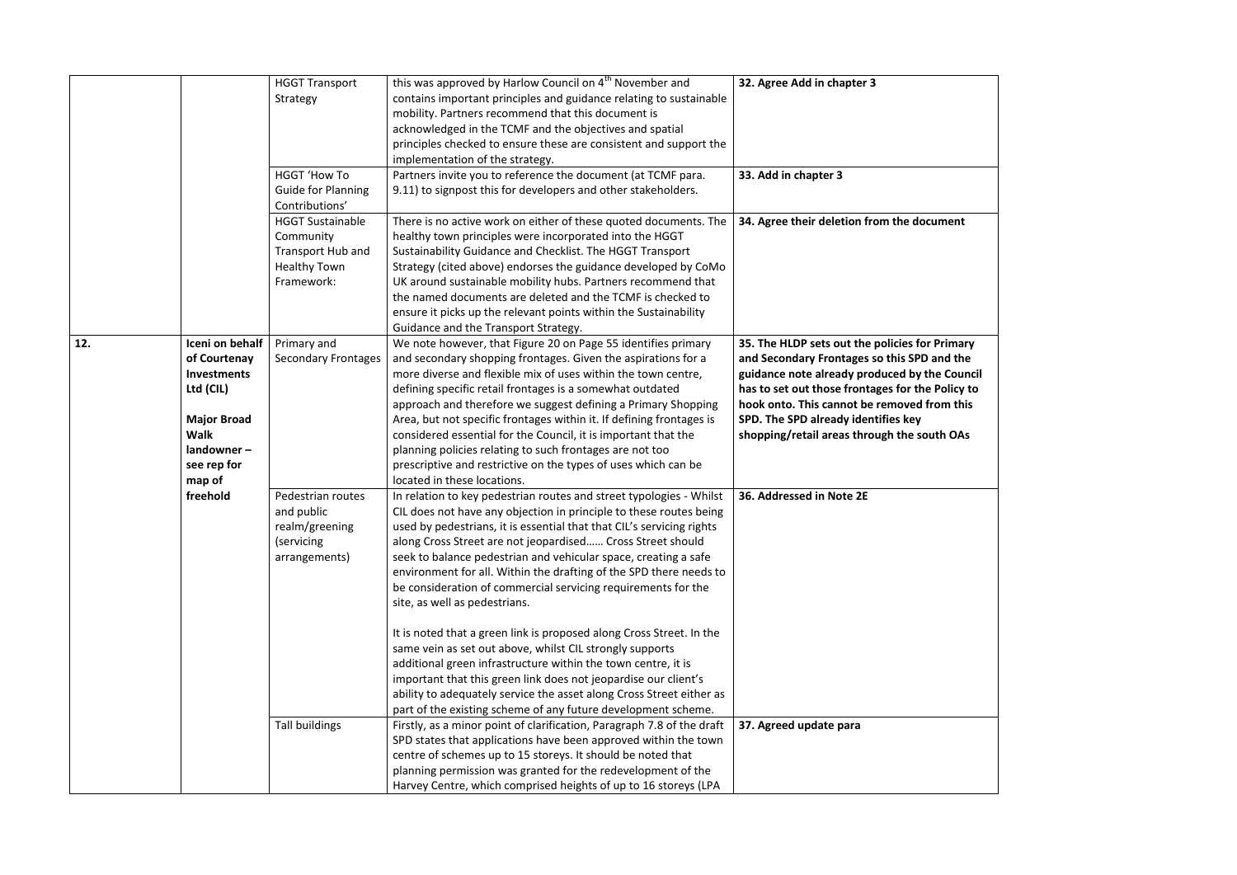|     |                                                                                                                                             | <b>HGGT Transport</b><br>Strategy<br><b>HGGT 'How To</b>                                                                                      | this was approved by Harlow Council on 4 <sup>th</sup> November and<br>contains important principles and guidance relating to sustainable<br>mobility. Partners recommend that this document is<br>acknowledged in the TCMF and the objectives and spatial<br>principles checked to ensure these are consistent and support the<br>implementation of the strategy.<br>Partners invite you to reference the document (at TCMF para.                                                                                                                                                                                                                                                                                               | 32. Agree Add in chapter 3<br>33. Add in chapter 3                                                                                                                                                                                                                                                                                      |
|-----|---------------------------------------------------------------------------------------------------------------------------------------------|-----------------------------------------------------------------------------------------------------------------------------------------------|----------------------------------------------------------------------------------------------------------------------------------------------------------------------------------------------------------------------------------------------------------------------------------------------------------------------------------------------------------------------------------------------------------------------------------------------------------------------------------------------------------------------------------------------------------------------------------------------------------------------------------------------------------------------------------------------------------------------------------|-----------------------------------------------------------------------------------------------------------------------------------------------------------------------------------------------------------------------------------------------------------------------------------------------------------------------------------------|
|     |                                                                                                                                             | <b>Guide for Planning</b><br>Contributions'<br><b>HGGT Sustainable</b><br>Community<br>Transport Hub and<br><b>Healthy Town</b><br>Framework: | 9.11) to signpost this for developers and other stakeholders.<br>There is no active work on either of these quoted documents. The<br>healthy town principles were incorporated into the HGGT<br>Sustainability Guidance and Checklist. The HGGT Transport<br>Strategy (cited above) endorses the guidance developed by CoMo<br>UK around sustainable mobility hubs. Partners recommend that<br>the named documents are deleted and the TCMF is checked to<br>ensure it picks up the relevant points within the Sustainability<br>Guidance and the Transport Strategy.                                                                                                                                                            | 34. Agree their deletion from the document                                                                                                                                                                                                                                                                                              |
| 12. | Iceni on behalf<br>of Courtenay<br>Investments<br>Ltd (CIL)<br><b>Major Broad</b><br><b>Walk</b><br>$land owner -$<br>see rep for<br>map of | Primary and<br><b>Secondary Frontages</b>                                                                                                     | We note however, that Figure 20 on Page 55 identifies primary<br>and secondary shopping frontages. Given the aspirations for a<br>more diverse and flexible mix of uses within the town centre,<br>defining specific retail frontages is a somewhat outdated<br>approach and therefore we suggest defining a Primary Shopping<br>Area, but not specific frontages within it. If defining frontages is<br>considered essential for the Council, it is important that the<br>planning policies relating to such frontages are not too<br>prescriptive and restrictive on the types of uses which can be<br>located in these locations.                                                                                             | 35. The HLDP sets out the policies for Primary<br>and Secondary Frontages so this SPD and the<br>guidance note already produced by the Council<br>has to set out those frontages for the Policy to<br>hook onto. This cannot be removed from this<br>SPD. The SPD already identifies key<br>shopping/retail areas through the south OAs |
|     | freehold                                                                                                                                    | Pedestrian routes<br>and public<br>realm/greening<br>(servicing)<br>arrangements)                                                             | In relation to key pedestrian routes and street typologies - Whilst<br>CIL does not have any objection in principle to these routes being<br>used by pedestrians, it is essential that that CIL's servicing rights<br>along Cross Street are not jeopardised Cross Street should<br>seek to balance pedestrian and vehicular space, creating a safe<br>environment for all. Within the drafting of the SPD there needs to<br>be consideration of commercial servicing requirements for the<br>site, as well as pedestrians.<br>It is noted that a green link is proposed along Cross Street. In the<br>same vein as set out above, whilst CIL strongly supports<br>additional green infrastructure within the town centre, it is | 36. Addressed in Note 2E                                                                                                                                                                                                                                                                                                                |
|     |                                                                                                                                             | <b>Tall buildings</b>                                                                                                                         | important that this green link does not jeopardise our client's<br>ability to adequately service the asset along Cross Street either as<br>part of the existing scheme of any future development scheme.<br>Firstly, as a minor point of clarification, Paragraph 7.8 of the draft<br>SPD states that applications have been approved within the town<br>centre of schemes up to 15 storeys. It should be noted that<br>planning permission was granted for the redevelopment of the<br>Harvey Centre, which comprised heights of up to 16 storeys (LPA                                                                                                                                                                          | 37. Agreed update para                                                                                                                                                                                                                                                                                                                  |

| <i><b>ument</b></i> |                                                        |  |
|---------------------|--------------------------------------------------------|--|
|                     | Primary                                                |  |
|                     | and the<br>e Council<br>Policy to<br>om this<br>th OAs |  |
|                     |                                                        |  |
|                     |                                                        |  |
|                     |                                                        |  |
|                     |                                                        |  |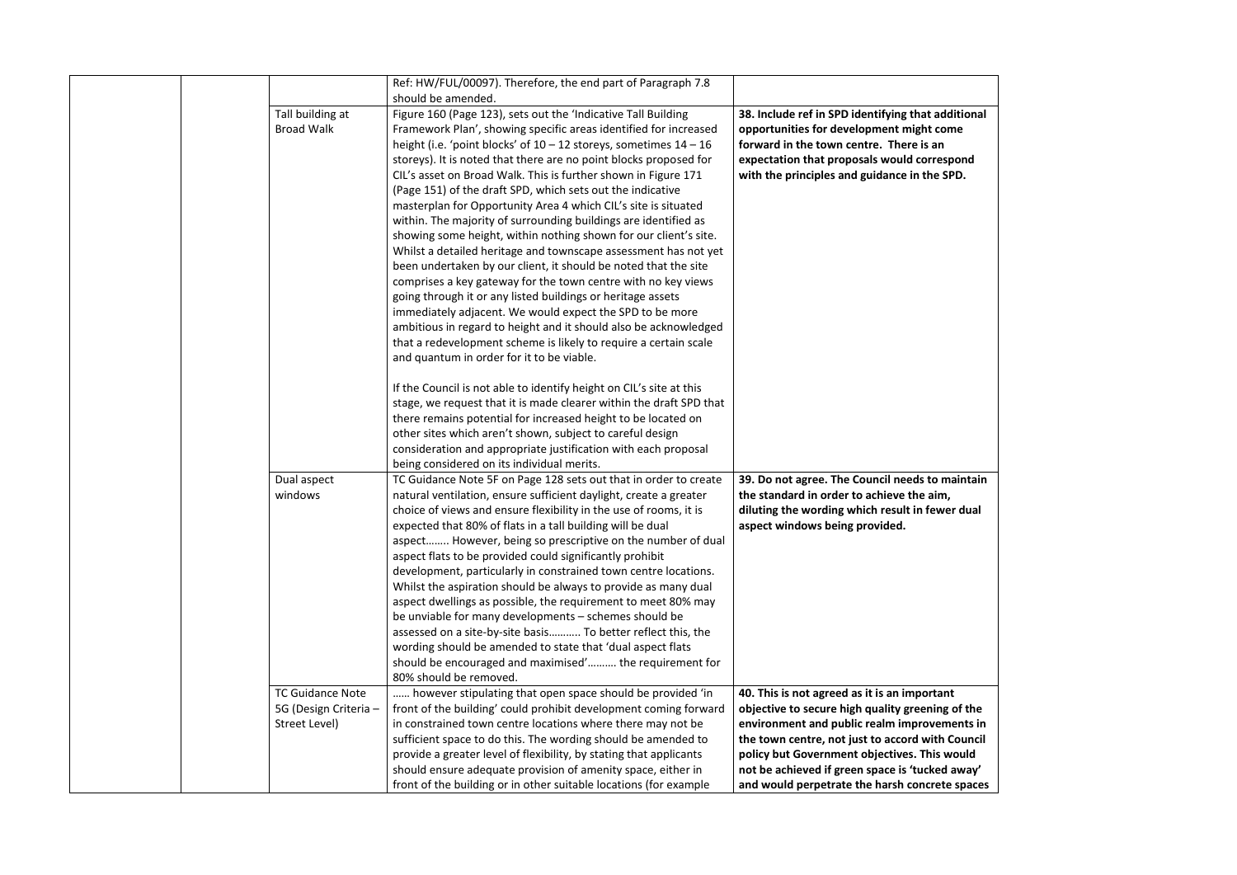|                         | Ref: HW/FUL/00097). Therefore, the end part of Paragraph 7.8          |                                                    |
|-------------------------|-----------------------------------------------------------------------|----------------------------------------------------|
|                         | should be amended.                                                    |                                                    |
| Tall building at        | Figure 160 (Page 123), sets out the 'Indicative Tall Building         | 38. Include ref in SPD identifying that additional |
| <b>Broad Walk</b>       | Framework Plan', showing specific areas identified for increased      | opportunities for development might come           |
|                         | height (i.e. 'point blocks' of $10 - 12$ storeys, sometimes $14 - 16$ | forward in the town centre. There is an            |
|                         | storeys). It is noted that there are no point blocks proposed for     | expectation that proposals would correspond        |
|                         | CIL's asset on Broad Walk. This is further shown in Figure 171        | with the principles and guidance in the SPD.       |
|                         | (Page 151) of the draft SPD, which sets out the indicative            |                                                    |
|                         | masterplan for Opportunity Area 4 which CIL's site is situated        |                                                    |
|                         | within. The majority of surrounding buildings are identified as       |                                                    |
|                         | showing some height, within nothing shown for our client's site.      |                                                    |
|                         | Whilst a detailed heritage and townscape assessment has not yet       |                                                    |
|                         | been undertaken by our client, it should be noted that the site       |                                                    |
|                         | comprises a key gateway for the town centre with no key views         |                                                    |
|                         | going through it or any listed buildings or heritage assets           |                                                    |
|                         | immediately adjacent. We would expect the SPD to be more              |                                                    |
|                         | ambitious in regard to height and it should also be acknowledged      |                                                    |
|                         | that a redevelopment scheme is likely to require a certain scale      |                                                    |
|                         | and quantum in order for it to be viable.                             |                                                    |
|                         | If the Council is not able to identify height on CIL's site at this   |                                                    |
|                         | stage, we request that it is made clearer within the draft SPD that   |                                                    |
|                         | there remains potential for increased height to be located on         |                                                    |
|                         | other sites which aren't shown, subject to careful design             |                                                    |
|                         | consideration and appropriate justification with each proposal        |                                                    |
|                         | being considered on its individual merits.                            |                                                    |
| Dual aspect             | TC Guidance Note 5F on Page 128 sets out that in order to create      | 39. Do not agree. The Council needs to maintain    |
| windows                 | natural ventilation, ensure sufficient daylight, create a greater     | the standard in order to achieve the aim,          |
|                         | choice of views and ensure flexibility in the use of rooms, it is     | diluting the wording which result in fewer dual    |
|                         | expected that 80% of flats in a tall building will be dual            | aspect windows being provided.                     |
|                         | aspect However, being so prescriptive on the number of dual           |                                                    |
|                         | aspect flats to be provided could significantly prohibit              |                                                    |
|                         | development, particularly in constrained town centre locations.       |                                                    |
|                         | Whilst the aspiration should be always to provide as many dual        |                                                    |
|                         | aspect dwellings as possible, the requirement to meet 80% may         |                                                    |
|                         | be unviable for many developments - schemes should be                 |                                                    |
|                         | assessed on a site-by-site basis To better reflect this, the          |                                                    |
|                         | wording should be amended to state that 'dual aspect flats            |                                                    |
|                         | should be encouraged and maximised' the requirement for               |                                                    |
|                         | 80% should be removed.                                                |                                                    |
| <b>TC Guidance Note</b> | however stipulating that open space should be provided 'in            | 40. This is not agreed as it is an important       |
| 5G (Design Criteria -   | front of the building' could prohibit development coming forward      | objective to secure high quality greening of the   |
| Street Level)           | in constrained town centre locations where there may not be           | environment and public realm improvements in       |
|                         | sufficient space to do this. The wording should be amended to         | the town centre, not just to accord with Council   |
|                         | provide a greater level of flexibility, by stating that applicants    | policy but Government objectives. This would       |
|                         | should ensure adequate provision of amenity space, either in          | not be achieved if green space is 'tucked away'    |
|                         | front of the building or in other suitable locations (for example     | and would perpetrate the harsh concrete spaces     |

| additional<br>come<br>ιn<br>espond <sup>.</sup><br>e SPD.                          |  |
|------------------------------------------------------------------------------------|--|
|                                                                                    |  |
| o maintain<br>im,<br>wer dual                                                      |  |
|                                                                                    |  |
| tant<br>ing of the<br>ements in<br>th Council<br>s would<br>ed away'<br>ete spaces |  |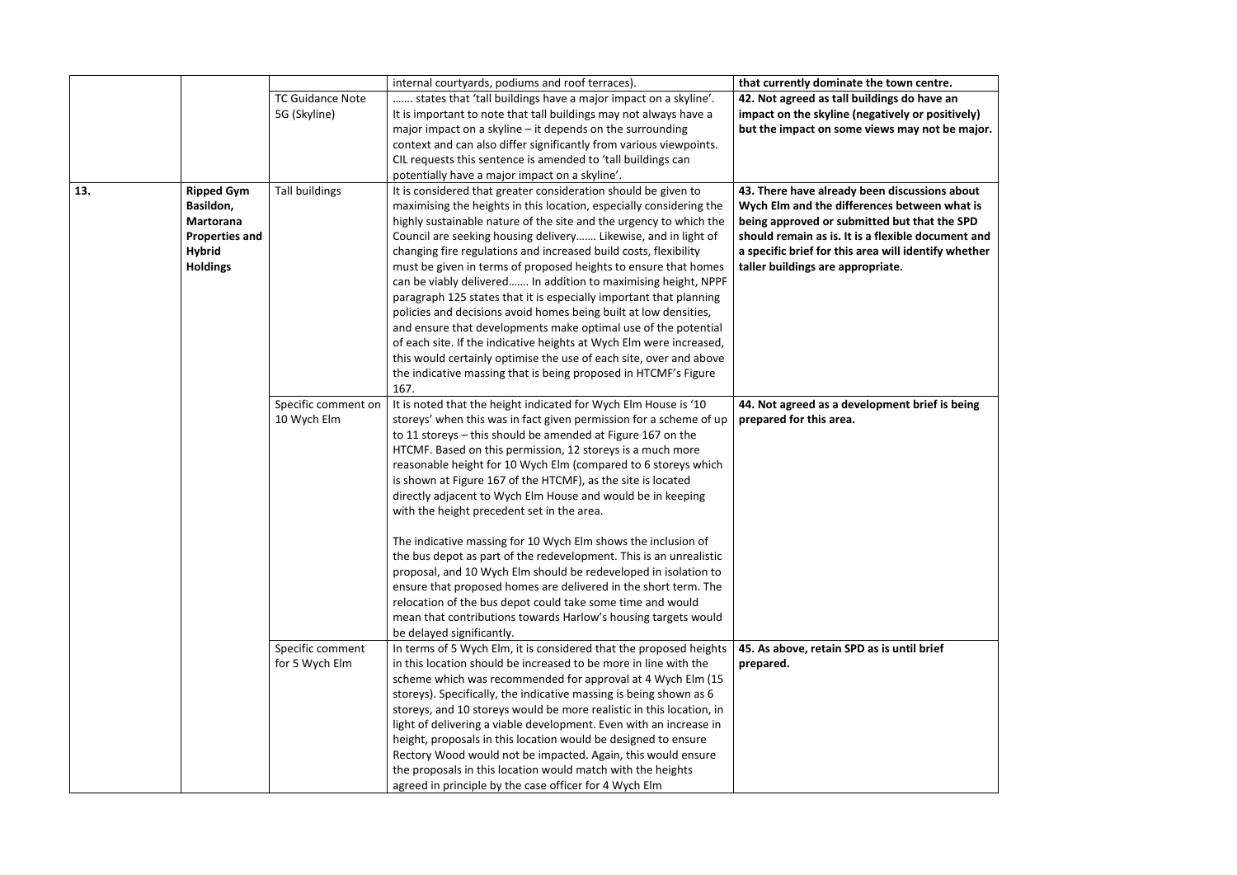|     |                                                                                                                 |                                    | internal courtyards, podiums and roof terraces).                                                                                                                                                                                                                                                                                                                                                                                                                                                                                                                                                                                                                                                                                                                                                                                                                                                                                                                    | that currently dominate the town centre.                                                                                                                                                                                                                                                         |
|-----|-----------------------------------------------------------------------------------------------------------------|------------------------------------|---------------------------------------------------------------------------------------------------------------------------------------------------------------------------------------------------------------------------------------------------------------------------------------------------------------------------------------------------------------------------------------------------------------------------------------------------------------------------------------------------------------------------------------------------------------------------------------------------------------------------------------------------------------------------------------------------------------------------------------------------------------------------------------------------------------------------------------------------------------------------------------------------------------------------------------------------------------------|--------------------------------------------------------------------------------------------------------------------------------------------------------------------------------------------------------------------------------------------------------------------------------------------------|
|     |                                                                                                                 | <b>TC Guidance Note</b>            | states that 'tall buildings have a major impact on a skyline'.                                                                                                                                                                                                                                                                                                                                                                                                                                                                                                                                                                                                                                                                                                                                                                                                                                                                                                      | 42. Not agreed as tall buildings do have an                                                                                                                                                                                                                                                      |
|     |                                                                                                                 | 5G (Skyline)                       | It is important to note that tall buildings may not always have a                                                                                                                                                                                                                                                                                                                                                                                                                                                                                                                                                                                                                                                                                                                                                                                                                                                                                                   | impact on the skyline (negatively or positively)                                                                                                                                                                                                                                                 |
|     |                                                                                                                 |                                    | major impact on a skyline $-$ it depends on the surrounding                                                                                                                                                                                                                                                                                                                                                                                                                                                                                                                                                                                                                                                                                                                                                                                                                                                                                                         | but the impact on some views may not be major.                                                                                                                                                                                                                                                   |
|     |                                                                                                                 |                                    | context and can also differ significantly from various viewpoints.                                                                                                                                                                                                                                                                                                                                                                                                                                                                                                                                                                                                                                                                                                                                                                                                                                                                                                  |                                                                                                                                                                                                                                                                                                  |
|     |                                                                                                                 |                                    | CIL requests this sentence is amended to 'tall buildings can                                                                                                                                                                                                                                                                                                                                                                                                                                                                                                                                                                                                                                                                                                                                                                                                                                                                                                        |                                                                                                                                                                                                                                                                                                  |
|     |                                                                                                                 |                                    | potentially have a major impact on a skyline'.                                                                                                                                                                                                                                                                                                                                                                                                                                                                                                                                                                                                                                                                                                                                                                                                                                                                                                                      |                                                                                                                                                                                                                                                                                                  |
| 13. | <b>Ripped Gym</b><br>Basildon,<br><b>Martorana</b><br><b>Properties and</b><br><b>Hybrid</b><br><b>Holdings</b> | <b>Tall buildings</b>              | It is considered that greater consideration should be given to<br>maximising the heights in this location, especially considering the<br>highly sustainable nature of the site and the urgency to which the<br>Council are seeking housing delivery Likewise, and in light of<br>changing fire regulations and increased build costs, flexibility<br>must be given in terms of proposed heights to ensure that homes<br>can be viably delivered In addition to maximising height, NPPF<br>paragraph 125 states that it is especially important that planning<br>policies and decisions avoid homes being built at low densities,<br>and ensure that developments make optimal use of the potential<br>of each site. If the indicative heights at Wych Elm were increased,<br>this would certainly optimise the use of each site, over and above<br>the indicative massing that is being proposed in HTCMF's Figure                                                  | 43. There have already been discussions about<br>Wych Elm and the differences between what is<br>being approved or submitted but that the SPD<br>should remain as is. It is a flexible document and<br>a specific brief for this area will identify whether<br>taller buildings are appropriate. |
|     |                                                                                                                 | Specific comment on<br>10 Wych Elm | 167.<br>It is noted that the height indicated for Wych Elm House is '10<br>storeys' when this was in fact given permission for a scheme of up<br>to 11 storeys - this should be amended at Figure 167 on the<br>HTCMF. Based on this permission, 12 storeys is a much more<br>reasonable height for 10 Wych Elm (compared to 6 storeys which<br>is shown at Figure 167 of the HTCMF), as the site is located<br>directly adjacent to Wych Elm House and would be in keeping<br>with the height precedent set in the area.<br>The indicative massing for 10 Wych Elm shows the inclusion of<br>the bus depot as part of the redevelopment. This is an unrealistic<br>proposal, and 10 Wych Elm should be redeveloped in isolation to<br>ensure that proposed homes are delivered in the short term. The<br>relocation of the bus depot could take some time and would<br>mean that contributions towards Harlow's housing targets would<br>be delayed significantly. | 44. Not agreed as a development brief is being<br>prepared for this area.                                                                                                                                                                                                                        |
|     |                                                                                                                 | Specific comment<br>for 5 Wych Elm | In terms of 5 Wych Elm, it is considered that the proposed heights<br>in this location should be increased to be more in line with the<br>scheme which was recommended for approval at 4 Wych Elm (15<br>storeys). Specifically, the indicative massing is being shown as 6<br>storeys, and 10 storeys would be more realistic in this location, in<br>light of delivering a viable development. Even with an increase in<br>height, proposals in this location would be designed to ensure<br>Rectory Wood would not be impacted. Again, this would ensure<br>the proposals in this location would match with the heights<br>agreed in principle by the case officer for 4 Wych Elm                                                                                                                                                                                                                                                                                | 45. As above, retain SPD as is until brief<br>prepared.                                                                                                                                                                                                                                          |

| tre.          |  |
|---------------|--|
| <i>r</i> e an |  |
| ositively)    |  |
| ot be major.  |  |
|               |  |
|               |  |
|               |  |
|               |  |
| ns about      |  |
| n what is     |  |
| the SPD       |  |
| ument and     |  |
| fy whether    |  |
|               |  |
|               |  |
|               |  |
|               |  |
|               |  |
|               |  |
|               |  |
|               |  |
|               |  |
|               |  |
| f is being    |  |
|               |  |
|               |  |
|               |  |
|               |  |
|               |  |
|               |  |
|               |  |
|               |  |
|               |  |
|               |  |
|               |  |
|               |  |
|               |  |
|               |  |
|               |  |
|               |  |
|               |  |
| ef            |  |
|               |  |
|               |  |
|               |  |
|               |  |
|               |  |
|               |  |
|               |  |
|               |  |
|               |  |
|               |  |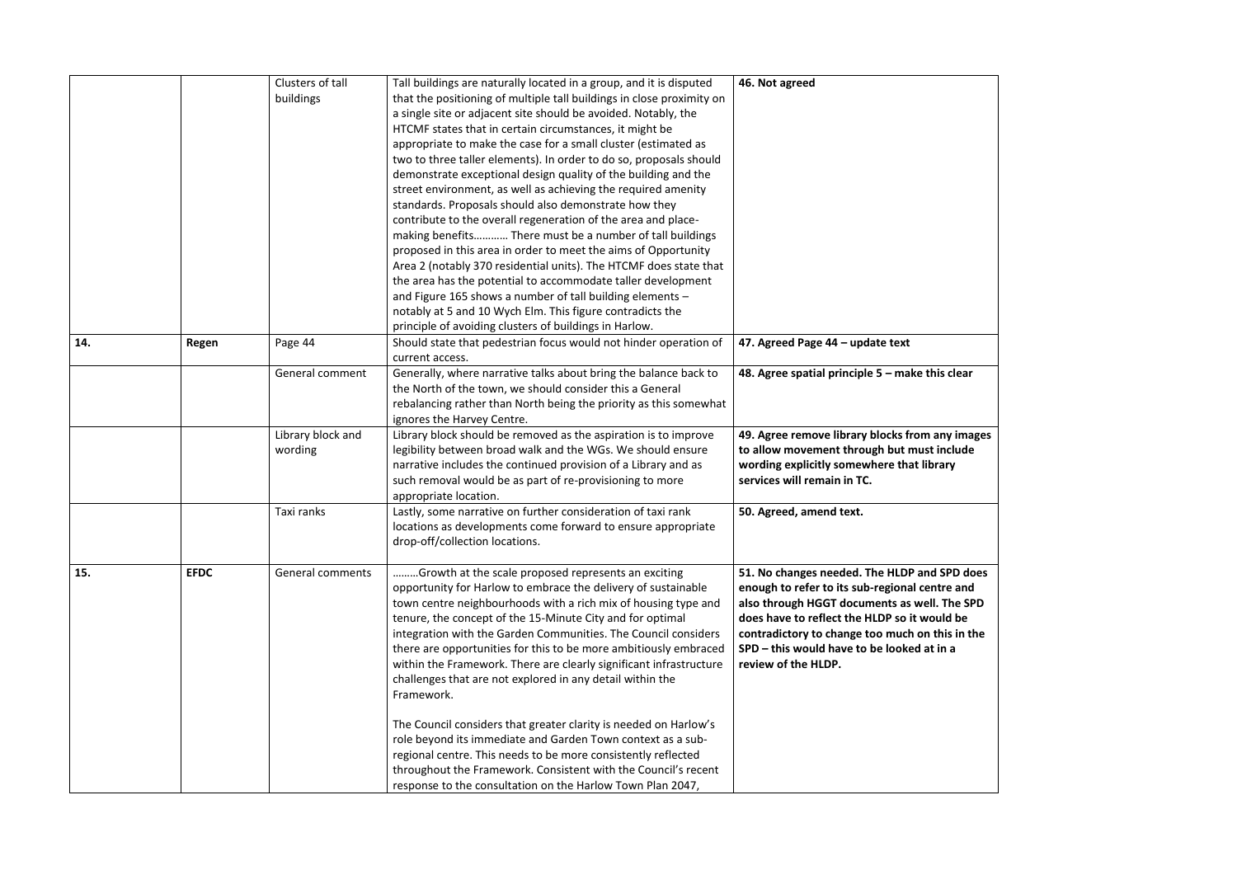|     |             | Clusters of tall        | Tall buildings are naturally located in a group, and it is disputed   | 46. Not agreed                                    |
|-----|-------------|-------------------------|-----------------------------------------------------------------------|---------------------------------------------------|
|     |             | buildings               | that the positioning of multiple tall buildings in close proximity on |                                                   |
|     |             |                         | a single site or adjacent site should be avoided. Notably, the        |                                                   |
|     |             |                         | HTCMF states that in certain circumstances, it might be               |                                                   |
|     |             |                         | appropriate to make the case for a small cluster (estimated as        |                                                   |
|     |             |                         | two to three taller elements). In order to do so, proposals should    |                                                   |
|     |             |                         | demonstrate exceptional design quality of the building and the        |                                                   |
|     |             |                         | street environment, as well as achieving the required amenity         |                                                   |
|     |             |                         | standards. Proposals should also demonstrate how they                 |                                                   |
|     |             |                         | contribute to the overall regeneration of the area and place-         |                                                   |
|     |             |                         | making benefits There must be a number of tall buildings              |                                                   |
|     |             |                         | proposed in this area in order to meet the aims of Opportunity        |                                                   |
|     |             |                         | Area 2 (notably 370 residential units). The HTCMF does state that     |                                                   |
|     |             |                         | the area has the potential to accommodate taller development          |                                                   |
|     |             |                         | and Figure 165 shows a number of tall building elements -             |                                                   |
|     |             |                         | notably at 5 and 10 Wych Elm. This figure contradicts the             |                                                   |
|     |             |                         | principle of avoiding clusters of buildings in Harlow.                |                                                   |
| 14. | Regen       | Page 44                 | Should state that pedestrian focus would not hinder operation of      | 47. Agreed Page 44 - update text                  |
|     |             |                         | current access.                                                       |                                                   |
|     |             | General comment         | Generally, where narrative talks about bring the balance back to      | 48. Agree spatial principle $5$ – make this clear |
|     |             |                         | the North of the town, we should consider this a General              |                                                   |
|     |             |                         | rebalancing rather than North being the priority as this somewhat     |                                                   |
|     |             |                         | ignores the Harvey Centre.                                            |                                                   |
|     |             | Library block and       | Library block should be removed as the aspiration is to improve       | 49. Agree remove library blocks from any images   |
|     |             | wording                 | legibility between broad walk and the WGs. We should ensure           | to allow movement through but must include        |
|     |             |                         | narrative includes the continued provision of a Library and as        | wording explicitly somewhere that library         |
|     |             |                         | such removal would be as part of re-provisioning to more              | services will remain in TC.                       |
|     |             |                         | appropriate location.                                                 |                                                   |
|     |             | Taxi ranks              | Lastly, some narrative on further consideration of taxi rank          | 50. Agreed, amend text.                           |
|     |             |                         | locations as developments come forward to ensure appropriate          |                                                   |
|     |             |                         | drop-off/collection locations.                                        |                                                   |
|     |             |                         |                                                                       |                                                   |
| 15. | <b>EFDC</b> | <b>General comments</b> | Growth at the scale proposed represents an exciting                   | 51. No changes needed. The HLDP and SPD does      |
|     |             |                         | opportunity for Harlow to embrace the delivery of sustainable         | enough to refer to its sub-regional centre and    |
|     |             |                         | town centre neighbourhoods with a rich mix of housing type and        | also through HGGT documents as well. The SPD      |
|     |             |                         | tenure, the concept of the 15-Minute City and for optimal             | does have to reflect the HLDP so it would be      |
|     |             |                         | integration with the Garden Communities. The Council considers        | contradictory to change too much on this in the   |
|     |             |                         | there are opportunities for this to be more ambitiously embraced      | SPD - this would have to be looked at in a        |
|     |             |                         | within the Framework. There are clearly significant infrastructure    | review of the HLDP.                               |
|     |             |                         | challenges that are not explored in any detail within the             |                                                   |
|     |             |                         | Framework.                                                            |                                                   |
|     |             |                         | The Council considers that greater clarity is needed on Harlow's      |                                                   |
|     |             |                         | role beyond its immediate and Garden Town context as a sub-           |                                                   |
|     |             |                         | regional centre. This needs to be more consistently reflected         |                                                   |
|     |             |                         | throughout the Framework. Consistent with the Council's recent        |                                                   |
|     |             |                         | response to the consultation on the Harlow Town Plan 2047,            |                                                   |
|     |             |                         |                                                                       |                                                   |

| e this clear                                                                         |  |
|--------------------------------------------------------------------------------------|--|
| m any images<br>ust include<br>library                                               |  |
|                                                                                      |  |
| and SPD does<br>centre and<br>vell. The SPD<br>would be<br>on this in the<br>at in a |  |
|                                                                                      |  |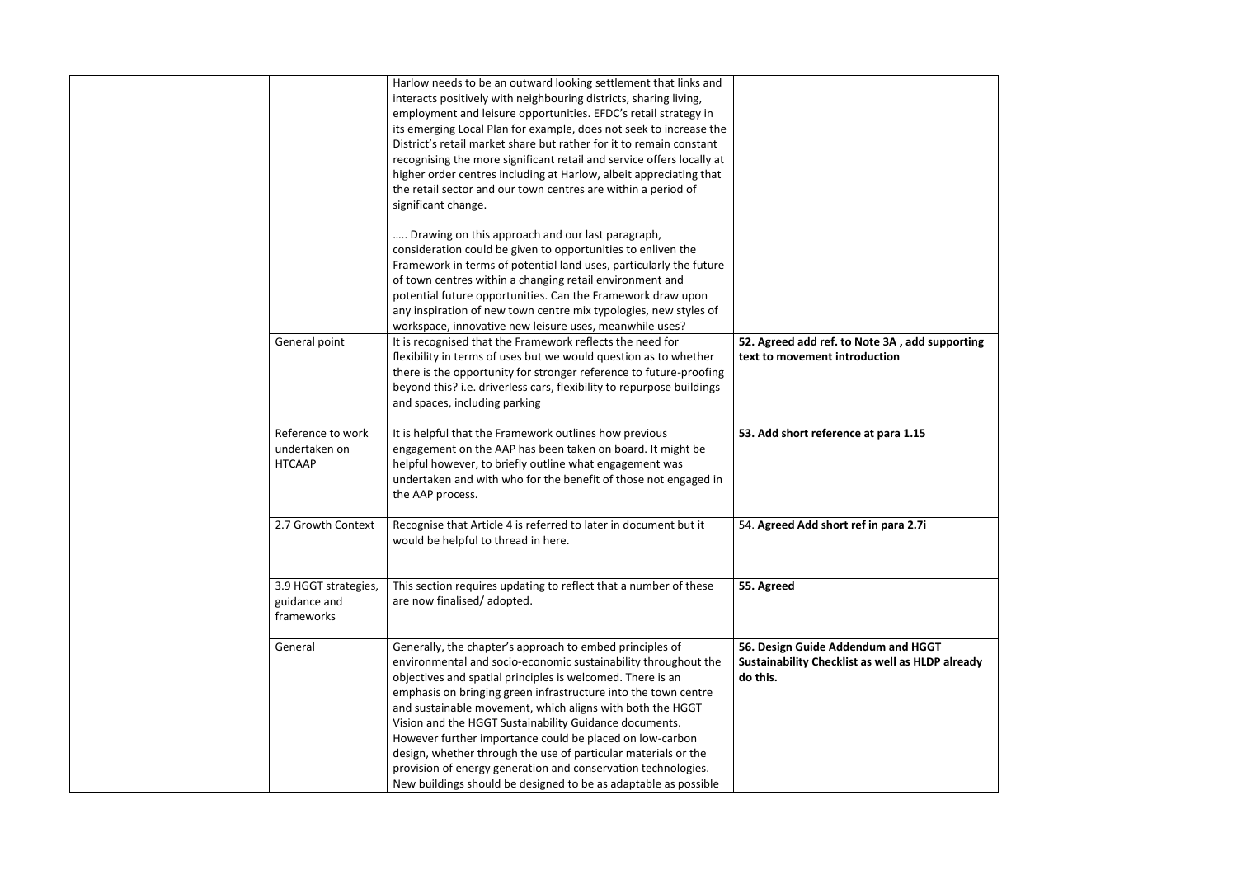|                                                     | Harlow needs to be an outward looking settlement that links and<br>interacts positively with neighbouring districts, sharing living,<br>employment and leisure opportunities. EFDC's retail strategy in<br>its emerging Local Plan for example, does not seek to increase the<br>District's retail market share but rather for it to remain constant<br>recognising the more significant retail and service offers locally at<br>higher order centres including at Harlow, albeit appreciating that<br>the retail sector and our town centres are within a period of<br>significant change.                                                         |                                                                                                   |
|-----------------------------------------------------|-----------------------------------------------------------------------------------------------------------------------------------------------------------------------------------------------------------------------------------------------------------------------------------------------------------------------------------------------------------------------------------------------------------------------------------------------------------------------------------------------------------------------------------------------------------------------------------------------------------------------------------------------------|---------------------------------------------------------------------------------------------------|
|                                                     | Drawing on this approach and our last paragraph,<br>consideration could be given to opportunities to enliven the<br>Framework in terms of potential land uses, particularly the future<br>of town centres within a changing retail environment and<br>potential future opportunities. Can the Framework draw upon<br>any inspiration of new town centre mix typologies, new styles of<br>workspace, innovative new leisure uses, meanwhile uses?                                                                                                                                                                                                    |                                                                                                   |
| General point                                       | It is recognised that the Framework reflects the need for<br>flexibility in terms of uses but we would question as to whether<br>there is the opportunity for stronger reference to future-proofing<br>beyond this? i.e. driverless cars, flexibility to repurpose buildings<br>and spaces, including parking                                                                                                                                                                                                                                                                                                                                       | 52. Agreed add ref. to Note 3A, add sup<br>text to movement introduction                          |
| Reference to work<br>undertaken on<br><b>HTCAAP</b> | It is helpful that the Framework outlines how previous<br>engagement on the AAP has been taken on board. It might be<br>helpful however, to briefly outline what engagement was<br>undertaken and with who for the benefit of those not engaged in<br>the AAP process.                                                                                                                                                                                                                                                                                                                                                                              | 53. Add short reference at para 1.15                                                              |
| 2.7 Growth Context                                  | Recognise that Article 4 is referred to later in document but it<br>would be helpful to thread in here.                                                                                                                                                                                                                                                                                                                                                                                                                                                                                                                                             | 54. Agreed Add short ref in para 2.7i                                                             |
| 3.9 HGGT strategies,<br>guidance and<br>frameworks  | This section requires updating to reflect that a number of these<br>are now finalised/adopted.                                                                                                                                                                                                                                                                                                                                                                                                                                                                                                                                                      | 55. Agreed                                                                                        |
| General                                             | Generally, the chapter's approach to embed principles of<br>environmental and socio-economic sustainability throughout the<br>objectives and spatial principles is welcomed. There is an<br>emphasis on bringing green infrastructure into the town centre<br>and sustainable movement, which aligns with both the HGGT<br>Vision and the HGGT Sustainability Guidance documents.<br>However further importance could be placed on low-carbon<br>design, whether through the use of particular materials or the<br>provision of energy generation and conservation technologies.<br>New buildings should be designed to be as adaptable as possible | 56. Design Guide Addendum and HGGT<br><b>Sustainability Checklist as well as HLDP</b><br>do this. |

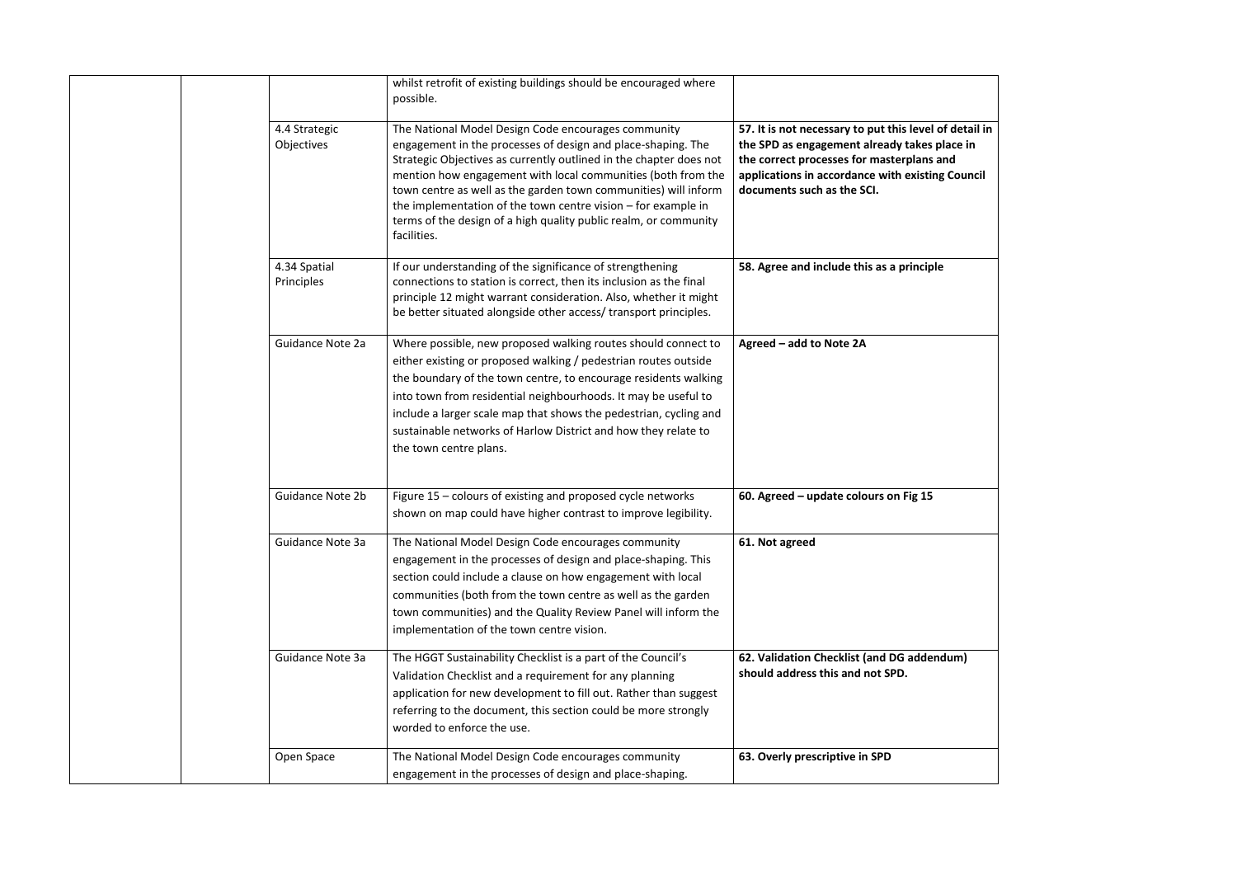|                             | whilst retrofit of existing buildings should be encouraged where<br>possible.                                                                                                                                                                                                                                                                                                                                                                                                      |                                                                                                                                                                                                           |
|-----------------------------|------------------------------------------------------------------------------------------------------------------------------------------------------------------------------------------------------------------------------------------------------------------------------------------------------------------------------------------------------------------------------------------------------------------------------------------------------------------------------------|-----------------------------------------------------------------------------------------------------------------------------------------------------------------------------------------------------------|
| 4.4 Strategic<br>Objectives | The National Model Design Code encourages community<br>engagement in the processes of design and place-shaping. The<br>Strategic Objectives as currently outlined in the chapter does not<br>mention how engagement with local communities (both from the<br>town centre as well as the garden town communities) will inform<br>the implementation of the town centre vision $-$ for example in<br>terms of the design of a high quality public realm, or community<br>facilities. | 57. It is not necessary to put this level o<br>the SPD as engagement already takes p<br>the correct processes for masterplans a<br>applications in accordance with existing<br>documents such as the SCI. |
| 4.34 Spatial<br>Principles  | If our understanding of the significance of strengthening<br>connections to station is correct, then its inclusion as the final<br>principle 12 might warrant consideration. Also, whether it might<br>be better situated alongside other access/ transport principles.                                                                                                                                                                                                            | 58. Agree and include this as a principle                                                                                                                                                                 |
| Guidance Note 2a            | Where possible, new proposed walking routes should connect to<br>either existing or proposed walking / pedestrian routes outside<br>the boundary of the town centre, to encourage residents walking<br>into town from residential neighbourhoods. It may be useful to<br>include a larger scale map that shows the pedestrian, cycling and<br>sustainable networks of Harlow District and how they relate to<br>the town centre plans.                                             | Agreed - add to Note 2A                                                                                                                                                                                   |
| <b>Guidance Note 2b</b>     | Figure 15 - colours of existing and proposed cycle networks<br>shown on map could have higher contrast to improve legibility.                                                                                                                                                                                                                                                                                                                                                      | 60. Agreed - update colours on Fig 15                                                                                                                                                                     |
| Guidance Note 3a            | The National Model Design Code encourages community<br>engagement in the processes of design and place-shaping. This<br>section could include a clause on how engagement with local<br>communities (both from the town centre as well as the garden<br>town communities) and the Quality Review Panel will inform the<br>implementation of the town centre vision.                                                                                                                 | 61. Not agreed                                                                                                                                                                                            |
| Guidance Note 3a            | The HGGT Sustainability Checklist is a part of the Council's<br>Validation Checklist and a requirement for any planning<br>application for new development to fill out. Rather than suggest<br>referring to the document, this section could be more strongly<br>worded to enforce the use.                                                                                                                                                                                        | 62. Validation Checklist (and DG addeno<br>should address this and not SPD.                                                                                                                               |
| Open Space                  | The National Model Design Code encourages community<br>engagement in the processes of design and place-shaping.                                                                                                                                                                                                                                                                                                                                                                    | 63. Overly prescriptive in SPD                                                                                                                                                                            |

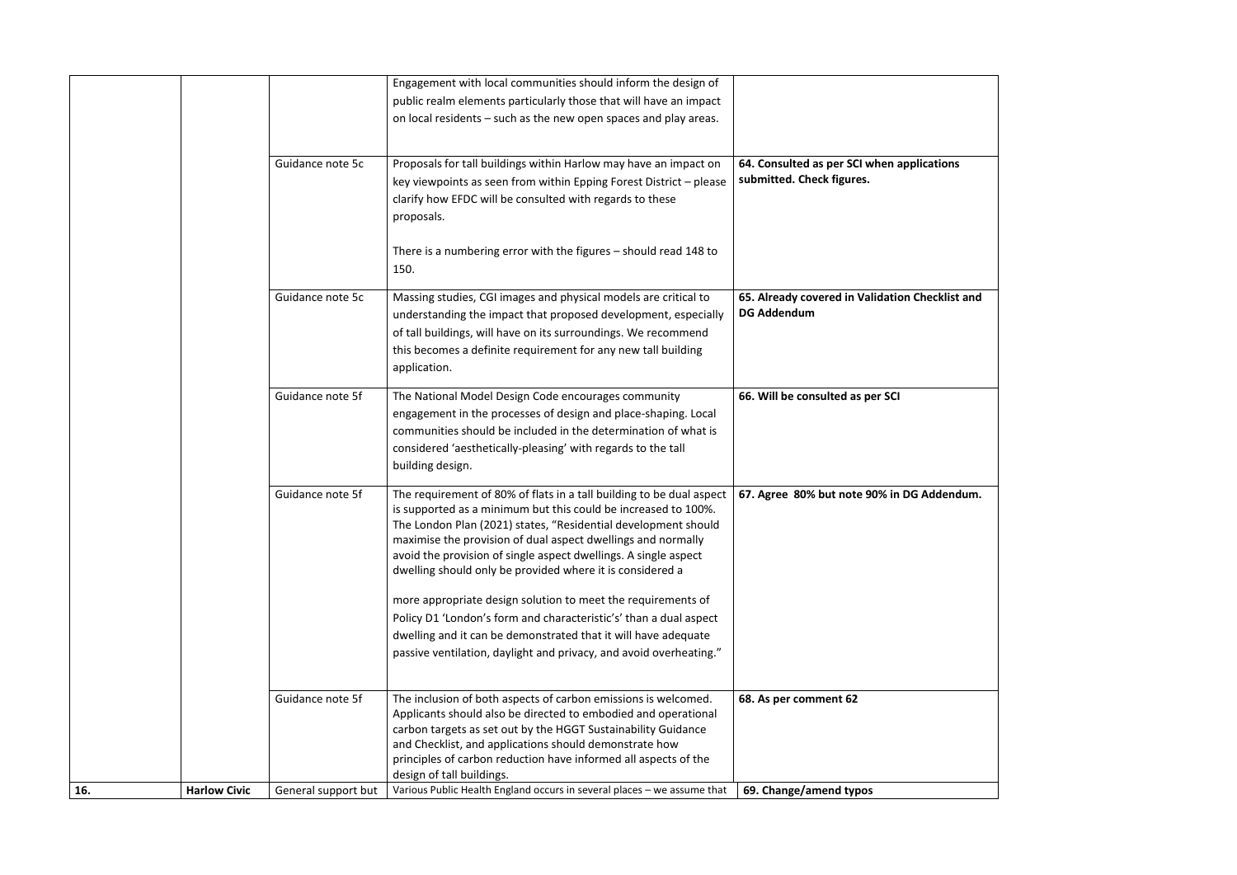

|     |                     |                     | Engagement with local communities should inform the design of                                                                                                                                                                                                                                                                                                                                            |                                                                    |
|-----|---------------------|---------------------|----------------------------------------------------------------------------------------------------------------------------------------------------------------------------------------------------------------------------------------------------------------------------------------------------------------------------------------------------------------------------------------------------------|--------------------------------------------------------------------|
|     |                     |                     | public realm elements particularly those that will have an impact                                                                                                                                                                                                                                                                                                                                        |                                                                    |
|     |                     |                     | on local residents - such as the new open spaces and play areas.                                                                                                                                                                                                                                                                                                                                         |                                                                    |
|     |                     | Guidance note 5c    | Proposals for tall buildings within Harlow may have an impact on<br>key viewpoints as seen from within Epping Forest District - please<br>clarify how EFDC will be consulted with regards to these<br>proposals.                                                                                                                                                                                         | 64. Consulted as per SCI when applica<br>submitted. Check figures. |
|     |                     |                     | There is a numbering error with the figures $-$ should read 148 to<br>150.                                                                                                                                                                                                                                                                                                                               |                                                                    |
|     |                     | Guidance note 5c    | Massing studies, CGI images and physical models are critical to<br>understanding the impact that proposed development, especially<br>of tall buildings, will have on its surroundings. We recommend<br>this becomes a definite requirement for any new tall building<br>application.                                                                                                                     | 65. Already covered in Validation Che<br><b>DG Addendum</b>        |
|     |                     | Guidance note 5f    | The National Model Design Code encourages community<br>engagement in the processes of design and place-shaping. Local<br>communities should be included in the determination of what is<br>considered 'aesthetically-pleasing' with regards to the tall<br>building design.                                                                                                                              | 66. Will be consulted as per SCI                                   |
|     |                     | Guidance note 5f    | The requirement of 80% of flats in a tall building to be dual aspect<br>is supported as a minimum but this could be increased to 100%.<br>The London Plan (2021) states, "Residential development should<br>maximise the provision of dual aspect dwellings and normally<br>avoid the provision of single aspect dwellings. A single aspect<br>dwelling should only be provided where it is considered a | 67. Agree 80% but note 90% in DG Ad                                |
|     |                     |                     | more appropriate design solution to meet the requirements of<br>Policy D1 'London's form and characteristic's' than a dual aspect<br>dwelling and it can be demonstrated that it will have adequate<br>passive ventilation, daylight and privacy, and avoid overheating."                                                                                                                                |                                                                    |
|     |                     | Guidance note 5f    | The inclusion of both aspects of carbon emissions is welcomed.<br>Applicants should also be directed to embodied and operational<br>carbon targets as set out by the HGGT Sustainability Guidance<br>and Checklist, and applications should demonstrate how<br>principles of carbon reduction have informed all aspects of the<br>design of tall buildings.                                              | 68. As per comment 62                                              |
| 16. | <b>Harlow Civic</b> | General support but | Various Public Health England occurs in several places - we assume that                                                                                                                                                                                                                                                                                                                                  | 69. Change/amend typos                                             |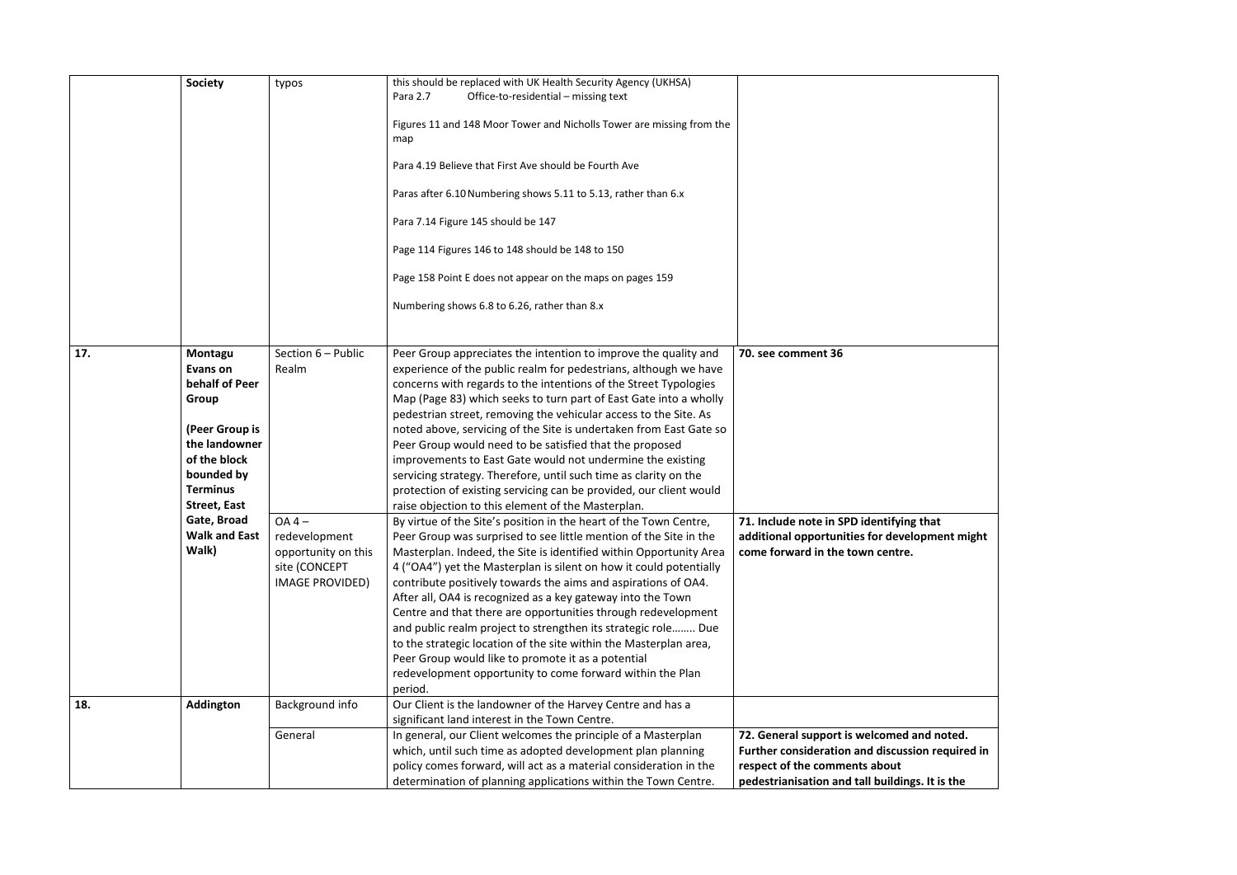|     | <b>Society</b>                                                                                                                                            | typos                                                                                       | this should be replaced with UK Health Security Agency (UKHSA)<br>Office-to-residential - missing text<br>Para 2.7<br>Figures 11 and 148 Moor Tower and Nicholls Tower are missing from the<br>map<br>Para 4.19 Believe that First Ave should be Fourth Ave<br>Paras after 6.10 Numbering shows 5.11 to 5.13, rather than 6.x<br>Para 7.14 Figure 145 should be 147<br>Page 114 Figures 146 to 148 should be 148 to 150<br>Page 158 Point E does not appear on the maps on pages 159<br>Numbering shows 6.8 to 6.26, rather than 8.x                                                                                                                                                                                                                     |                                                                                                                      |
|-----|-----------------------------------------------------------------------------------------------------------------------------------------------------------|---------------------------------------------------------------------------------------------|----------------------------------------------------------------------------------------------------------------------------------------------------------------------------------------------------------------------------------------------------------------------------------------------------------------------------------------------------------------------------------------------------------------------------------------------------------------------------------------------------------------------------------------------------------------------------------------------------------------------------------------------------------------------------------------------------------------------------------------------------------|----------------------------------------------------------------------------------------------------------------------|
| 17. | Montagu<br>Evans on<br>behalf of Peer<br>Group<br>(Peer Group is<br>the landowner<br>of the block<br>bounded by<br><b>Terminus</b><br><b>Street, East</b> | Section 6 - Public<br>Realm                                                                 | Peer Group appreciates the intention to improve the quality and<br>experience of the public realm for pedestrians, although we have<br>concerns with regards to the intentions of the Street Typologies<br>Map (Page 83) which seeks to turn part of East Gate into a wholly<br>pedestrian street, removing the vehicular access to the Site. As<br>noted above, servicing of the Site is undertaken from East Gate so<br>Peer Group would need to be satisfied that the proposed<br>improvements to East Gate would not undermine the existing<br>servicing strategy. Therefore, until such time as clarity on the<br>protection of existing servicing can be provided, our client would<br>raise objection to this element of the Masterplan.          | 70. see comment 36                                                                                                   |
|     | Gate, Broad<br><b>Walk and East</b><br>Walk)                                                                                                              | $OA 4 -$<br>redevelopment<br>opportunity on this<br>site (CONCEPT<br><b>IMAGE PROVIDED)</b> | By virtue of the Site's position in the heart of the Town Centre,<br>Peer Group was surprised to see little mention of the Site in the<br>Masterplan. Indeed, the Site is identified within Opportunity Area<br>4 ("OA4") yet the Masterplan is silent on how it could potentially<br>contribute positively towards the aims and aspirations of OA4.<br>After all, OA4 is recognized as a key gateway into the Town<br>Centre and that there are opportunities through redevelopment<br>and public realm project to strengthen its strategic role Due<br>to the strategic location of the site within the Masterplan area,<br>Peer Group would like to promote it as a potential<br>redevelopment opportunity to come forward within the Plan<br>period. | 71. Include note in SPD identifying t<br>additional opportunities for develop<br>come forward in the town centre.    |
| 18. | Addington                                                                                                                                                 | Background info<br>General                                                                  | Our Client is the landowner of the Harvey Centre and has a<br>significant land interest in the Town Centre.<br>In general, our Client welcomes the principle of a Masterplan                                                                                                                                                                                                                                                                                                                                                                                                                                                                                                                                                                             | 72. General support is welcomed an                                                                                   |
|     |                                                                                                                                                           |                                                                                             | which, until such time as adopted development plan planning<br>policy comes forward, will act as a material consideration in the<br>determination of planning applications within the Town Centre.                                                                                                                                                                                                                                                                                                                                                                                                                                                                                                                                                       | <b>Further consideration and discussio</b><br>respect of the comments about<br>pedestrianisation and tall buildings. |

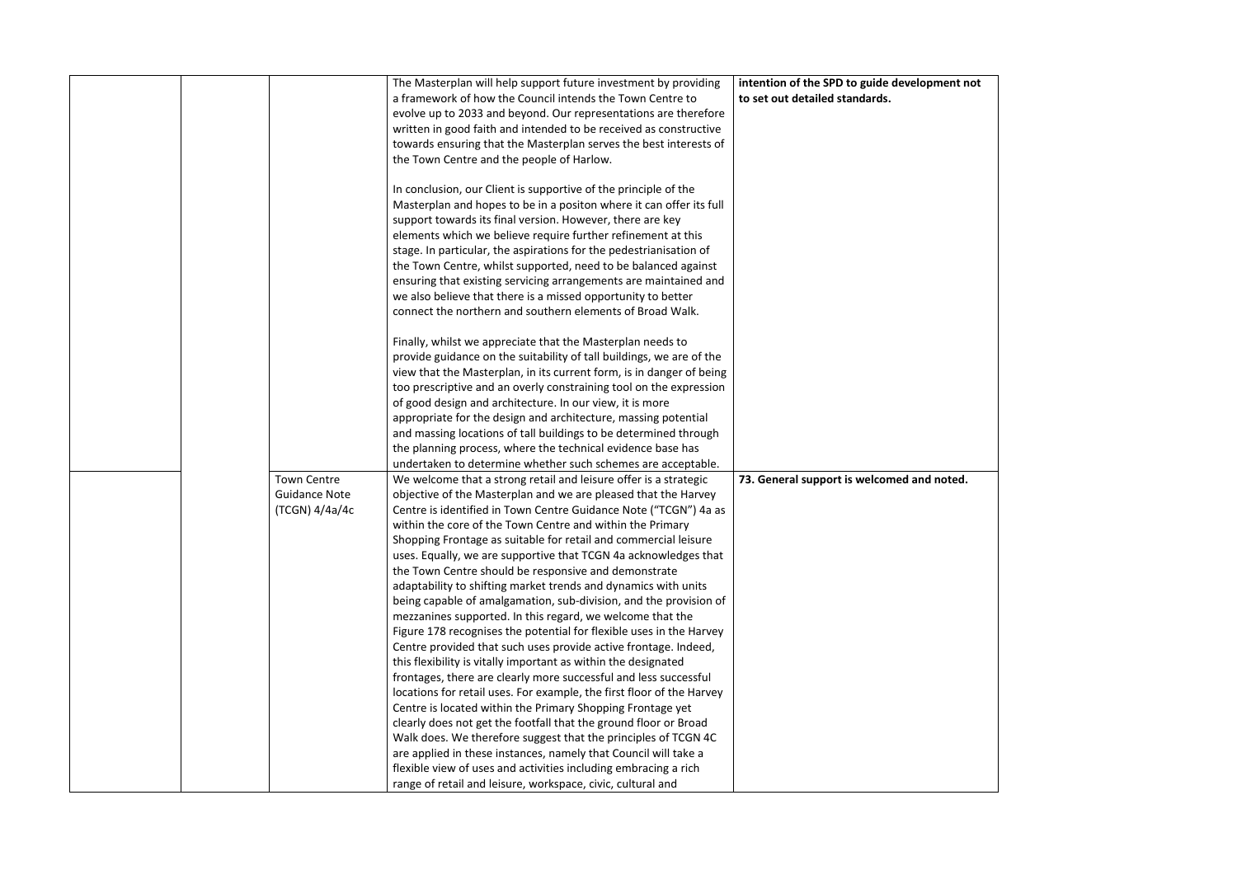|  |                      | The Masterplan will help support future investment by providing       | intention of the SPD to guide development not |
|--|----------------------|-----------------------------------------------------------------------|-----------------------------------------------|
|  |                      | a framework of how the Council intends the Town Centre to             | to set out detailed standards.                |
|  |                      | evolve up to 2033 and beyond. Our representations are therefore       |                                               |
|  |                      | written in good faith and intended to be received as constructive     |                                               |
|  |                      | towards ensuring that the Masterplan serves the best interests of     |                                               |
|  |                      | the Town Centre and the people of Harlow.                             |                                               |
|  |                      |                                                                       |                                               |
|  |                      | In conclusion, our Client is supportive of the principle of the       |                                               |
|  |                      | Masterplan and hopes to be in a positon where it can offer its full   |                                               |
|  |                      | support towards its final version. However, there are key             |                                               |
|  |                      | elements which we believe require further refinement at this          |                                               |
|  |                      | stage. In particular, the aspirations for the pedestrianisation of    |                                               |
|  |                      | the Town Centre, whilst supported, need to be balanced against        |                                               |
|  |                      | ensuring that existing servicing arrangements are maintained and      |                                               |
|  |                      | we also believe that there is a missed opportunity to better          |                                               |
|  |                      | connect the northern and southern elements of Broad Walk.             |                                               |
|  |                      |                                                                       |                                               |
|  |                      | Finally, whilst we appreciate that the Masterplan needs to            |                                               |
|  |                      | provide guidance on the suitability of tall buildings, we are of the  |                                               |
|  |                      | view that the Masterplan, in its current form, is in danger of being  |                                               |
|  |                      | too prescriptive and an overly constraining tool on the expression    |                                               |
|  |                      | of good design and architecture. In our view, it is more              |                                               |
|  |                      | appropriate for the design and architecture, massing potential        |                                               |
|  |                      | and massing locations of tall buildings to be determined through      |                                               |
|  |                      | the planning process, where the technical evidence base has           |                                               |
|  |                      | undertaken to determine whether such schemes are acceptable.          |                                               |
|  | <b>Town Centre</b>   | We welcome that a strong retail and leisure offer is a strategic      | 73. General support is welcomed and noted.    |
|  | <b>Guidance Note</b> | objective of the Masterplan and we are pleased that the Harvey        |                                               |
|  | (TCGN) 4/4a/4c       | Centre is identified in Town Centre Guidance Note ("TCGN") 4a as      |                                               |
|  |                      | within the core of the Town Centre and within the Primary             |                                               |
|  |                      | Shopping Frontage as suitable for retail and commercial leisure       |                                               |
|  |                      | uses. Equally, we are supportive that TCGN 4a acknowledges that       |                                               |
|  |                      | the Town Centre should be responsive and demonstrate                  |                                               |
|  |                      | adaptability to shifting market trends and dynamics with units        |                                               |
|  |                      | being capable of amalgamation, sub-division, and the provision of     |                                               |
|  |                      | mezzanines supported. In this regard, we welcome that the             |                                               |
|  |                      | Figure 178 recognises the potential for flexible uses in the Harvey   |                                               |
|  |                      | Centre provided that such uses provide active frontage. Indeed,       |                                               |
|  |                      | this flexibility is vitally important as within the designated        |                                               |
|  |                      | frontages, there are clearly more successful and less successful      |                                               |
|  |                      | locations for retail uses. For example, the first floor of the Harvey |                                               |
|  |                      | Centre is located within the Primary Shopping Frontage yet            |                                               |
|  |                      | clearly does not get the footfall that the ground floor or Broad      |                                               |
|  |                      | Walk does. We therefore suggest that the principles of TCGN 4C        |                                               |
|  |                      | are applied in these instances, namely that Council will take a       |                                               |
|  |                      | flexible view of uses and activities including embracing a rich       |                                               |
|  |                      | range of retail and leisure, workspace, civic, cultural and           |                                               |

| oment not |  |
|-----------|--|
|           |  |
|           |  |
|           |  |
|           |  |
|           |  |
|           |  |
|           |  |
|           |  |
|           |  |
|           |  |
|           |  |
|           |  |
|           |  |
|           |  |
|           |  |
|           |  |
|           |  |
|           |  |
|           |  |
|           |  |
|           |  |
|           |  |
|           |  |
|           |  |
|           |  |
|           |  |
|           |  |
|           |  |
|           |  |
|           |  |
|           |  |
|           |  |
|           |  |
|           |  |
|           |  |
|           |  |
|           |  |
|           |  |
|           |  |
|           |  |
|           |  |
|           |  |
|           |  |
|           |  |
|           |  |
|           |  |
|           |  |
|           |  |
| noted.    |  |
|           |  |
|           |  |
|           |  |
|           |  |
|           |  |
|           |  |
|           |  |
|           |  |
|           |  |
|           |  |
|           |  |
|           |  |
|           |  |
|           |  |
|           |  |
|           |  |
|           |  |
|           |  |
|           |  |
|           |  |
|           |  |
|           |  |
|           |  |
|           |  |
|           |  |
|           |  |
|           |  |
|           |  |
|           |  |
|           |  |
|           |  |
|           |  |
|           |  |
|           |  |
|           |  |
|           |  |
|           |  |
|           |  |
|           |  |
|           |  |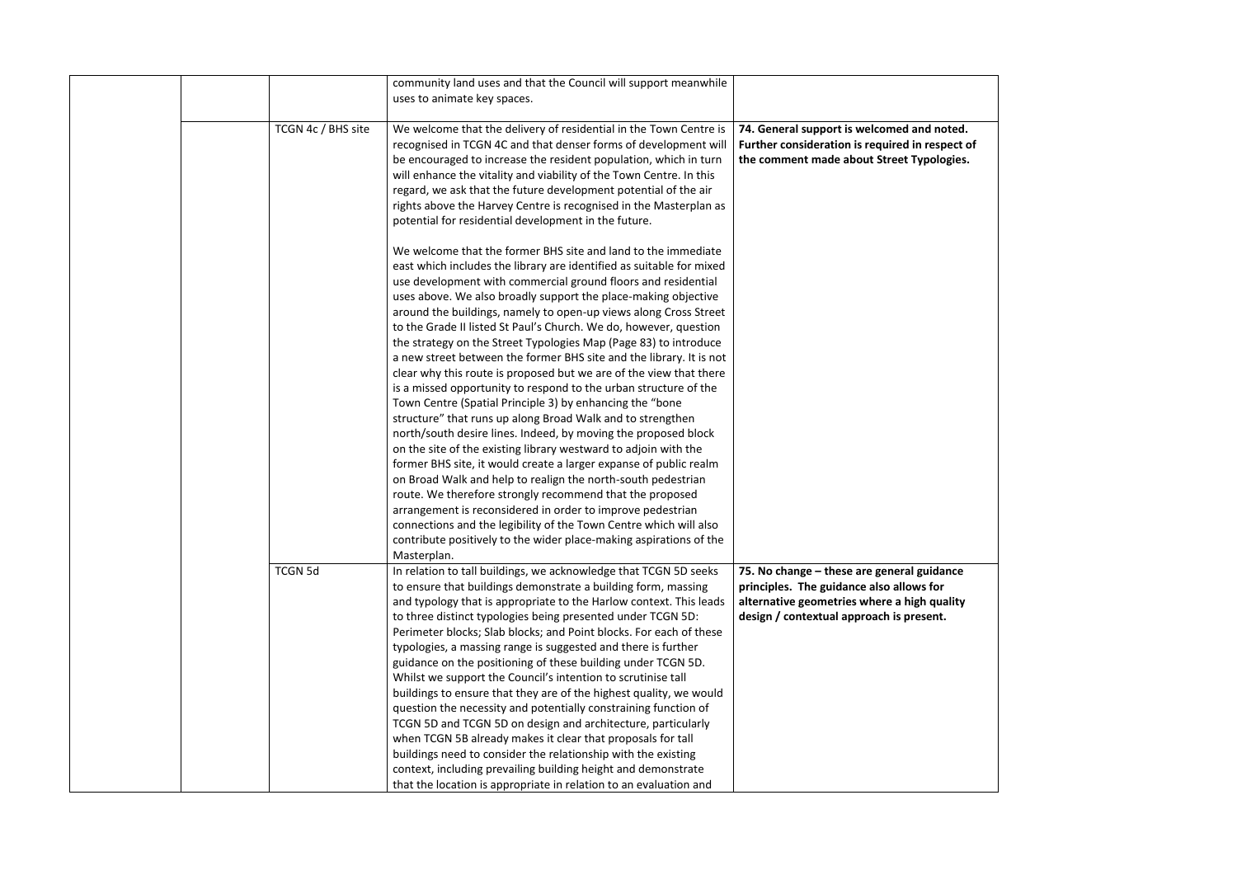|  |                    | community land uses and that the Council will support meanwhile      |                                                 |
|--|--------------------|----------------------------------------------------------------------|-------------------------------------------------|
|  |                    | uses to animate key spaces.                                          |                                                 |
|  |                    |                                                                      |                                                 |
|  | TCGN 4c / BHS site | We welcome that the delivery of residential in the Town Centre is    | 74. General support is welcomed and noted.      |
|  |                    | recognised in TCGN 4C and that denser forms of development will      | Further consideration is required in respect of |
|  |                    | be encouraged to increase the resident population, which in turn     | the comment made about Street Typologies.       |
|  |                    | will enhance the vitality and viability of the Town Centre. In this  |                                                 |
|  |                    | regard, we ask that the future development potential of the air      |                                                 |
|  |                    | rights above the Harvey Centre is recognised in the Masterplan as    |                                                 |
|  |                    | potential for residential development in the future.                 |                                                 |
|  |                    |                                                                      |                                                 |
|  |                    | We welcome that the former BHS site and land to the immediate        |                                                 |
|  |                    | east which includes the library are identified as suitable for mixed |                                                 |
|  |                    |                                                                      |                                                 |
|  |                    | use development with commercial ground floors and residential        |                                                 |
|  |                    | uses above. We also broadly support the place-making objective       |                                                 |
|  |                    | around the buildings, namely to open-up views along Cross Street     |                                                 |
|  |                    | to the Grade II listed St Paul's Church. We do, however, question    |                                                 |
|  |                    | the strategy on the Street Typologies Map (Page 83) to introduce     |                                                 |
|  |                    | a new street between the former BHS site and the library. It is not  |                                                 |
|  |                    | clear why this route is proposed but we are of the view that there   |                                                 |
|  |                    | is a missed opportunity to respond to the urban structure of the     |                                                 |
|  |                    | Town Centre (Spatial Principle 3) by enhancing the "bone             |                                                 |
|  |                    | structure" that runs up along Broad Walk and to strengthen           |                                                 |
|  |                    | north/south desire lines. Indeed, by moving the proposed block       |                                                 |
|  |                    | on the site of the existing library westward to adjoin with the      |                                                 |
|  |                    | former BHS site, it would create a larger expanse of public realm    |                                                 |
|  |                    | on Broad Walk and help to realign the north-south pedestrian         |                                                 |
|  |                    | route. We therefore strongly recommend that the proposed             |                                                 |
|  |                    | arrangement is reconsidered in order to improve pedestrian           |                                                 |
|  |                    | connections and the legibility of the Town Centre which will also    |                                                 |
|  |                    | contribute positively to the wider place-making aspirations of the   |                                                 |
|  |                    |                                                                      |                                                 |
|  |                    | Masterplan.                                                          |                                                 |
|  | <b>TCGN 5d</b>     | In relation to tall buildings, we acknowledge that TCGN 5D seeks     | 75. No change – these are general guidance      |
|  |                    | to ensure that buildings demonstrate a building form, massing        | principles. The guidance also allows for        |
|  |                    | and typology that is appropriate to the Harlow context. This leads   | alternative geometries where a high quality     |
|  |                    | to three distinct typologies being presented under TCGN 5D:          | design / contextual approach is present.        |
|  |                    | Perimeter blocks; Slab blocks; and Point blocks. For each of these   |                                                 |
|  |                    | typologies, a massing range is suggested and there is further        |                                                 |
|  |                    | guidance on the positioning of these building under TCGN 5D.         |                                                 |
|  |                    | Whilst we support the Council's intention to scrutinise tall         |                                                 |
|  |                    | buildings to ensure that they are of the highest quality, we would   |                                                 |
|  |                    | question the necessity and potentially constraining function of      |                                                 |
|  |                    | TCGN 5D and TCGN 5D on design and architecture, particularly         |                                                 |
|  |                    | when TCGN 5B already makes it clear that proposals for tall          |                                                 |
|  |                    | buildings need to consider the relationship with the existing        |                                                 |
|  |                    | context, including prevailing building height and demonstrate        |                                                 |
|  |                    | that the location is appropriate in relation to an evaluation and    |                                                 |
|  |                    |                                                                      |                                                 |

| noted.<br>espect of<br>plogies. |  |
|---------------------------------|--|
|                                 |  |
|                                 |  |
|                                 |  |
|                                 |  |
|                                 |  |
|                                 |  |
|                                 |  |
| dance<br>or<br>quality<br>nt.   |  |
|                                 |  |
|                                 |  |
|                                 |  |
|                                 |  |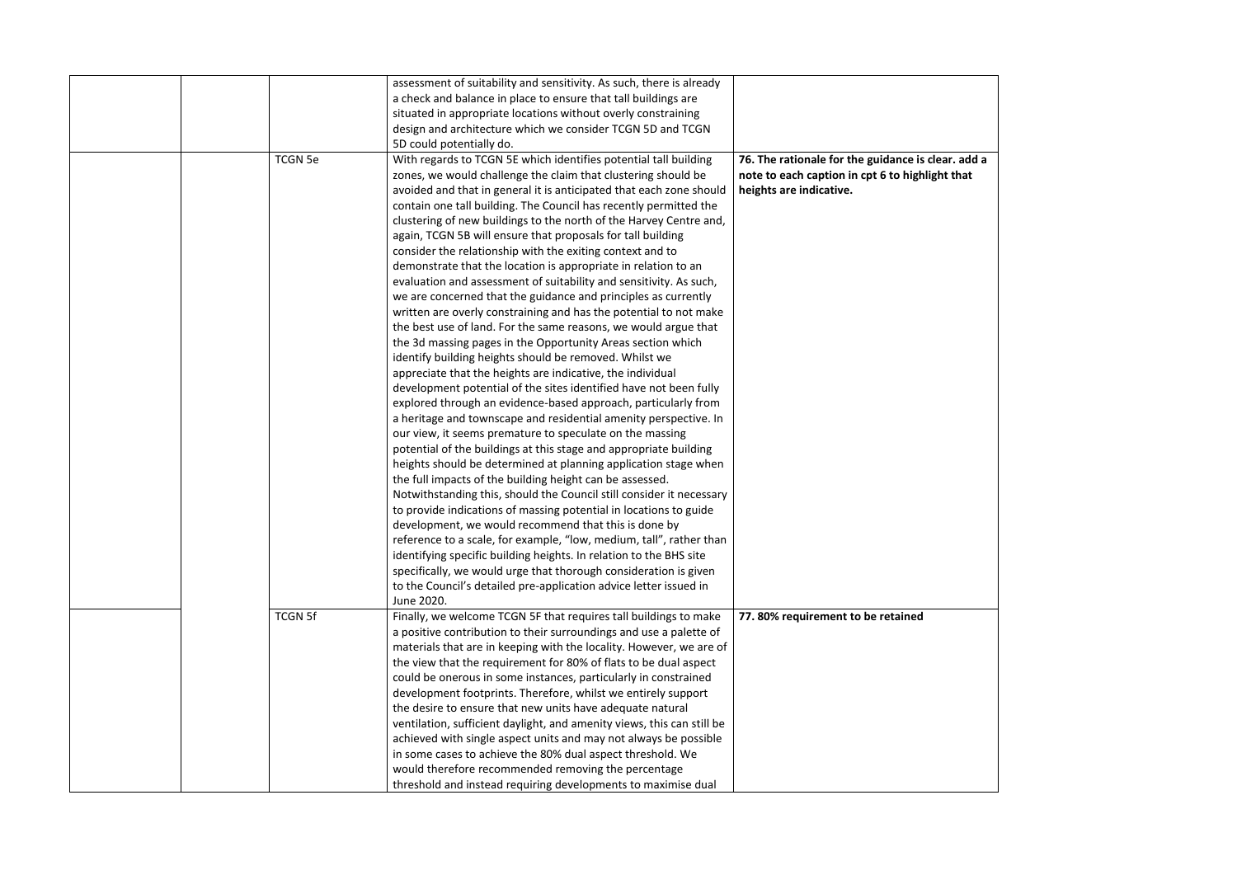|  |                | assessment of suitability and sensitivity. As such, there is already   |                                         |
|--|----------------|------------------------------------------------------------------------|-----------------------------------------|
|  |                | a check and balance in place to ensure that tall buildings are         |                                         |
|  |                | situated in appropriate locations without overly constraining          |                                         |
|  |                | design and architecture which we consider TCGN 5D and TCGN             |                                         |
|  |                | 5D could potentially do.                                               |                                         |
|  | <b>TCGN 5e</b> | With regards to TCGN 5E which identifies potential tall building       | 76. The rationale for the guidance is o |
|  |                | zones, we would challenge the claim that clustering should be          | note to each caption in cpt 6 to highli |
|  |                | avoided and that in general it is anticipated that each zone should    | heights are indicative.                 |
|  |                | contain one tall building. The Council has recently permitted the      |                                         |
|  |                | clustering of new buildings to the north of the Harvey Centre and,     |                                         |
|  |                | again, TCGN 5B will ensure that proposals for tall building            |                                         |
|  |                | consider the relationship with the exiting context and to              |                                         |
|  |                | demonstrate that the location is appropriate in relation to an         |                                         |
|  |                | evaluation and assessment of suitability and sensitivity. As such,     |                                         |
|  |                | we are concerned that the guidance and principles as currently         |                                         |
|  |                | written are overly constraining and has the potential to not make      |                                         |
|  |                | the best use of land. For the same reasons, we would argue that        |                                         |
|  |                | the 3d massing pages in the Opportunity Areas section which            |                                         |
|  |                | identify building heights should be removed. Whilst we                 |                                         |
|  |                | appreciate that the heights are indicative, the individual             |                                         |
|  |                | development potential of the sites identified have not been fully      |                                         |
|  |                | explored through an evidence-based approach, particularly from         |                                         |
|  |                | a heritage and townscape and residential amenity perspective. In       |                                         |
|  |                | our view, it seems premature to speculate on the massing               |                                         |
|  |                | potential of the buildings at this stage and appropriate building      |                                         |
|  |                | heights should be determined at planning application stage when        |                                         |
|  |                | the full impacts of the building height can be assessed.               |                                         |
|  |                | Notwithstanding this, should the Council still consider it necessary   |                                         |
|  |                | to provide indications of massing potential in locations to guide      |                                         |
|  |                | development, we would recommend that this is done by                   |                                         |
|  |                | reference to a scale, for example, "low, medium, tall", rather than    |                                         |
|  |                | identifying specific building heights. In relation to the BHS site     |                                         |
|  |                | specifically, we would urge that thorough consideration is given       |                                         |
|  |                | to the Council's detailed pre-application advice letter issued in      |                                         |
|  |                | June 2020.                                                             |                                         |
|  | <b>TCGN 5f</b> | Finally, we welcome TCGN 5F that requires tall buildings to make       | 77.80% requirement to be retained       |
|  |                | a positive contribution to their surroundings and use a palette of     |                                         |
|  |                | materials that are in keeping with the locality. However, we are of    |                                         |
|  |                | the view that the requirement for 80% of flats to be dual aspect       |                                         |
|  |                | could be onerous in some instances, particularly in constrained        |                                         |
|  |                | development footprints. Therefore, whilst we entirely support          |                                         |
|  |                | the desire to ensure that new units have adequate natural              |                                         |
|  |                | ventilation, sufficient daylight, and amenity views, this can still be |                                         |
|  |                | achieved with single aspect units and may not always be possible       |                                         |
|  |                | in some cases to achieve the 80% dual aspect threshold. We             |                                         |
|  |                | would therefore recommended removing the percentage                    |                                         |
|  |                |                                                                        |                                         |
|  |                | threshold and instead requiring developments to maximise dual          |                                         |

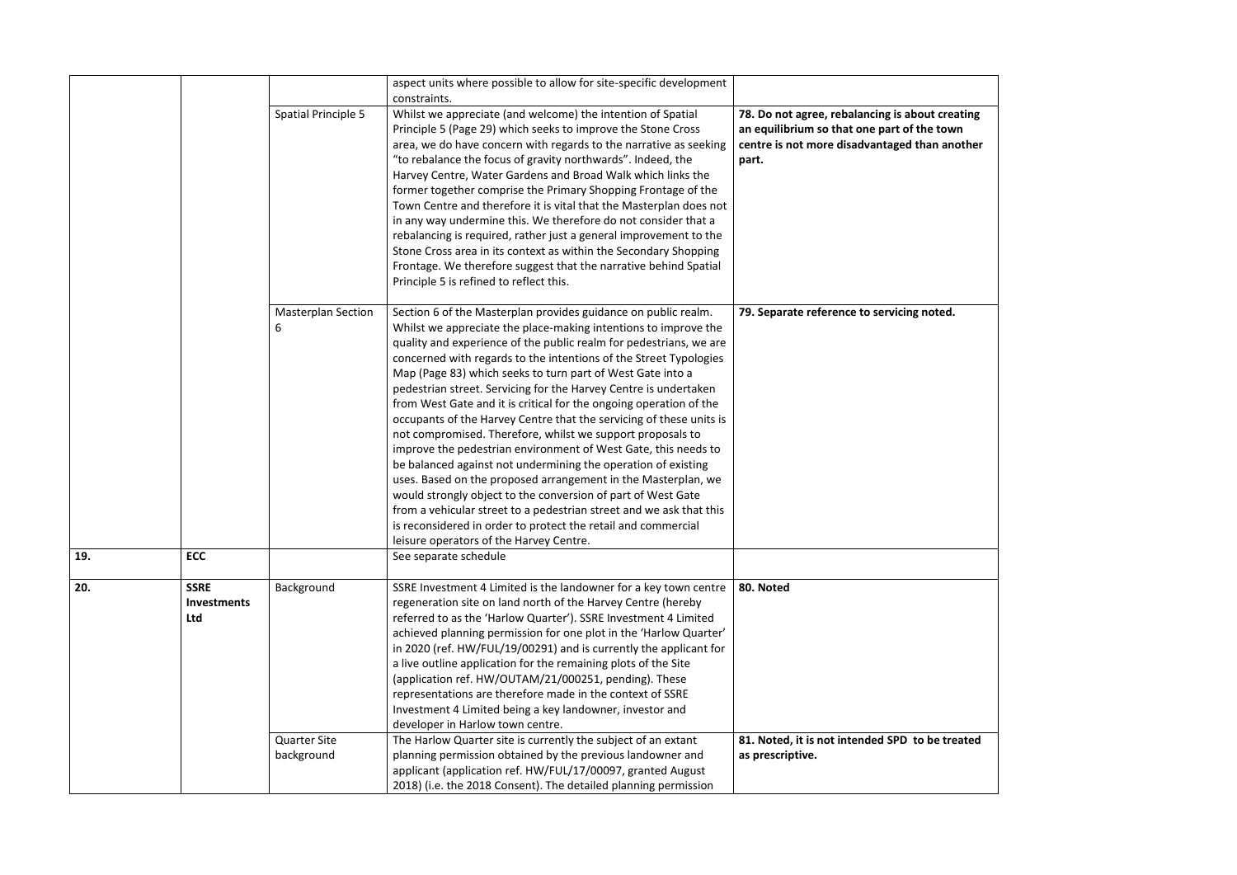|     |                                                 |                                   | aspect units where possible to allow for site-specific development<br>constraints.                                                                                                                                                                                                                                                                                                                                                                                                                                                                                                                                                                                                                                                                                                                                                                                                                                                                                                                                                                                               |                                                                                                                                   |
|-----|-------------------------------------------------|-----------------------------------|----------------------------------------------------------------------------------------------------------------------------------------------------------------------------------------------------------------------------------------------------------------------------------------------------------------------------------------------------------------------------------------------------------------------------------------------------------------------------------------------------------------------------------------------------------------------------------------------------------------------------------------------------------------------------------------------------------------------------------------------------------------------------------------------------------------------------------------------------------------------------------------------------------------------------------------------------------------------------------------------------------------------------------------------------------------------------------|-----------------------------------------------------------------------------------------------------------------------------------|
|     |                                                 | Spatial Principle 5               | Whilst we appreciate (and welcome) the intention of Spatial<br>Principle 5 (Page 29) which seeks to improve the Stone Cross<br>area, we do have concern with regards to the narrative as seeking<br>"to rebalance the focus of gravity northwards". Indeed, the<br>Harvey Centre, Water Gardens and Broad Walk which links the<br>former together comprise the Primary Shopping Frontage of the<br>Town Centre and therefore it is vital that the Masterplan does not<br>in any way undermine this. We therefore do not consider that a<br>rebalancing is required, rather just a general improvement to the<br>Stone Cross area in its context as within the Secondary Shopping<br>Frontage. We therefore suggest that the narrative behind Spatial<br>Principle 5 is refined to reflect this.                                                                                                                                                                                                                                                                                  | 78. Do not agree, rebalancing is about<br>an equilibrium so that one part of the<br>centre is not more disadvantaged tha<br>part. |
|     |                                                 | <b>Masterplan Section</b><br>6    | Section 6 of the Masterplan provides guidance on public realm.<br>Whilst we appreciate the place-making intentions to improve the<br>quality and experience of the public realm for pedestrians, we are<br>concerned with regards to the intentions of the Street Typologies<br>Map (Page 83) which seeks to turn part of West Gate into a<br>pedestrian street. Servicing for the Harvey Centre is undertaken<br>from West Gate and it is critical for the ongoing operation of the<br>occupants of the Harvey Centre that the servicing of these units is<br>not compromised. Therefore, whilst we support proposals to<br>improve the pedestrian environment of West Gate, this needs to<br>be balanced against not undermining the operation of existing<br>uses. Based on the proposed arrangement in the Masterplan, we<br>would strongly object to the conversion of part of West Gate<br>from a vehicular street to a pedestrian street and we ask that this<br>is reconsidered in order to protect the retail and commercial<br>leisure operators of the Harvey Centre. | 79. Separate reference to servicing no                                                                                            |
| 19. | <b>ECC</b>                                      |                                   | See separate schedule                                                                                                                                                                                                                                                                                                                                                                                                                                                                                                                                                                                                                                                                                                                                                                                                                                                                                                                                                                                                                                                            |                                                                                                                                   |
| 20. | <b>SSRE</b><br><b>Investments</b><br><b>Ltd</b> | Background                        | SSRE Investment 4 Limited is the landowner for a key town centre<br>regeneration site on land north of the Harvey Centre (hereby<br>referred to as the 'Harlow Quarter'). SSRE Investment 4 Limited<br>achieved planning permission for one plot in the 'Harlow Quarter'<br>in 2020 (ref. HW/FUL/19/00291) and is currently the applicant for<br>a live outline application for the remaining plots of the Site<br>(application ref. HW/OUTAM/21/000251, pending). These<br>representations are therefore made in the context of SSRE<br>Investment 4 Limited being a key landowner, investor and<br>developer in Harlow town centre.                                                                                                                                                                                                                                                                                                                                                                                                                                            | 80. Noted                                                                                                                         |
|     |                                                 | <b>Quarter Site</b><br>background | The Harlow Quarter site is currently the subject of an extant<br>planning permission obtained by the previous landowner and<br>applicant (application ref. HW/FUL/17/00097, granted August<br>2018) (i.e. the 2018 Consent). The detailed planning permission                                                                                                                                                                                                                                                                                                                                                                                                                                                                                                                                                                                                                                                                                                                                                                                                                    | 81. Noted, it is not intended SPD to b<br>as prescriptive.                                                                        |

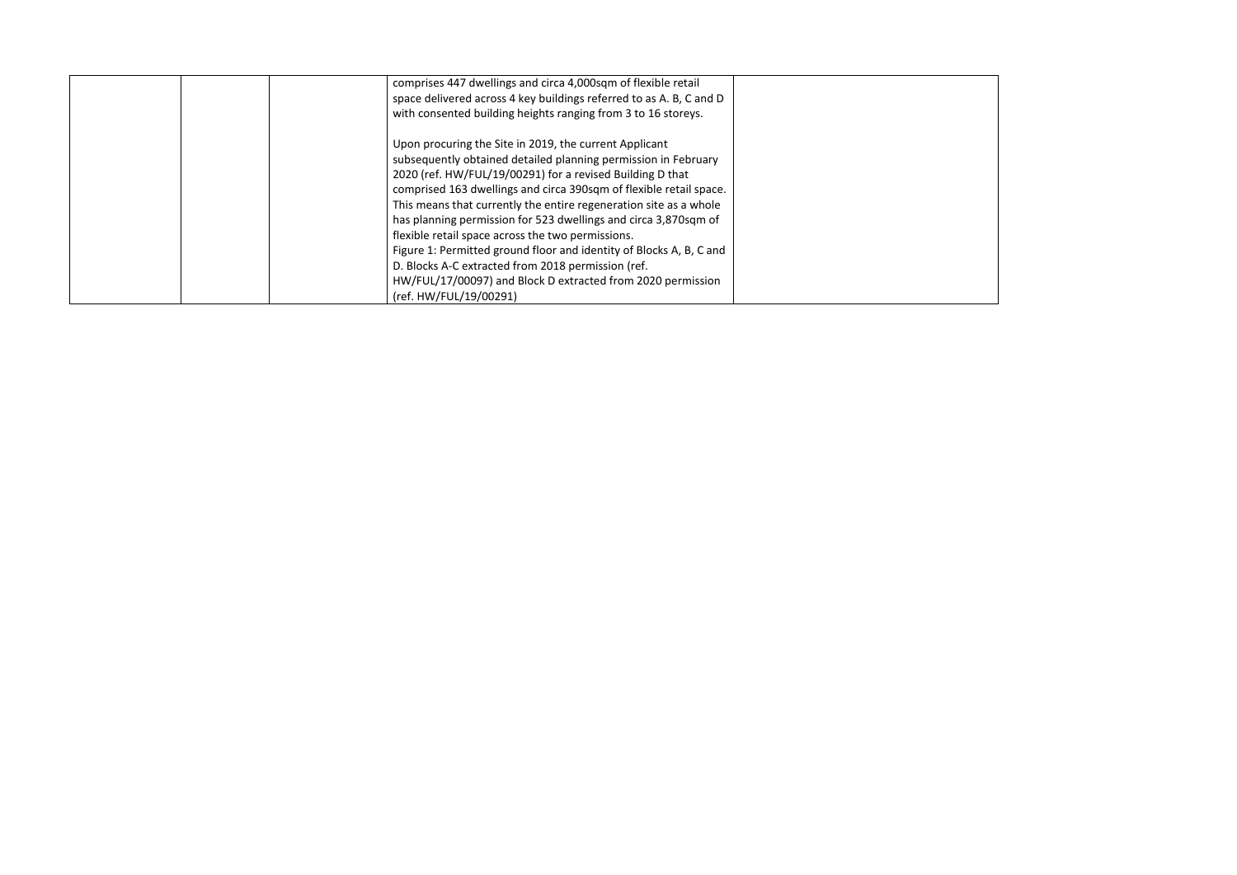|  | comprises 447 dwellings and circa 4,000sqm of flexible retail       |  |
|--|---------------------------------------------------------------------|--|
|  | space delivered across 4 key buildings referred to as A. B, C and D |  |
|  | with consented building heights ranging from 3 to 16 storeys.       |  |
|  |                                                                     |  |
|  | Upon procuring the Site in 2019, the current Applicant              |  |
|  | subsequently obtained detailed planning permission in February      |  |
|  | 2020 (ref. HW/FUL/19/00291) for a revised Building D that           |  |
|  | comprised 163 dwellings and circa 390sqm of flexible retail space.  |  |
|  | This means that currently the entire regeneration site as a whole   |  |
|  | has planning permission for 523 dwellings and circa 3,870sqm of     |  |
|  | flexible retail space across the two permissions.                   |  |
|  | Figure 1: Permitted ground floor and identity of Blocks A, B, C and |  |
|  | D. Blocks A-C extracted from 2018 permission (ref.                  |  |
|  | HW/FUL/17/00097) and Block D extracted from 2020 permission         |  |
|  | (ref. HW/FUL/19/00291)                                              |  |

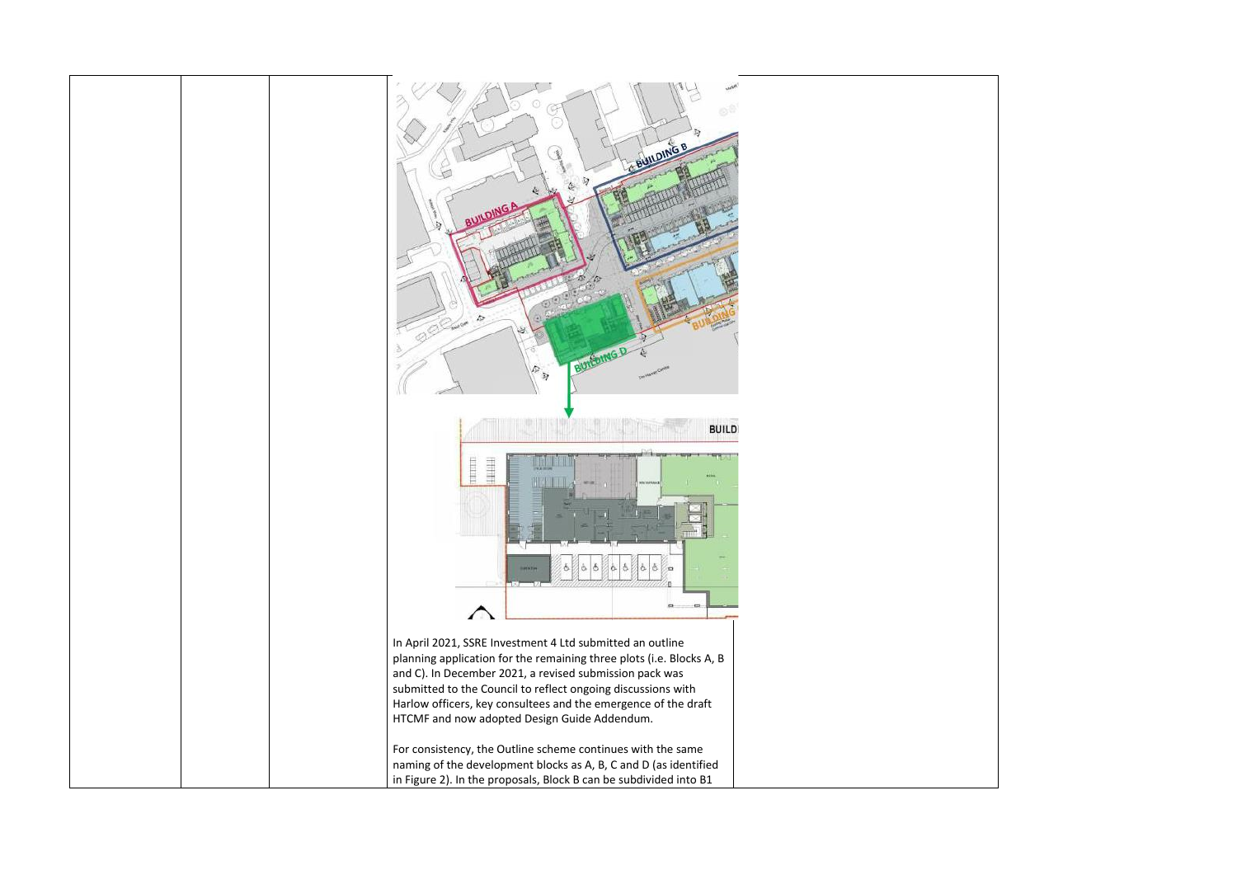

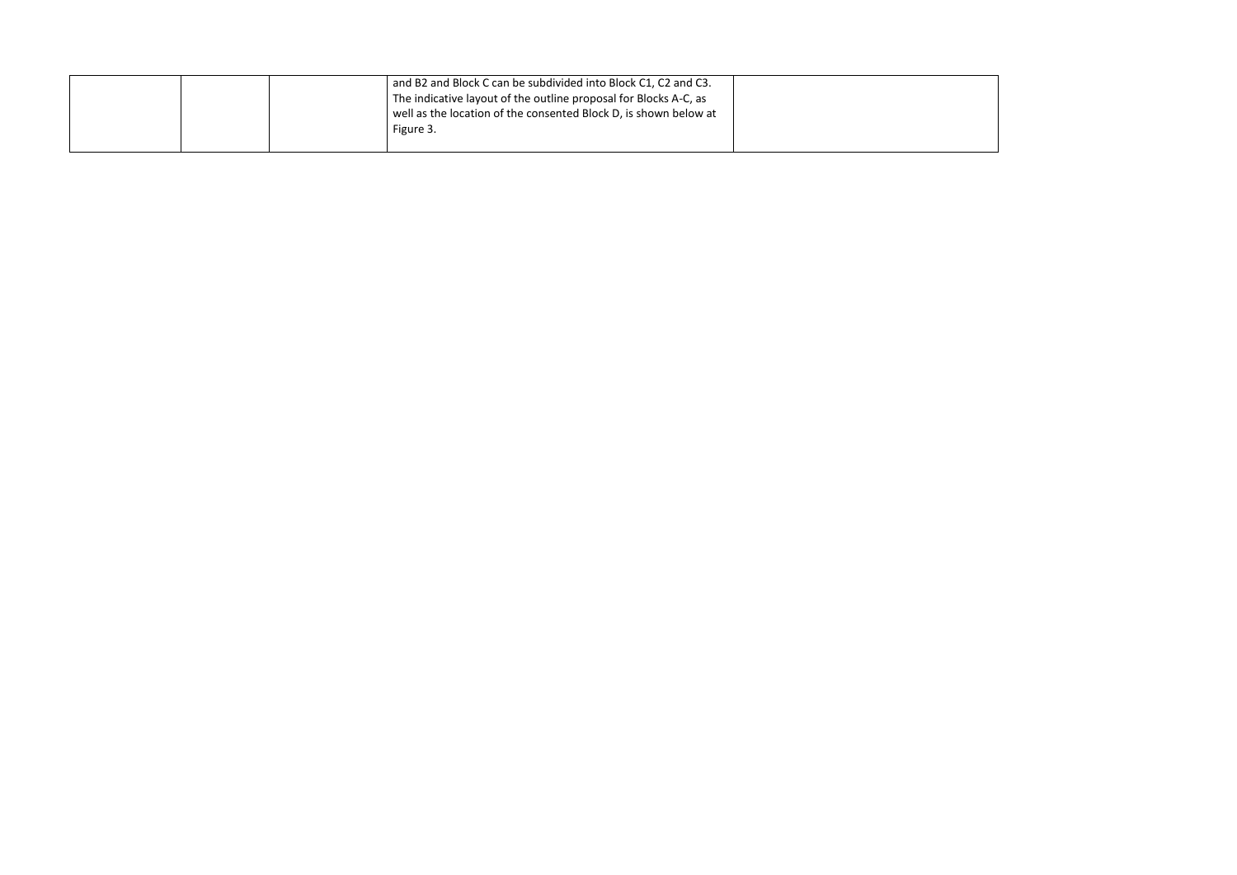|  |  | and B2 and Block C can be subdivided into Block C1, C2 and C3.   |  |
|--|--|------------------------------------------------------------------|--|
|  |  | The indicative layout of the outline proposal for Blocks A-C, as |  |
|  |  | well as the location of the consented Block D, is shown below at |  |
|  |  | Figure 3.                                                        |  |
|  |  |                                                                  |  |

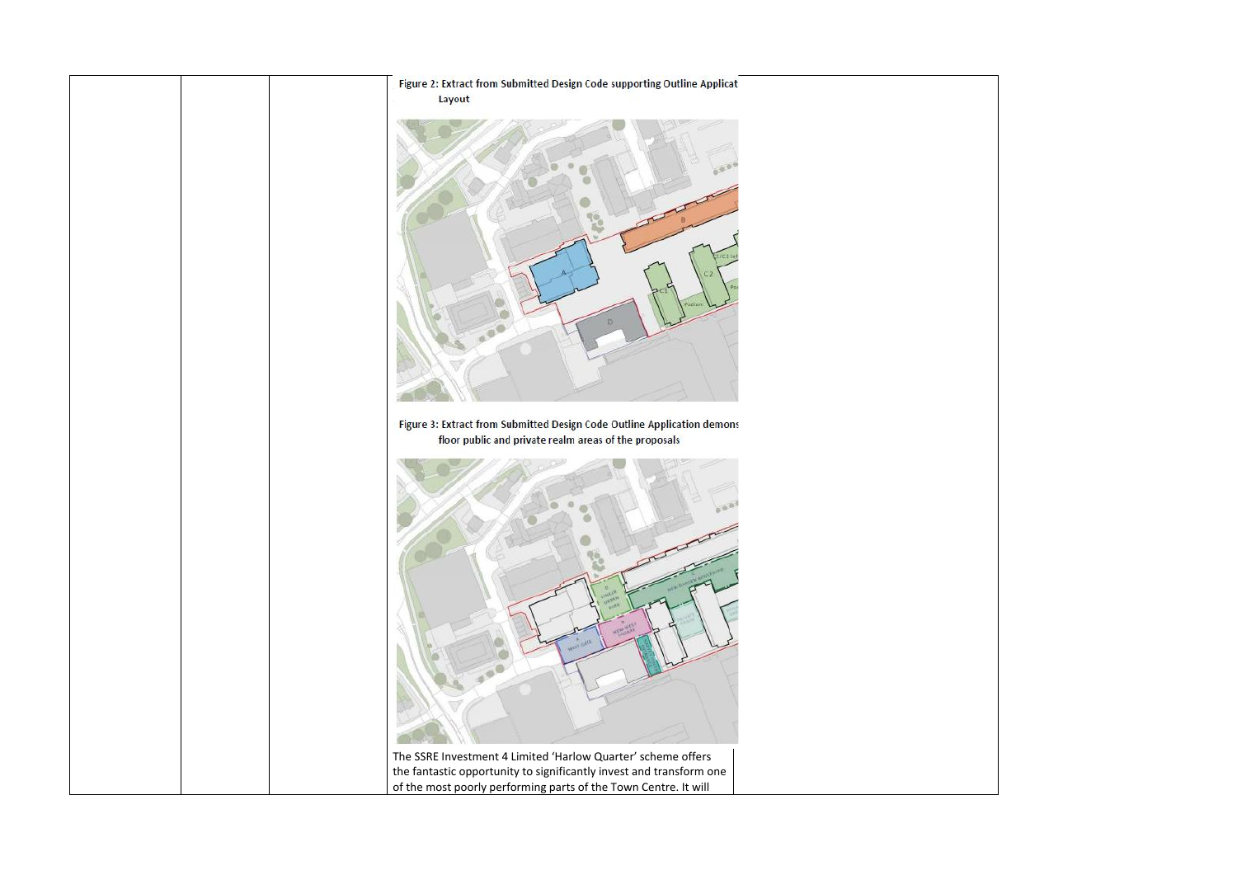

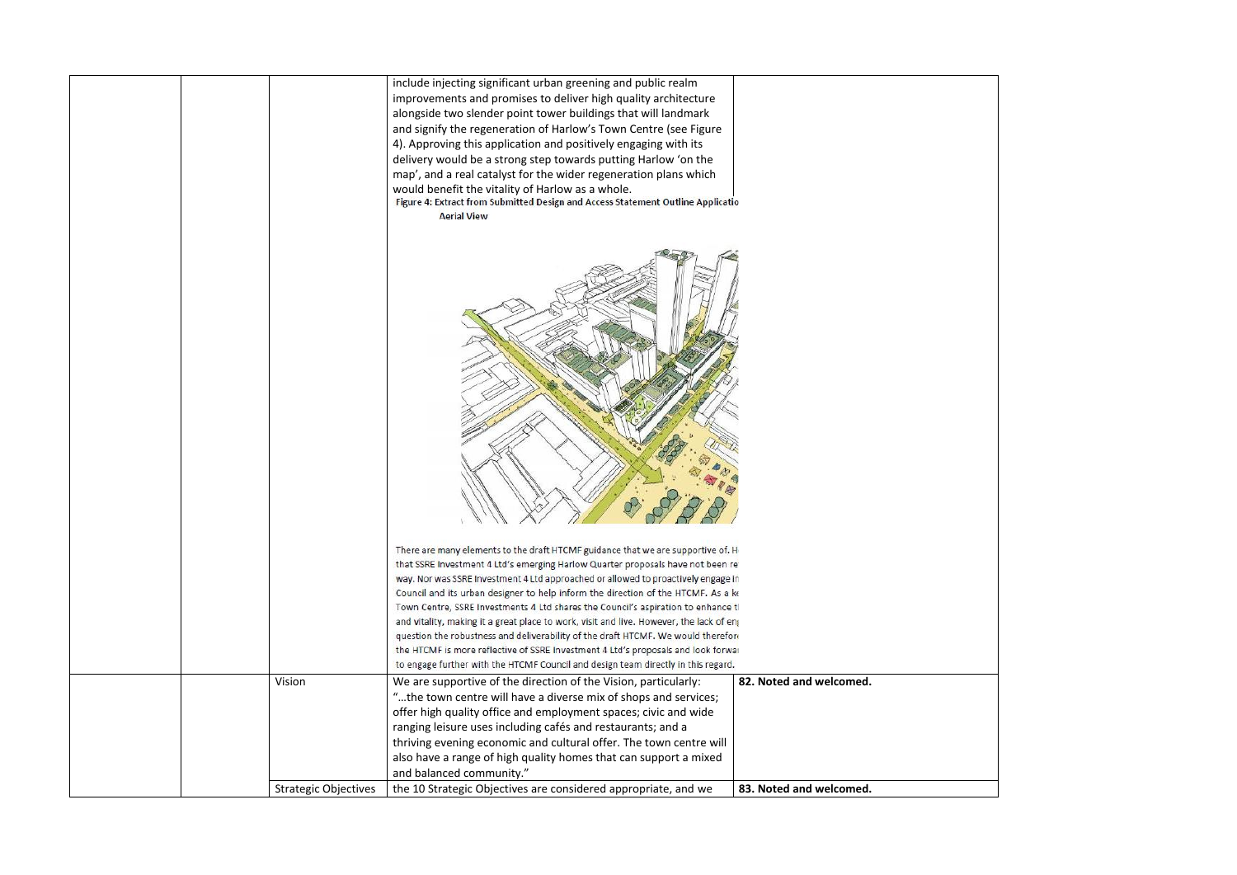|  | <b>Strategic Objectives</b> | the 10 Strategic Objectives are considered appropriate, and we                                                                                                         | 83. Noted and welcomed. |
|--|-----------------------------|------------------------------------------------------------------------------------------------------------------------------------------------------------------------|-------------------------|
|  |                             | and balanced community."                                                                                                                                               |                         |
|  |                             | thriving evening economic and cultural offer. The town centre will<br>also have a range of high quality homes that can support a mixed                                 |                         |
|  |                             | ranging leisure uses including cafés and restaurants; and a                                                                                                            |                         |
|  |                             |                                                                                                                                                                        |                         |
|  |                             | offer high quality office and employment spaces; civic and wide                                                                                                        |                         |
|  |                             | "the town centre will have a diverse mix of shops and services;                                                                                                        |                         |
|  | Vision                      | We are supportive of the direction of the Vision, particularly:                                                                                                        | 82. Noted and welcomed. |
|  |                             | to engage further with the HTCMF Council and design team directly in this regard.                                                                                      |                         |
|  |                             | question the robustness and deliverability of the draft HTCMF. We would therefore<br>the HTCMF is more reflective of SSRE Investment 4 Ltd's proposals and look forwar |                         |
|  |                             | and vitality, making it a great place to work, visit and live. However, the lack of eng                                                                                |                         |
|  |                             | Town Centre, SSRE Investments 4 Ltd shares the Council's aspiration to enhance tl                                                                                      |                         |
|  |                             | Council and its urban designer to help inform the direction of the HTCMF. As a ke                                                                                      |                         |
|  |                             | way. Nor was SSRE Investment 4 Ltd approached or allowed to proactively engage in                                                                                      |                         |
|  |                             | that SSRE Investment 4 Ltd's emerging Harlow Quarter proposals have not been re                                                                                        |                         |
|  |                             | There are many elements to the draft HTCMF guidance that we are supportive of. H                                                                                       |                         |
|  |                             |                                                                                                                                                                        |                         |
|  |                             |                                                                                                                                                                        |                         |
|  |                             |                                                                                                                                                                        |                         |
|  |                             |                                                                                                                                                                        |                         |
|  |                             |                                                                                                                                                                        |                         |
|  |                             |                                                                                                                                                                        |                         |
|  |                             |                                                                                                                                                                        |                         |
|  |                             |                                                                                                                                                                        |                         |
|  |                             |                                                                                                                                                                        |                         |
|  |                             |                                                                                                                                                                        |                         |
|  |                             | <b>Aerial View</b>                                                                                                                                                     |                         |
|  |                             | Figure 4: Extract from Submitted Design and Access Statement Outline Applicatio                                                                                        |                         |
|  |                             | would benefit the vitality of Harlow as a whole.                                                                                                                       |                         |
|  |                             | map', and a real catalyst for the wider regeneration plans which                                                                                                       |                         |
|  |                             | 4). Approving this application and positively engaging with its<br>delivery would be a strong step towards putting Harlow 'on the                                      |                         |
|  |                             | and signify the regeneration of Harlow's Town Centre (see Figure                                                                                                       |                         |
|  |                             | alongside two slender point tower buildings that will landmark                                                                                                         |                         |
|  |                             | improvements and promises to deliver high quality architecture                                                                                                         |                         |
|  |                             | include injecting significant urban greening and public realm                                                                                                          |                         |
|  |                             |                                                                                                                                                                        |                         |

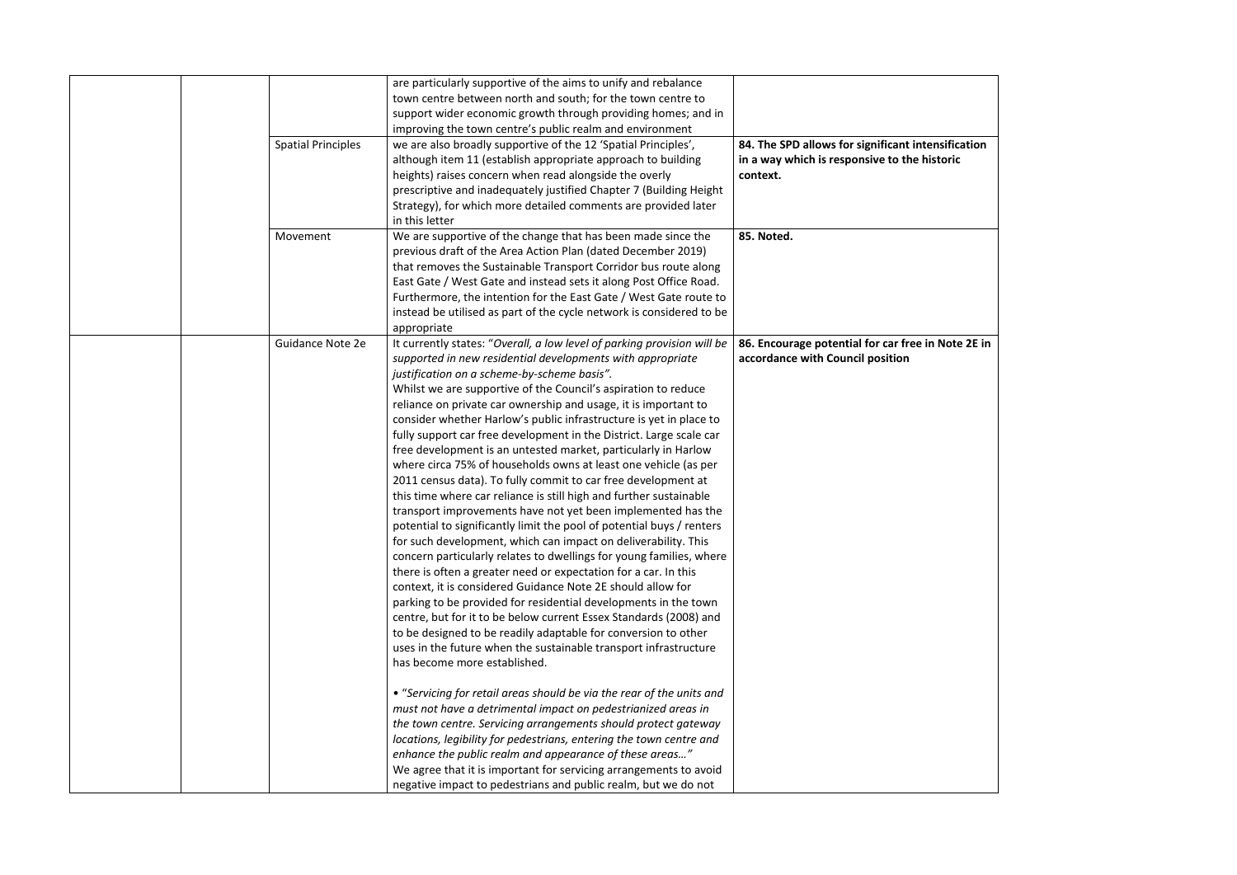|  |                           | are particularly supportive of the aims to unify and rebalance          |                                                    |
|--|---------------------------|-------------------------------------------------------------------------|----------------------------------------------------|
|  |                           | town centre between north and south; for the town centre to             |                                                    |
|  |                           | support wider economic growth through providing homes; and in           |                                                    |
|  |                           | improving the town centre's public realm and environment                |                                                    |
|  | <b>Spatial Principles</b> | we are also broadly supportive of the 12 'Spatial Principles',          | 84. The SPD allows for significant intensification |
|  |                           | although item 11 (establish appropriate approach to building            | in a way which is responsive to the historic       |
|  |                           | heights) raises concern when read alongside the overly                  | context.                                           |
|  |                           | prescriptive and inadequately justified Chapter 7 (Building Height      |                                                    |
|  |                           | Strategy), for which more detailed comments are provided later          |                                                    |
|  |                           | in this letter                                                          |                                                    |
|  | Movement                  | We are supportive of the change that has been made since the            | 85. Noted.                                         |
|  |                           | previous draft of the Area Action Plan (dated December 2019)            |                                                    |
|  |                           | that removes the Sustainable Transport Corridor bus route along         |                                                    |
|  |                           | East Gate / West Gate and instead sets it along Post Office Road.       |                                                    |
|  |                           | Furthermore, the intention for the East Gate / West Gate route to       |                                                    |
|  |                           | instead be utilised as part of the cycle network is considered to be    |                                                    |
|  |                           | appropriate                                                             |                                                    |
|  | Guidance Note 2e          | It currently states: "Overall, a low level of parking provision will be | 86. Encourage potential for car free in Note 2E in |
|  |                           | supported in new residential developments with appropriate              | accordance with Council position                   |
|  |                           | justification on a scheme-by-scheme basis".                             |                                                    |
|  |                           | Whilst we are supportive of the Council's aspiration to reduce          |                                                    |
|  |                           | reliance on private car ownership and usage, it is important to         |                                                    |
|  |                           | consider whether Harlow's public infrastructure is yet in place to      |                                                    |
|  |                           | fully support car free development in the District. Large scale car     |                                                    |
|  |                           | free development is an untested market, particularly in Harlow          |                                                    |
|  |                           | where circa 75% of households owns at least one vehicle (as per         |                                                    |
|  |                           | 2011 census data). To fully commit to car free development at           |                                                    |
|  |                           | this time where car reliance is still high and further sustainable      |                                                    |
|  |                           | transport improvements have not yet been implemented has the            |                                                    |
|  |                           | potential to significantly limit the pool of potential buys / renters   |                                                    |
|  |                           | for such development, which can impact on deliverability. This          |                                                    |
|  |                           | concern particularly relates to dwellings for young families, where     |                                                    |
|  |                           |                                                                         |                                                    |
|  |                           | there is often a greater need or expectation for a car. In this         |                                                    |
|  |                           | context, it is considered Guidance Note 2E should allow for             |                                                    |
|  |                           | parking to be provided for residential developments in the town         |                                                    |
|  |                           | centre, but for it to be below current Essex Standards (2008) and       |                                                    |
|  |                           | to be designed to be readily adaptable for conversion to other          |                                                    |
|  |                           | uses in the future when the sustainable transport infrastructure        |                                                    |
|  |                           | has become more established.                                            |                                                    |
|  |                           |                                                                         |                                                    |
|  |                           | • "Servicing for retail areas should be via the rear of the units and   |                                                    |
|  |                           | must not have a detrimental impact on pedestrianized areas in           |                                                    |
|  |                           | the town centre. Servicing arrangements should protect gateway          |                                                    |
|  |                           | locations, legibility for pedestrians, entering the town centre and     |                                                    |
|  |                           | enhance the public realm and appearance of these areas"                 |                                                    |
|  |                           | We agree that it is important for servicing arrangements to avoid       |                                                    |
|  |                           | negative impact to pedestrians and public realm, but we do not          |                                                    |

| ensification |  |
|--------------|--|
| istoric      |  |
|              |  |
|              |  |
|              |  |
|              |  |
|              |  |
|              |  |
| n Note 2E in |  |
|              |  |
|              |  |
|              |  |
|              |  |
|              |  |
|              |  |
|              |  |
|              |  |
|              |  |
|              |  |
|              |  |
|              |  |
|              |  |
|              |  |
|              |  |
|              |  |
|              |  |
|              |  |
|              |  |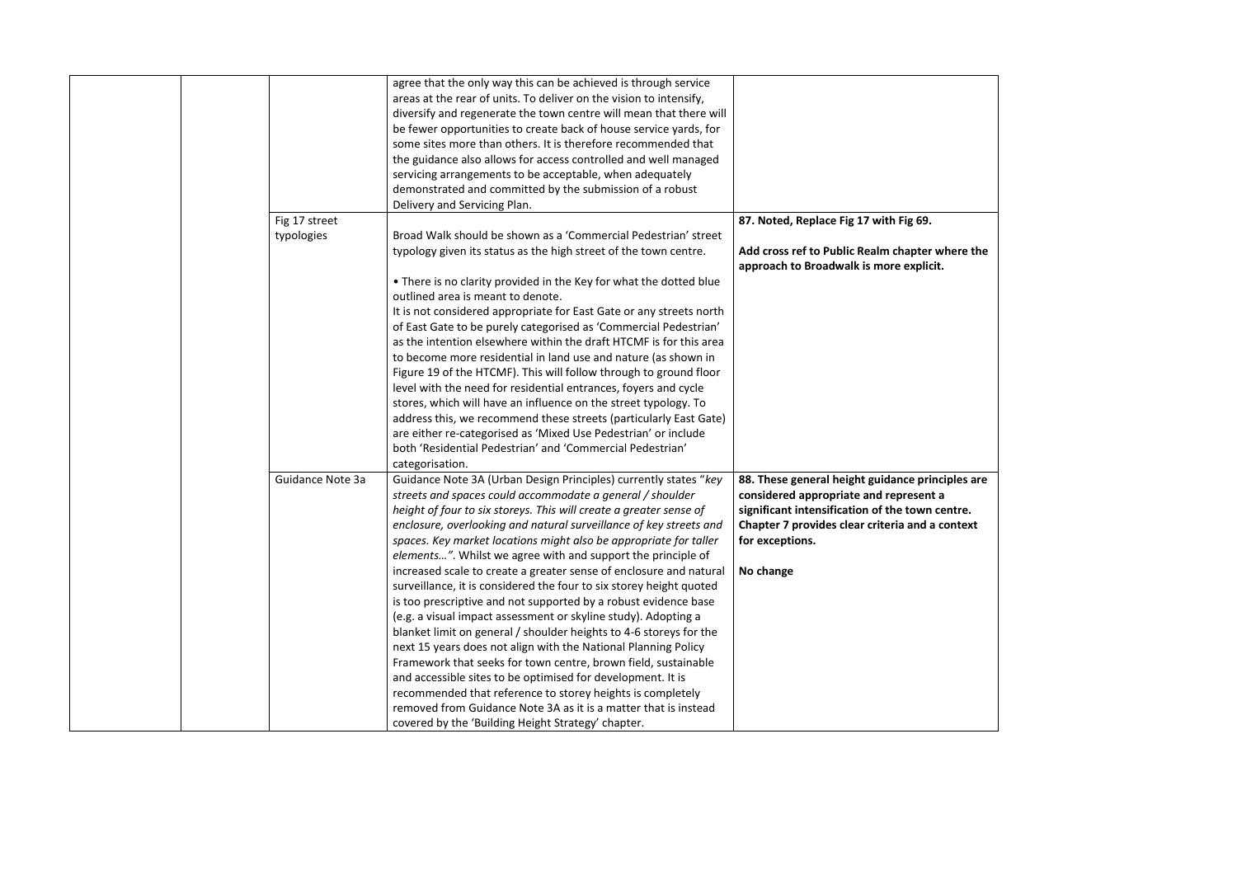|               | agree that the only way this can be achieved is through service                      |                                                  |
|---------------|--------------------------------------------------------------------------------------|--------------------------------------------------|
|               | areas at the rear of units. To deliver on the vision to intensify,                   |                                                  |
|               | diversify and regenerate the town centre will mean that there will                   |                                                  |
|               | be fewer opportunities to create back of house service yards, for                    |                                                  |
|               | some sites more than others. It is therefore recommended that                        |                                                  |
|               | the guidance also allows for access controlled and well managed                      |                                                  |
|               | servicing arrangements to be acceptable, when adequately                             |                                                  |
|               | demonstrated and committed by the submission of a robust                             |                                                  |
|               | Delivery and Servicing Plan.                                                         |                                                  |
| Fig 17 street |                                                                                      | 87. Noted, Replace Fig 17 with Fig 69.           |
| typologies    | Broad Walk should be shown as a 'Commercial Pedestrian' street                       |                                                  |
|               | typology given its status as the high street of the town centre.                     | Add cross ref to Public Realm chapter where the  |
|               |                                                                                      | approach to Broadwalk is more explicit.          |
|               | . There is no clarity provided in the Key for what the dotted blue                   |                                                  |
|               | outlined area is meant to denote.                                                    |                                                  |
|               | It is not considered appropriate for East Gate or any streets north                  |                                                  |
|               | of East Gate to be purely categorised as 'Commercial Pedestrian'                     |                                                  |
|               | as the intention elsewhere within the draft HTCMF is for this area                   |                                                  |
|               | to become more residential in land use and nature (as shown in                       |                                                  |
|               | Figure 19 of the HTCMF). This will follow through to ground floor                    |                                                  |
|               | level with the need for residential entrances, foyers and cycle                      |                                                  |
|               | stores, which will have an influence on the street typology. To                      |                                                  |
|               | address this, we recommend these streets (particularly East Gate)                    |                                                  |
|               | are either re-categorised as 'Mixed Use Pedestrian' or include                       |                                                  |
|               | both 'Residential Pedestrian' and 'Commercial Pedestrian'                            |                                                  |
|               | categorisation.                                                                      |                                                  |
|               | Guidance Note 3a<br>Guidance Note 3A (Urban Design Principles) currently states "key | 88. These general height guidance principles are |
|               | streets and spaces could accommodate a general / shoulder                            | considered appropriate and represent a           |
|               | height of four to six storeys. This will create a greater sense of                   | significant intensification of the town centre.  |
|               | enclosure, overlooking and natural surveillance of key streets and                   | Chapter 7 provides clear criteria and a context  |
|               |                                                                                      |                                                  |
|               | spaces. Key market locations might also be appropriate for taller                    | for exceptions.                                  |
|               | elements". Whilst we agree with and support the principle of                         |                                                  |
|               | increased scale to create a greater sense of enclosure and natural                   | No change                                        |
|               | surveillance, it is considered the four to six storey height quoted                  |                                                  |
|               | is too prescriptive and not supported by a robust evidence base                      |                                                  |
|               | (e.g. a visual impact assessment or skyline study). Adopting a                       |                                                  |
|               | blanket limit on general / shoulder heights to 4-6 storeys for the                   |                                                  |
|               | next 15 years does not align with the National Planning Policy                       |                                                  |
|               | Framework that seeks for town centre, brown field, sustainable                       |                                                  |
|               | and accessible sites to be optimised for development. It is                          |                                                  |
|               | recommended that reference to storey heights is completely                           |                                                  |
|               | removed from Guidance Note 3A as it is a matter that is instead                      |                                                  |
|               | covered by the 'Building Height Strategy' chapter.                                   |                                                  |

| where the<br>it.                         |  |
|------------------------------------------|--|
| nciples are<br>: a<br>centre.<br>context |  |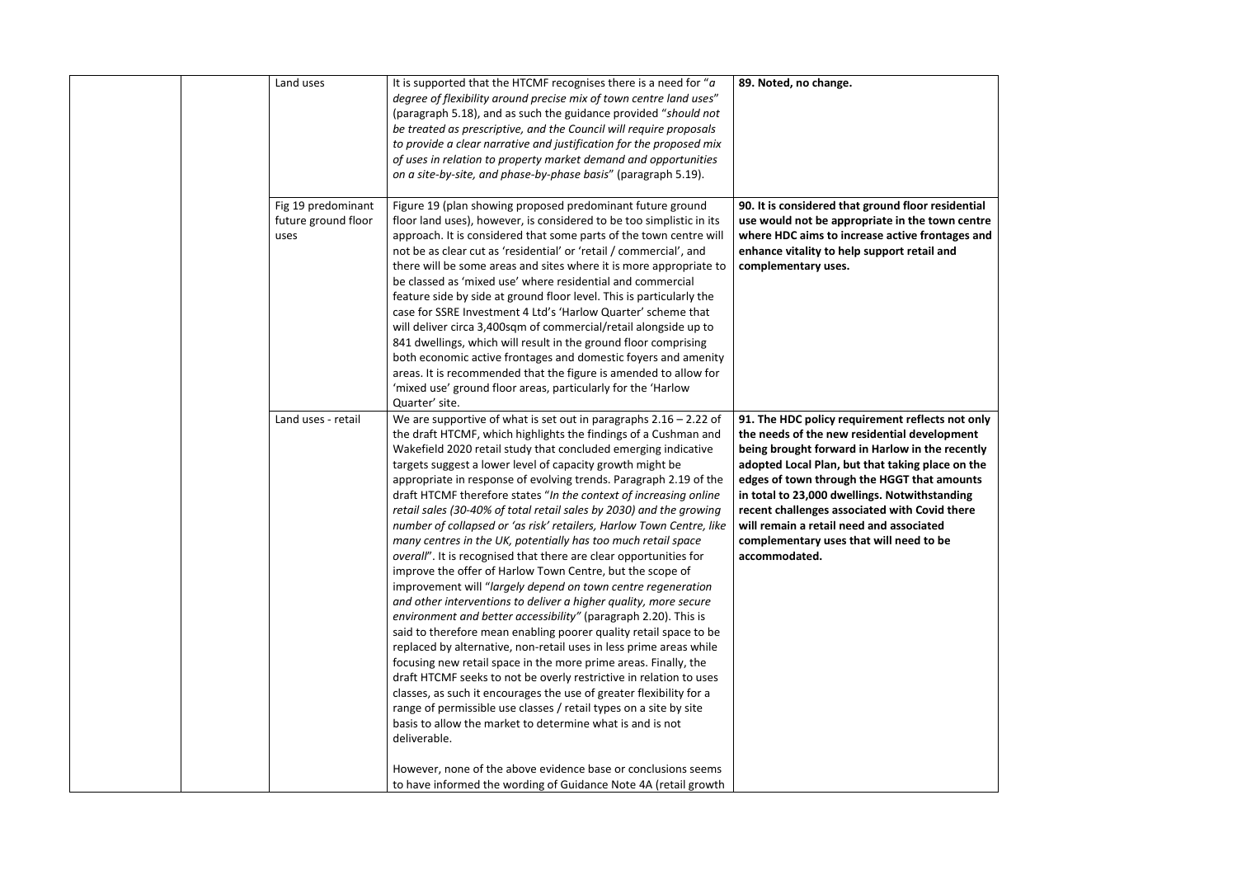| Land uses                                         | It is supported that the HTCMF recognises there is a need for " $a$<br>degree of flexibility around precise mix of town centre land uses"<br>(paragraph 5.18), and as such the guidance provided "should not<br>be treated as prescriptive, and the Council will require proposals<br>to provide a clear narrative and justification for the proposed mix<br>of uses in relation to property market demand and opportunities<br>on a site-by-site, and phase-by-phase basis" (paragraph 5.19).                                                                                                                                                                                                                                                                                                                                                                                                                                                                                                                                                                                                                                                                                                                                                                                                                                                                                                                                                                                                                                                         | 89. Noted, no change.                                                                                                                                                                                                                                                                                                                                                                                                                                            |
|---------------------------------------------------|--------------------------------------------------------------------------------------------------------------------------------------------------------------------------------------------------------------------------------------------------------------------------------------------------------------------------------------------------------------------------------------------------------------------------------------------------------------------------------------------------------------------------------------------------------------------------------------------------------------------------------------------------------------------------------------------------------------------------------------------------------------------------------------------------------------------------------------------------------------------------------------------------------------------------------------------------------------------------------------------------------------------------------------------------------------------------------------------------------------------------------------------------------------------------------------------------------------------------------------------------------------------------------------------------------------------------------------------------------------------------------------------------------------------------------------------------------------------------------------------------------------------------------------------------------|------------------------------------------------------------------------------------------------------------------------------------------------------------------------------------------------------------------------------------------------------------------------------------------------------------------------------------------------------------------------------------------------------------------------------------------------------------------|
| Fig 19 predominant<br>future ground floor<br>uses | Figure 19 (plan showing proposed predominant future ground<br>floor land uses), however, is considered to be too simplistic in its<br>approach. It is considered that some parts of the town centre will<br>not be as clear cut as 'residential' or 'retail / commercial', and<br>there will be some areas and sites where it is more appropriate to<br>be classed as 'mixed use' where residential and commercial<br>feature side by side at ground floor level. This is particularly the<br>case for SSRE Investment 4 Ltd's 'Harlow Quarter' scheme that<br>will deliver circa 3,400sqm of commercial/retail alongside up to<br>841 dwellings, which will result in the ground floor comprising<br>both economic active frontages and domestic foyers and amenity<br>areas. It is recommended that the figure is amended to allow for<br>'mixed use' ground floor areas, particularly for the 'Harlow<br>Quarter' site.                                                                                                                                                                                                                                                                                                                                                                                                                                                                                                                                                                                                                             | 90. It is considered that ground floor residential<br>use would not be appropriate in the town centre<br>where HDC aims to increase active frontages and<br>enhance vitality to help support retail and<br>complementary uses.                                                                                                                                                                                                                                   |
| Land uses - retail                                | We are supportive of what is set out in paragraphs $2.16 - 2.22$ of<br>the draft HTCMF, which highlights the findings of a Cushman and<br>Wakefield 2020 retail study that concluded emerging indicative<br>targets suggest a lower level of capacity growth might be<br>appropriate in response of evolving trends. Paragraph 2.19 of the<br>draft HTCMF therefore states "In the context of increasing online<br>retail sales (30-40% of total retail sales by 2030) and the growing<br>number of collapsed or 'as risk' retailers, Harlow Town Centre, like<br>many centres in the UK, potentially has too much retail space<br>overall". It is recognised that there are clear opportunities for<br>improve the offer of Harlow Town Centre, but the scope of<br>improvement will "largely depend on town centre regeneration<br>and other interventions to deliver a higher quality, more secure<br>environment and better accessibility" (paragraph 2.20). This is<br>said to therefore mean enabling poorer quality retail space to be<br>replaced by alternative, non-retail uses in less prime areas while<br>focusing new retail space in the more prime areas. Finally, the<br>draft HTCMF seeks to not be overly restrictive in relation to uses<br>classes, as such it encourages the use of greater flexibility for a<br>range of permissible use classes / retail types on a site by site<br>basis to allow the market to determine what is and is not<br>deliverable.<br>However, none of the above evidence base or conclusions seems | 91. The HDC policy requirement reflects not only<br>the needs of the new residential development<br>being brought forward in Harlow in the recently<br>adopted Local Plan, but that taking place on the<br>edges of town through the HGGT that amounts<br>in total to 23,000 dwellings. Notwithstanding<br>recent challenges associated with Covid there<br>will remain a retail need and associated<br>complementary uses that will need to be<br>accommodated. |
|                                                   | to have informed the wording of Guidance Note 4A (retail growth                                                                                                                                                                                                                                                                                                                                                                                                                                                                                                                                                                                                                                                                                                                                                                                                                                                                                                                                                                                                                                                                                                                                                                                                                                                                                                                                                                                                                                                                                        |                                                                                                                                                                                                                                                                                                                                                                                                                                                                  |

| residential<br>own centre<br>ontages and                                                           |  |
|----------------------------------------------------------------------------------------------------|--|
| l and                                                                                              |  |
| cts not only<br>lopment<br>ne recently<br>ace on the<br>amounts<br>tanding<br>id there<br>ed<br>be |  |
|                                                                                                    |  |
|                                                                                                    |  |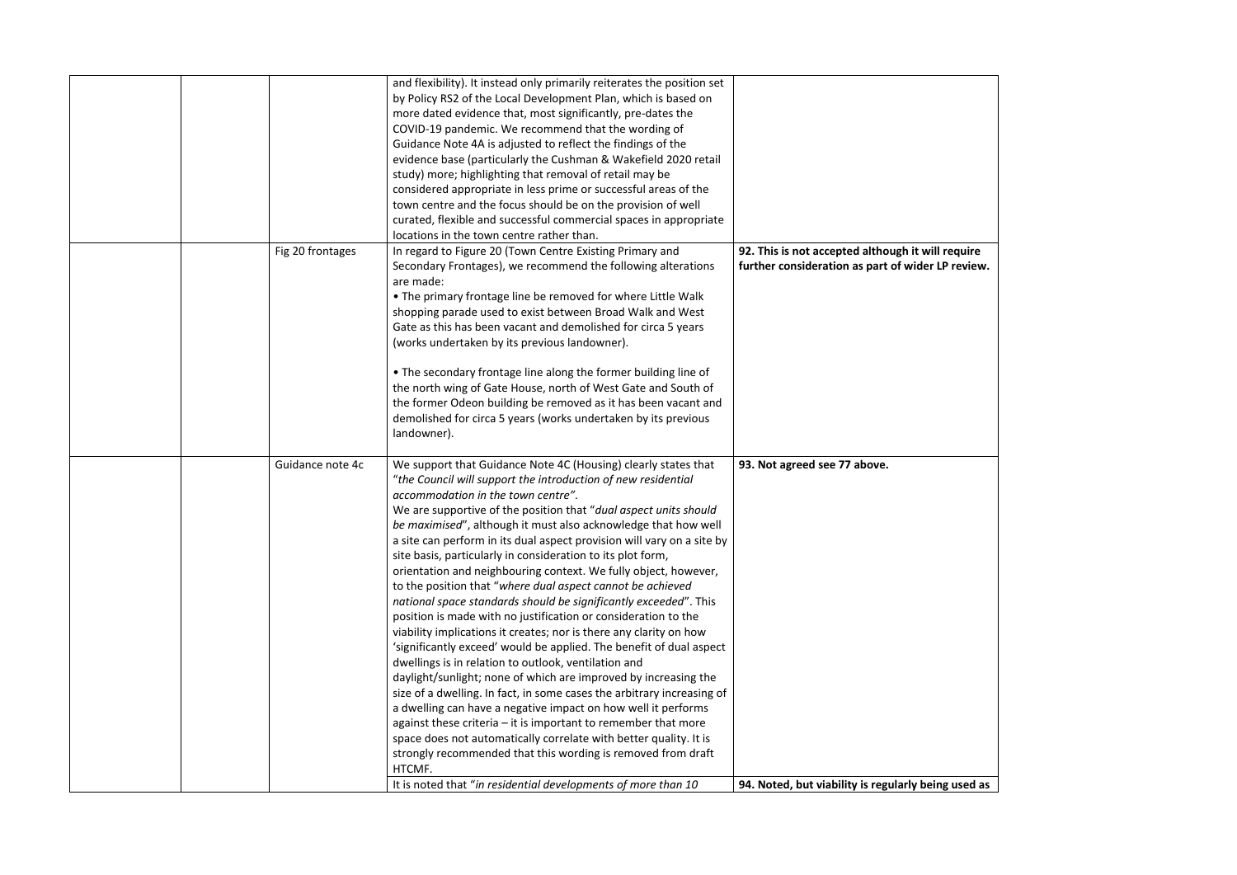|  |                  | It is noted that "in residential developments of more than 10                                                                                                                                                                                                                                                                                                                                                                                                                                                                                                                                                                                                                                                                                                                                                                                                                                                                                                                                                                                                                                                                                                                                                                  | 94. Noted, but viability is regularly be                                        |
|--|------------------|--------------------------------------------------------------------------------------------------------------------------------------------------------------------------------------------------------------------------------------------------------------------------------------------------------------------------------------------------------------------------------------------------------------------------------------------------------------------------------------------------------------------------------------------------------------------------------------------------------------------------------------------------------------------------------------------------------------------------------------------------------------------------------------------------------------------------------------------------------------------------------------------------------------------------------------------------------------------------------------------------------------------------------------------------------------------------------------------------------------------------------------------------------------------------------------------------------------------------------|---------------------------------------------------------------------------------|
|  |                  | accommodation in the town centre".<br>We are supportive of the position that "dual aspect units should<br>be maximised", although it must also acknowledge that how well<br>a site can perform in its dual aspect provision will vary on a site by<br>site basis, particularly in consideration to its plot form,<br>orientation and neighbouring context. We fully object, however,<br>to the position that "where dual aspect cannot be achieved<br>national space standards should be significantly exceeded". This<br>position is made with no justification or consideration to the<br>viability implications it creates; nor is there any clarity on how<br>'significantly exceed' would be applied. The benefit of dual aspect<br>dwellings is in relation to outlook, ventilation and<br>daylight/sunlight; none of which are improved by increasing the<br>size of a dwelling. In fact, in some cases the arbitrary increasing of<br>a dwelling can have a negative impact on how well it performs<br>against these criteria $-$ it is important to remember that more<br>space does not automatically correlate with better quality. It is<br>strongly recommended that this wording is removed from draft<br>HTCMF. |                                                                                 |
|  | Guidance note 4c | • The secondary frontage line along the former building line of<br>the north wing of Gate House, north of West Gate and South of<br>the former Odeon building be removed as it has been vacant and<br>demolished for circa 5 years (works undertaken by its previous<br>landowner).<br>We support that Guidance Note 4C (Housing) clearly states that<br>"the Council will support the introduction of new residential                                                                                                                                                                                                                                                                                                                                                                                                                                                                                                                                                                                                                                                                                                                                                                                                         | 93. Not agreed see 77 above.                                                    |
|  | Fig 20 frontages | In regard to Figure 20 (Town Centre Existing Primary and<br>Secondary Frontages), we recommend the following alterations<br>are made:<br>. The primary frontage line be removed for where Little Walk<br>shopping parade used to exist between Broad Walk and West<br>Gate as this has been vacant and demolished for circa 5 years<br>(works undertaken by its previous landowner).                                                                                                                                                                                                                                                                                                                                                                                                                                                                                                                                                                                                                                                                                                                                                                                                                                           | 92. This is not accepted although it w<br>further consideration as part of wide |
|  |                  | and flexibility). It instead only primarily reiterates the position set<br>by Policy RS2 of the Local Development Plan, which is based on<br>more dated evidence that, most significantly, pre-dates the<br>COVID-19 pandemic. We recommend that the wording of<br>Guidance Note 4A is adjusted to reflect the findings of the<br>evidence base (particularly the Cushman & Wakefield 2020 retail<br>study) more; highlighting that removal of retail may be<br>considered appropriate in less prime or successful areas of the<br>town centre and the focus should be on the provision of well<br>curated, flexible and successful commercial spaces in appropriate<br>locations in the town centre rather than.                                                                                                                                                                                                                                                                                                                                                                                                                                                                                                              |                                                                                 |

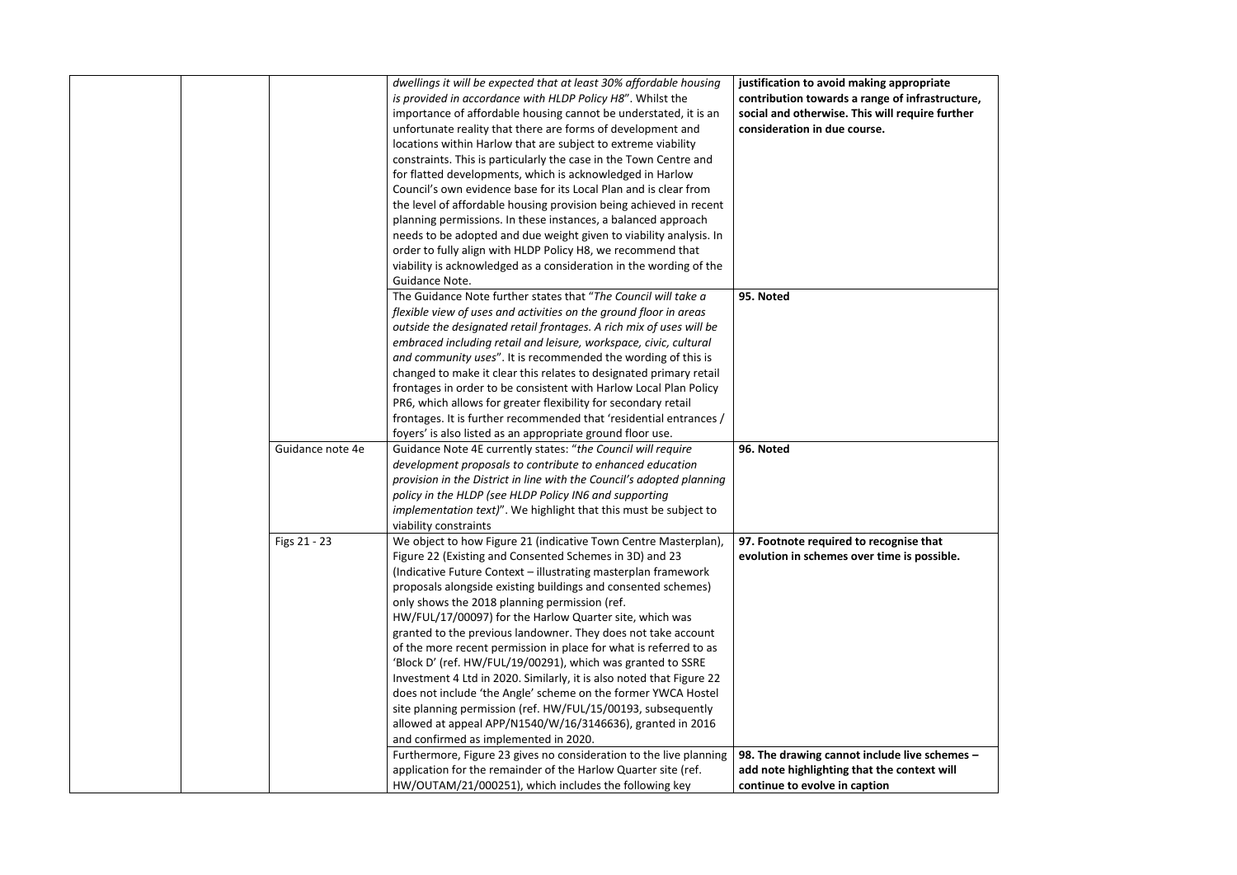|                  | dwellings it will be expected that at least 30% affordable housing<br>is provided in accordance with HLDP Policy H8". Whilst the<br>importance of affordable housing cannot be understated, it is an<br>unfortunate reality that there are forms of development and<br>locations within Harlow that are subject to extreme viability<br>constraints. This is particularly the case in the Town Centre and<br>for flatted developments, which is acknowledged in Harlow<br>Council's own evidence base for its Local Plan and is clear from<br>the level of affordable housing provision being achieved in recent<br>planning permissions. In these instances, a balanced approach<br>needs to be adopted and due weight given to viability analysis. In<br>order to fully align with HLDP Policy H8, we recommend that<br>viability is acknowledged as a consideration in the wording of the   | justification to avoid making appropriat<br>contribution towards a range of infrastr<br>social and otherwise. This will require fu<br>consideration in due course. |
|------------------|------------------------------------------------------------------------------------------------------------------------------------------------------------------------------------------------------------------------------------------------------------------------------------------------------------------------------------------------------------------------------------------------------------------------------------------------------------------------------------------------------------------------------------------------------------------------------------------------------------------------------------------------------------------------------------------------------------------------------------------------------------------------------------------------------------------------------------------------------------------------------------------------|--------------------------------------------------------------------------------------------------------------------------------------------------------------------|
|                  | Guidance Note.<br>The Guidance Note further states that "The Council will take a<br>flexible view of uses and activities on the ground floor in areas<br>outside the designated retail frontages. A rich mix of uses will be<br>embraced including retail and leisure, workspace, civic, cultural<br>and community uses". It is recommended the wording of this is<br>changed to make it clear this relates to designated primary retail<br>frontages in order to be consistent with Harlow Local Plan Policy<br>PR6, which allows for greater flexibility for secondary retail<br>frontages. It is further recommended that 'residential entrances /<br>foyers' is also listed as an appropriate ground floor use.                                                                                                                                                                            | 95. Noted                                                                                                                                                          |
| Guidance note 4e | Guidance Note 4E currently states: "the Council will require<br>development proposals to contribute to enhanced education<br>provision in the District in line with the Council's adopted planning<br>policy in the HLDP (see HLDP Policy IN6 and supporting<br><i>implementation text)</i> ". We highlight that this must be subject to<br>viability constraints                                                                                                                                                                                                                                                                                                                                                                                                                                                                                                                              | 96. Noted                                                                                                                                                          |
| Figs 21 - 23     | We object to how Figure 21 (indicative Town Centre Masterplan),<br>Figure 22 (Existing and Consented Schemes in 3D) and 23<br>(Indicative Future Context - illustrating masterplan framework<br>proposals alongside existing buildings and consented schemes)<br>only shows the 2018 planning permission (ref.<br>HW/FUL/17/00097) for the Harlow Quarter site, which was<br>granted to the previous landowner. They does not take account<br>of the more recent permission in place for what is referred to as<br>'Block D' (ref. HW/FUL/19/00291), which was granted to SSRE<br>Investment 4 Ltd in 2020. Similarly, it is also noted that Figure 22<br>does not include 'the Angle' scheme on the former YWCA Hostel<br>site planning permission (ref. HW/FUL/15/00193, subsequently<br>allowed at appeal APP/N1540/W/16/3146636), granted in 2016<br>and confirmed as implemented in 2020. | 97. Footnote required to recognise that<br>evolution in schemes over time is possik                                                                                |
|                  | Furthermore, Figure 23 gives no consideration to the live planning<br>application for the remainder of the Harlow Quarter site (ref.<br>HW/OUTAM/21/000251), which includes the following key                                                                                                                                                                                                                                                                                                                                                                                                                                                                                                                                                                                                                                                                                                  | 98. The drawing cannot include live sche<br>add note highlighting that the context w<br>continue to evolve in caption                                              |

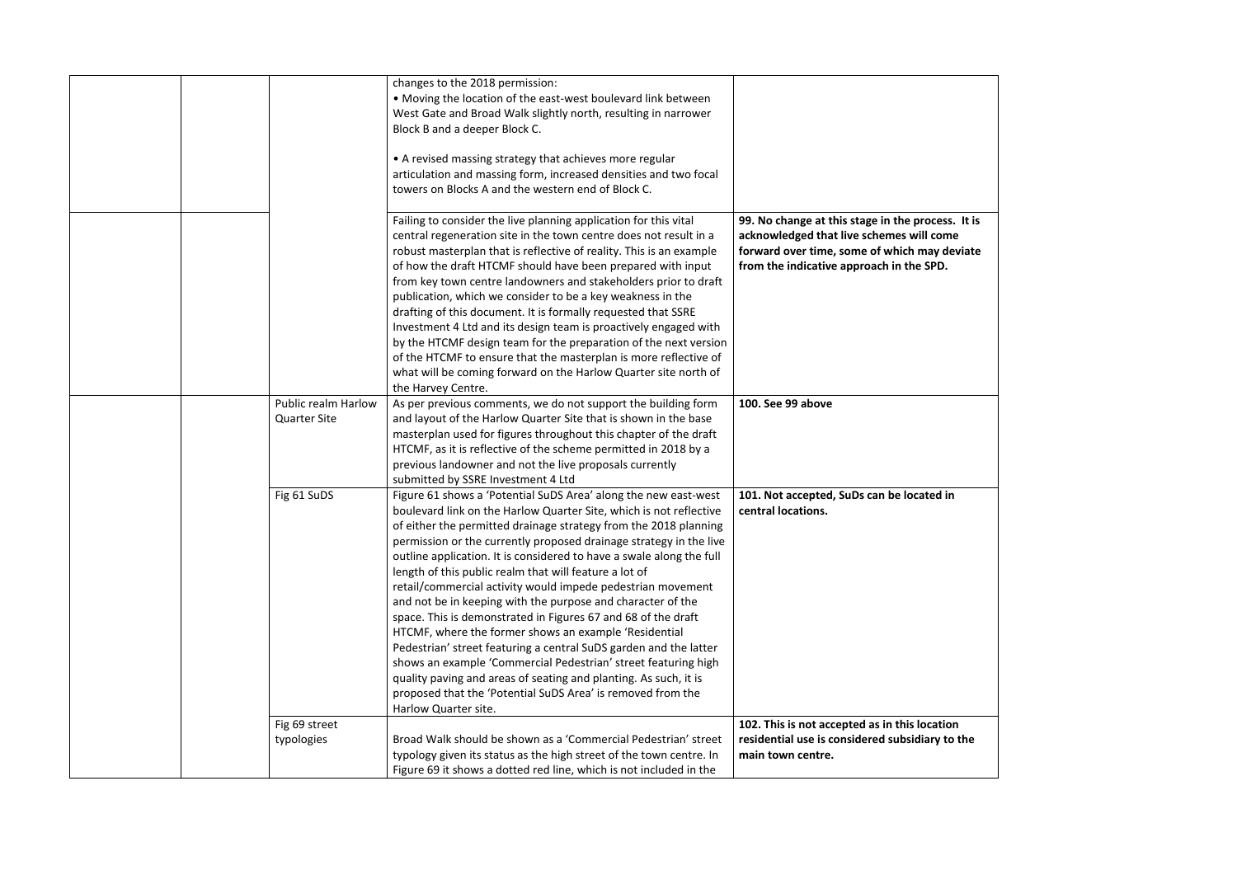|  |                                            | changes to the 2018 permission:<br>• Moving the location of the east-west boulevard link between                                                                                                                                                                                                                                                                                                                                                                                                                                                                                                                                                                                                                                                                                                                                                                                                                                                                            |                                                                                                                                                               |
|--|--------------------------------------------|-----------------------------------------------------------------------------------------------------------------------------------------------------------------------------------------------------------------------------------------------------------------------------------------------------------------------------------------------------------------------------------------------------------------------------------------------------------------------------------------------------------------------------------------------------------------------------------------------------------------------------------------------------------------------------------------------------------------------------------------------------------------------------------------------------------------------------------------------------------------------------------------------------------------------------------------------------------------------------|---------------------------------------------------------------------------------------------------------------------------------------------------------------|
|  |                                            | West Gate and Broad Walk slightly north, resulting in narrower<br>Block B and a deeper Block C.                                                                                                                                                                                                                                                                                                                                                                                                                                                                                                                                                                                                                                                                                                                                                                                                                                                                             |                                                                                                                                                               |
|  |                                            | • A revised massing strategy that achieves more regular<br>articulation and massing form, increased densities and two focal<br>towers on Blocks A and the western end of Block C.                                                                                                                                                                                                                                                                                                                                                                                                                                                                                                                                                                                                                                                                                                                                                                                           |                                                                                                                                                               |
|  |                                            | Failing to consider the live planning application for this vital<br>central regeneration site in the town centre does not result in a<br>robust masterplan that is reflective of reality. This is an example<br>of how the draft HTCMF should have been prepared with input<br>from key town centre landowners and stakeholders prior to draft<br>publication, which we consider to be a key weakness in the<br>drafting of this document. It is formally requested that SSRE<br>Investment 4 Ltd and its design team is proactively engaged with<br>by the HTCMF design team for the preparation of the next version<br>of the HTCMF to ensure that the masterplan is more reflective of<br>what will be coming forward on the Harlow Quarter site north of<br>the Harvey Centre.                                                                                                                                                                                          | 99. No change at this stage in the pro<br>acknowledged that live schemes will<br>forward over time, some of which ma<br>from the indicative approach in the S |
|  | Public realm Harlow<br><b>Quarter Site</b> | As per previous comments, we do not support the building form<br>and layout of the Harlow Quarter Site that is shown in the base<br>masterplan used for figures throughout this chapter of the draft<br>HTCMF, as it is reflective of the scheme permitted in 2018 by a<br>previous landowner and not the live proposals currently<br>submitted by SSRE Investment 4 Ltd                                                                                                                                                                                                                                                                                                                                                                                                                                                                                                                                                                                                    | 100. See 99 above                                                                                                                                             |
|  | Fig 61 SuDS                                | Figure 61 shows a 'Potential SuDS Area' along the new east-west<br>boulevard link on the Harlow Quarter Site, which is not reflective<br>of either the permitted drainage strategy from the 2018 planning<br>permission or the currently proposed drainage strategy in the live<br>outline application. It is considered to have a swale along the full<br>length of this public realm that will feature a lot of<br>retail/commercial activity would impede pedestrian movement<br>and not be in keeping with the purpose and character of the<br>space. This is demonstrated in Figures 67 and 68 of the draft<br>HTCMF, where the former shows an example 'Residential<br>Pedestrian' street featuring a central SuDS garden and the latter<br>shows an example 'Commercial Pedestrian' street featuring high<br>quality paving and areas of seating and planting. As such, it is<br>proposed that the 'Potential SuDS Area' is removed from the<br>Harlow Quarter site. | 101. Not accepted, SuDs can be locate<br>central locations.                                                                                                   |
|  | Fig 69 street<br>typologies                | Broad Walk should be shown as a 'Commercial Pedestrian' street<br>typology given its status as the high street of the town centre. In<br>Figure 69 it shows a dotted red line, which is not included in the                                                                                                                                                                                                                                                                                                                                                                                                                                                                                                                                                                                                                                                                                                                                                                 | 102. This is not accepted as in this loc<br>residential use is considered subsidia<br>main town centre.                                                       |

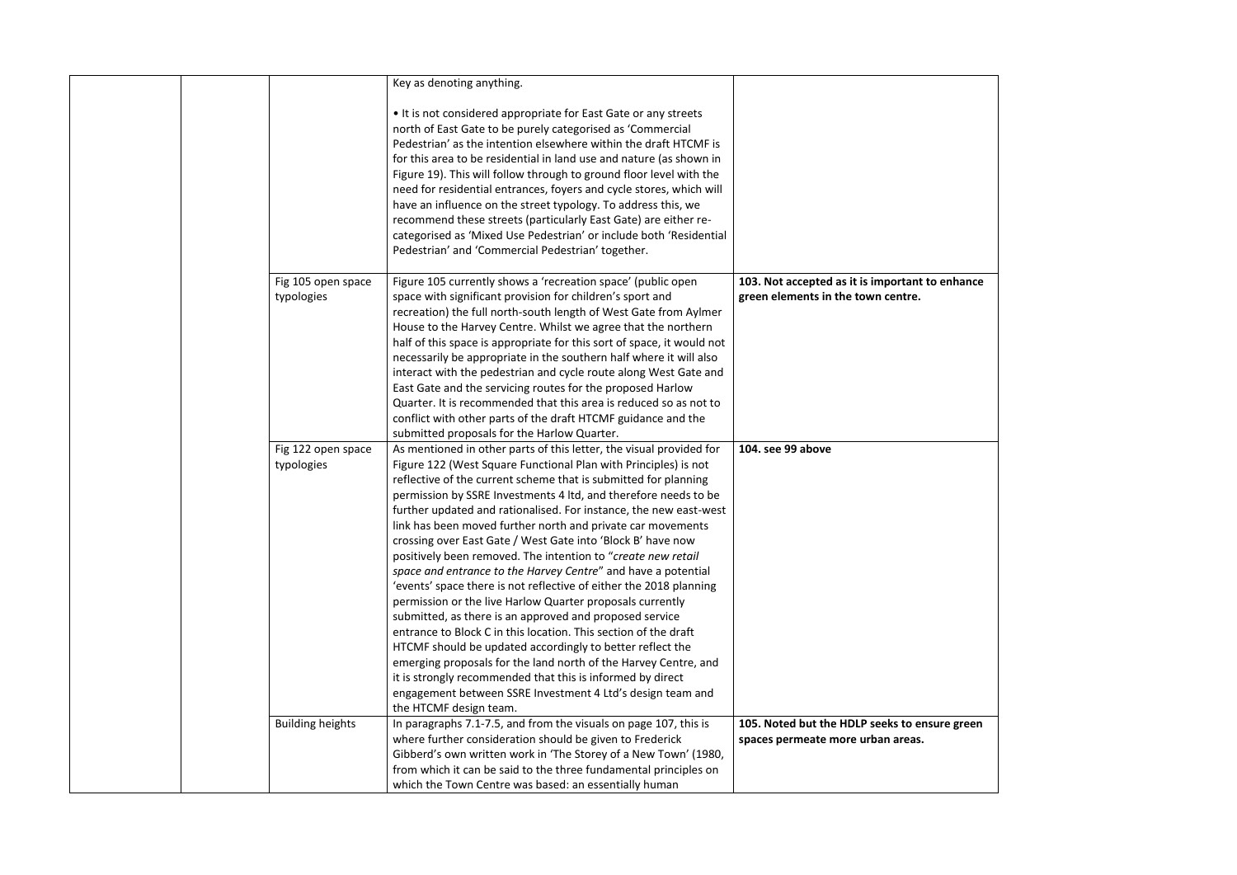|                                  | Key as denoting anything.                                                                                                                                                                                                                                                                                                                                                                                                                                                                                                                                                                                                                                                                                                                                                                                                                                                                                                                                                                                                                                                                        |                                                                              |
|----------------------------------|--------------------------------------------------------------------------------------------------------------------------------------------------------------------------------------------------------------------------------------------------------------------------------------------------------------------------------------------------------------------------------------------------------------------------------------------------------------------------------------------------------------------------------------------------------------------------------------------------------------------------------------------------------------------------------------------------------------------------------------------------------------------------------------------------------------------------------------------------------------------------------------------------------------------------------------------------------------------------------------------------------------------------------------------------------------------------------------------------|------------------------------------------------------------------------------|
|                                  | • It is not considered appropriate for East Gate or any streets<br>north of East Gate to be purely categorised as 'Commercial<br>Pedestrian' as the intention elsewhere within the draft HTCMF is<br>for this area to be residential in land use and nature (as shown in<br>Figure 19). This will follow through to ground floor level with the<br>need for residential entrances, foyers and cycle stores, which will<br>have an influence on the street typology. To address this, we<br>recommend these streets (particularly East Gate) are either re-<br>categorised as 'Mixed Use Pedestrian' or include both 'Residential<br>Pedestrian' and 'Commercial Pedestrian' together.                                                                                                                                                                                                                                                                                                                                                                                                            |                                                                              |
| Fig 105 open space<br>typologies | Figure 105 currently shows a 'recreation space' (public open<br>space with significant provision for children's sport and<br>recreation) the full north-south length of West Gate from Aylmer<br>House to the Harvey Centre. Whilst we agree that the northern<br>half of this space is appropriate for this sort of space, it would not<br>necessarily be appropriate in the southern half where it will also<br>interact with the pedestrian and cycle route along West Gate and                                                                                                                                                                                                                                                                                                                                                                                                                                                                                                                                                                                                               | 103. Not accepted as it is important t<br>green elements in the town centre. |
| Fig 122 open space               | East Gate and the servicing routes for the proposed Harlow<br>Quarter. It is recommended that this area is reduced so as not to<br>conflict with other parts of the draft HTCMF guidance and the<br>submitted proposals for the Harlow Quarter.<br>As mentioned in other parts of this letter, the visual provided for                                                                                                                                                                                                                                                                                                                                                                                                                                                                                                                                                                                                                                                                                                                                                                           | 104. see 99 above                                                            |
| typologies                       | Figure 122 (West Square Functional Plan with Principles) is not<br>reflective of the current scheme that is submitted for planning<br>permission by SSRE Investments 4 ltd, and therefore needs to be<br>further updated and rationalised. For instance, the new east-west<br>link has been moved further north and private car movements<br>crossing over East Gate / West Gate into 'Block B' have now<br>positively been removed. The intention to "create new retail<br>space and entrance to the Harvey Centre" and have a potential<br>'events' space there is not reflective of either the 2018 planning<br>permission or the live Harlow Quarter proposals currently<br>submitted, as there is an approved and proposed service<br>entrance to Block C in this location. This section of the draft<br>HTCMF should be updated accordingly to better reflect the<br>emerging proposals for the land north of the Harvey Centre, and<br>it is strongly recommended that this is informed by direct<br>engagement between SSRE Investment 4 Ltd's design team and<br>the HTCMF design team. |                                                                              |
| <b>Building heights</b>          | In paragraphs 7.1-7.5, and from the visuals on page 107, this is<br>where further consideration should be given to Frederick<br>Gibberd's own written work in 'The Storey of a New Town' (1980,<br>from which it can be said to the three fundamental principles on<br>which the Town Centre was based: an essentially human                                                                                                                                                                                                                                                                                                                                                                                                                                                                                                                                                                                                                                                                                                                                                                     | 105. Noted but the HDLP seeks to en:<br>spaces permeate more urban areas.    |

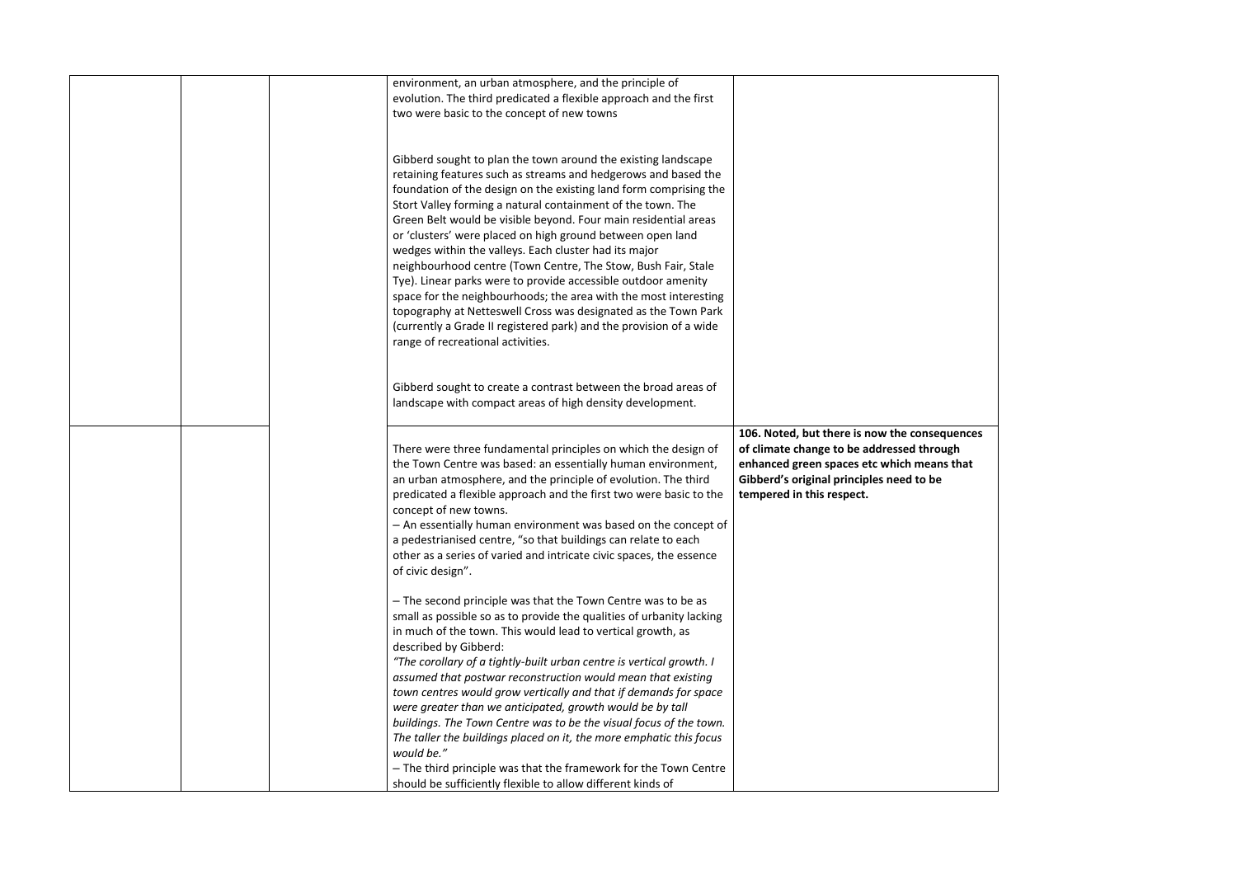|  | environment, an urban atmosphere, and the principle of<br>evolution. The third predicated a flexible approach and the first                                                                                                                                                                                                                                                                                                                                                                                                                                                                                                                                                                                                                                                                                                                      |                                                                                                                                                                                                                   |
|--|--------------------------------------------------------------------------------------------------------------------------------------------------------------------------------------------------------------------------------------------------------------------------------------------------------------------------------------------------------------------------------------------------------------------------------------------------------------------------------------------------------------------------------------------------------------------------------------------------------------------------------------------------------------------------------------------------------------------------------------------------------------------------------------------------------------------------------------------------|-------------------------------------------------------------------------------------------------------------------------------------------------------------------------------------------------------------------|
|  | two were basic to the concept of new towns                                                                                                                                                                                                                                                                                                                                                                                                                                                                                                                                                                                                                                                                                                                                                                                                       |                                                                                                                                                                                                                   |
|  | Gibberd sought to plan the town around the existing landscape<br>retaining features such as streams and hedgerows and based the<br>foundation of the design on the existing land form comprising the<br>Stort Valley forming a natural containment of the town. The<br>Green Belt would be visible beyond. Four main residential areas<br>or 'clusters' were placed on high ground between open land<br>wedges within the valleys. Each cluster had its major<br>neighbourhood centre (Town Centre, The Stow, Bush Fair, Stale<br>Tye). Linear parks were to provide accessible outdoor amenity<br>space for the neighbourhoods; the area with the most interesting<br>topography at Netteswell Cross was designated as the Town Park<br>(currently a Grade II registered park) and the provision of a wide<br>range of recreational activities. |                                                                                                                                                                                                                   |
|  | Gibberd sought to create a contrast between the broad areas of<br>landscape with compact areas of high density development.                                                                                                                                                                                                                                                                                                                                                                                                                                                                                                                                                                                                                                                                                                                      |                                                                                                                                                                                                                   |
|  | There were three fundamental principles on which the design of<br>the Town Centre was based: an essentially human environment,<br>an urban atmosphere, and the principle of evolution. The third<br>predicated a flexible approach and the first two were basic to the<br>concept of new towns.<br>- An essentially human environment was based on the concept of<br>a pedestrianised centre, "so that buildings can relate to each<br>other as a series of varied and intricate civic spaces, the essence<br>of civic design".                                                                                                                                                                                                                                                                                                                  | 106. Noted, but there is now the consequences<br>of climate change to be addressed through<br>enhanced green spaces etc which means that<br>Gibberd's original principles need to be<br>tempered in this respect. |
|  | - The second principle was that the Town Centre was to be as<br>small as possible so as to provide the qualities of urbanity lacking<br>in much of the town. This would lead to vertical growth, as<br>described by Gibberd:<br>"The corollary of a tightly-built urban centre is vertical growth. I<br>assumed that postwar reconstruction would mean that existing<br>town centres would grow vertically and that if demands for space<br>were greater than we anticipated, growth would be by tall<br>buildings. The Town Centre was to be the visual focus of the town.<br>The taller the buildings placed on it, the more emphatic this focus<br>would be."<br>- The third principle was that the framework for the Town Centre<br>should be sufficiently flexible to allow different kinds of                                              |                                                                                                                                                                                                                   |

| onsequences<br>through |  |
|------------------------|--|
| means that<br>to be    |  |
|                        |  |
|                        |  |
|                        |  |
|                        |  |
|                        |  |
|                        |  |
|                        |  |
|                        |  |
|                        |  |
|                        |  |
|                        |  |
|                        |  |
|                        |  |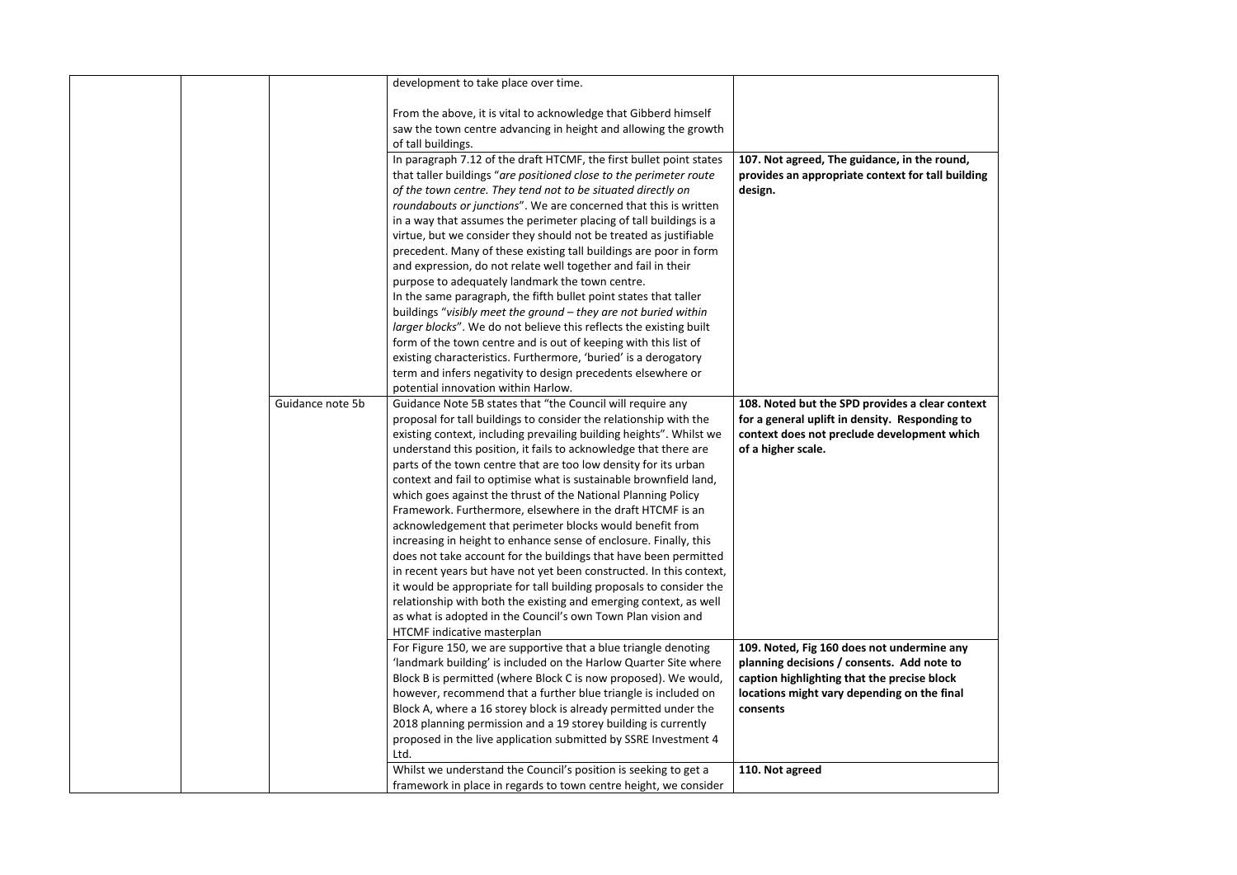|  |                  | development to take place over time.                                                                                                     |                                                                                               |
|--|------------------|------------------------------------------------------------------------------------------------------------------------------------------|-----------------------------------------------------------------------------------------------|
|  |                  | From the above, it is vital to acknowledge that Gibberd himself                                                                          |                                                                                               |
|  |                  | saw the town centre advancing in height and allowing the growth                                                                          |                                                                                               |
|  |                  | of tall buildings.                                                                                                                       |                                                                                               |
|  |                  | In paragraph 7.12 of the draft HTCMF, the first bullet point states                                                                      | 107. Not agreed, The guidance, in the round,                                                  |
|  |                  | that taller buildings "are positioned close to the perimeter route                                                                       | provides an appropriate context for tall building                                             |
|  |                  | of the town centre. They tend not to be situated directly on                                                                             | design.                                                                                       |
|  |                  | roundabouts or junctions". We are concerned that this is written                                                                         |                                                                                               |
|  |                  | in a way that assumes the perimeter placing of tall buildings is a                                                                       |                                                                                               |
|  |                  | virtue, but we consider they should not be treated as justifiable                                                                        |                                                                                               |
|  |                  | precedent. Many of these existing tall buildings are poor in form                                                                        |                                                                                               |
|  |                  | and expression, do not relate well together and fail in their                                                                            |                                                                                               |
|  |                  | purpose to adequately landmark the town centre.                                                                                          |                                                                                               |
|  |                  | In the same paragraph, the fifth bullet point states that taller                                                                         |                                                                                               |
|  |                  | buildings "visibly meet the ground - they are not buried within                                                                          |                                                                                               |
|  |                  | larger blocks". We do not believe this reflects the existing built                                                                       |                                                                                               |
|  |                  | form of the town centre and is out of keeping with this list of                                                                          |                                                                                               |
|  |                  | existing characteristics. Furthermore, 'buried' is a derogatory                                                                          |                                                                                               |
|  |                  | term and infers negativity to design precedents elsewhere or                                                                             |                                                                                               |
|  |                  | potential innovation within Harlow.                                                                                                      |                                                                                               |
|  | Guidance note 5b | Guidance Note 5B states that "the Council will require any                                                                               | 108. Noted but the SPD provides a clear context                                               |
|  |                  | proposal for tall buildings to consider the relationship with the<br>existing context, including prevailing building heights". Whilst we | for a general uplift in density. Responding to<br>context does not preclude development which |
|  |                  | understand this position, it fails to acknowledge that there are                                                                         | of a higher scale.                                                                            |
|  |                  | parts of the town centre that are too low density for its urban                                                                          |                                                                                               |
|  |                  | context and fail to optimise what is sustainable brownfield land,                                                                        |                                                                                               |
|  |                  | which goes against the thrust of the National Planning Policy                                                                            |                                                                                               |
|  |                  | Framework. Furthermore, elsewhere in the draft HTCMF is an                                                                               |                                                                                               |
|  |                  | acknowledgement that perimeter blocks would benefit from                                                                                 |                                                                                               |
|  |                  | increasing in height to enhance sense of enclosure. Finally, this                                                                        |                                                                                               |
|  |                  | does not take account for the buildings that have been permitted                                                                         |                                                                                               |
|  |                  | in recent years but have not yet been constructed. In this context,                                                                      |                                                                                               |
|  |                  | it would be appropriate for tall building proposals to consider the                                                                      |                                                                                               |
|  |                  | relationship with both the existing and emerging context, as well                                                                        |                                                                                               |
|  |                  | as what is adopted in the Council's own Town Plan vision and                                                                             |                                                                                               |
|  |                  | HTCMF indicative masterplan                                                                                                              |                                                                                               |
|  |                  | For Figure 150, we are supportive that a blue triangle denoting                                                                          | 109. Noted, Fig 160 does not undermine any                                                    |
|  |                  | 'landmark building' is included on the Harlow Quarter Site where                                                                         | planning decisions / consents. Add note to                                                    |
|  |                  | Block B is permitted (where Block C is now proposed). We would,                                                                          | caption highlighting that the precise block                                                   |
|  |                  | however, recommend that a further blue triangle is included on                                                                           | locations might vary depending on the final                                                   |
|  |                  | Block A, where a 16 storey block is already permitted under the                                                                          | consents                                                                                      |
|  |                  | 2018 planning permission and a 19 storey building is currently                                                                           |                                                                                               |
|  |                  | proposed in the live application submitted by SSRE Investment 4                                                                          |                                                                                               |
|  |                  | Ltd.                                                                                                                                     |                                                                                               |
|  |                  | Whilst we understand the Council's position is seeking to get a                                                                          | 110. Not agreed                                                                               |
|  |                  | framework in place in regards to town centre height, we consider                                                                         |                                                                                               |

| round,<br>all building              |  |
|-------------------------------------|--|
| ar context<br>ding to<br>nt which   |  |
| ne any<br>ote to<br>lock<br>e final |  |
|                                     |  |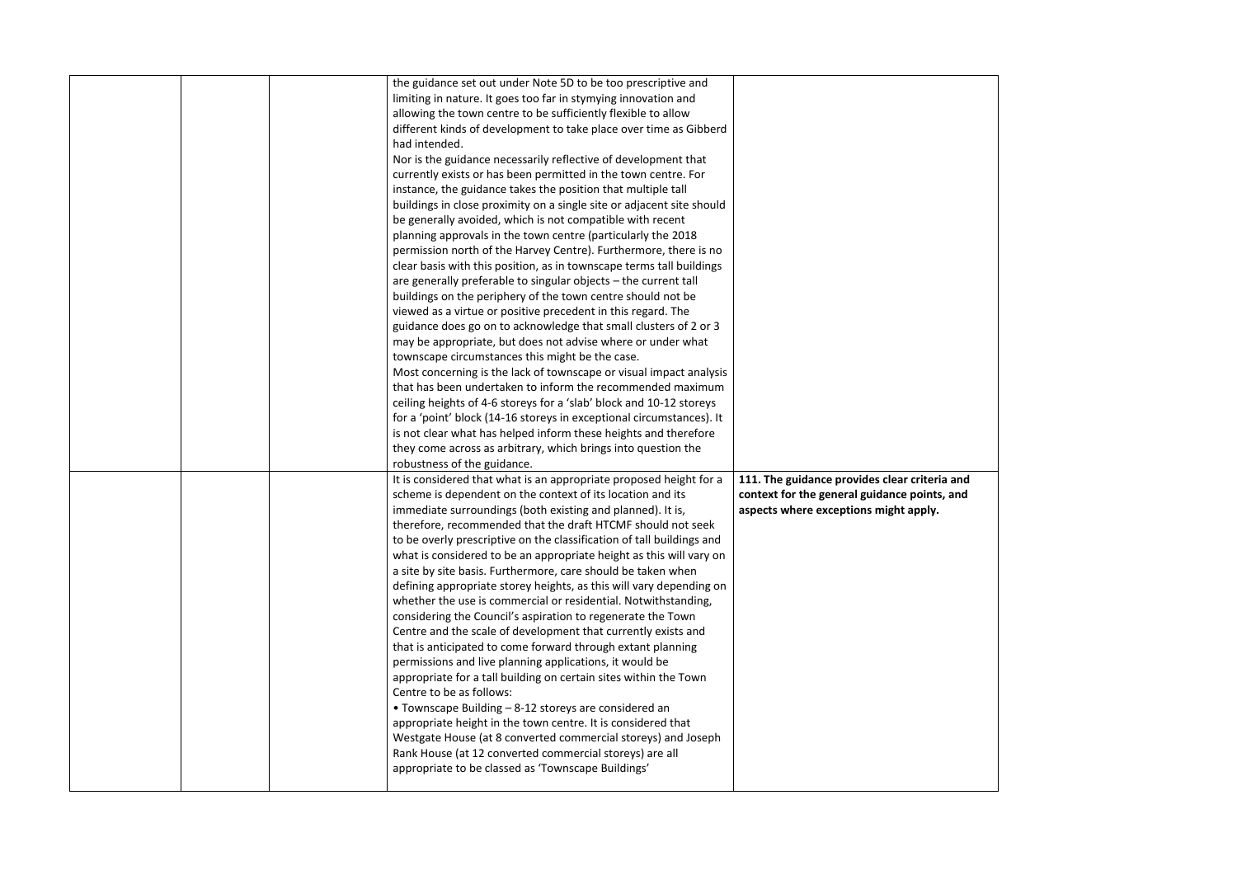|  | the guidance set out under Note 5D to be too prescriptive and         |                                         |
|--|-----------------------------------------------------------------------|-----------------------------------------|
|  | limiting in nature. It goes too far in stymying innovation and        |                                         |
|  | allowing the town centre to be sufficiently flexible to allow         |                                         |
|  | different kinds of development to take place over time as Gibberd     |                                         |
|  | had intended.                                                         |                                         |
|  | Nor is the guidance necessarily reflective of development that        |                                         |
|  | currently exists or has been permitted in the town centre. For        |                                         |
|  | instance, the guidance takes the position that multiple tall          |                                         |
|  | buildings in close proximity on a single site or adjacent site should |                                         |
|  | be generally avoided, which is not compatible with recent             |                                         |
|  | planning approvals in the town centre (particularly the 2018          |                                         |
|  | permission north of the Harvey Centre). Furthermore, there is no      |                                         |
|  | clear basis with this position, as in townscape terms tall buildings  |                                         |
|  | are generally preferable to singular objects - the current tall       |                                         |
|  | buildings on the periphery of the town centre should not be           |                                         |
|  | viewed as a virtue or positive precedent in this regard. The          |                                         |
|  | guidance does go on to acknowledge that small clusters of 2 or 3      |                                         |
|  | may be appropriate, but does not advise where or under what           |                                         |
|  | townscape circumstances this might be the case.                       |                                         |
|  | Most concerning is the lack of townscape or visual impact analysis    |                                         |
|  | that has been undertaken to inform the recommended maximum            |                                         |
|  | ceiling heights of 4-6 storeys for a 'slab' block and 10-12 storeys   |                                         |
|  | for a 'point' block (14-16 storeys in exceptional circumstances). It  |                                         |
|  | is not clear what has helped inform these heights and therefore       |                                         |
|  | they come across as arbitrary, which brings into question the         |                                         |
|  | robustness of the guidance.                                           |                                         |
|  | It is considered that what is an appropriate proposed height for a    | 111. The guidance provides clear criter |
|  | scheme is dependent on the context of its location and its            | context for the general guidance point: |
|  | immediate surroundings (both existing and planned). It is,            | aspects where exceptions might apply.   |
|  | therefore, recommended that the draft HTCMF should not seek           |                                         |
|  | to be overly prescriptive on the classification of tall buildings and |                                         |
|  | what is considered to be an appropriate height as this will vary on   |                                         |
|  | a site by site basis. Furthermore, care should be taken when          |                                         |
|  | defining appropriate storey heights, as this will vary depending on   |                                         |
|  | whether the use is commercial or residential. Notwithstanding,        |                                         |
|  | considering the Council's aspiration to regenerate the Town           |                                         |
|  | Centre and the scale of development that currently exists and         |                                         |
|  | that is anticipated to come forward through extant planning           |                                         |
|  | permissions and live planning applications, it would be               |                                         |
|  | appropriate for a tall building on certain sites within the Town      |                                         |
|  | Centre to be as follows:                                              |                                         |
|  | • Townscape Building - 8-12 storeys are considered an                 |                                         |
|  | appropriate height in the town centre. It is considered that          |                                         |
|  | Westgate House (at 8 converted commercial storeys) and Joseph         |                                         |
|  |                                                                       |                                         |
|  | Rank House (at 12 converted commercial storeys) are all               |                                         |
|  | appropriate to be classed as 'Townscape Buildings'                    |                                         |

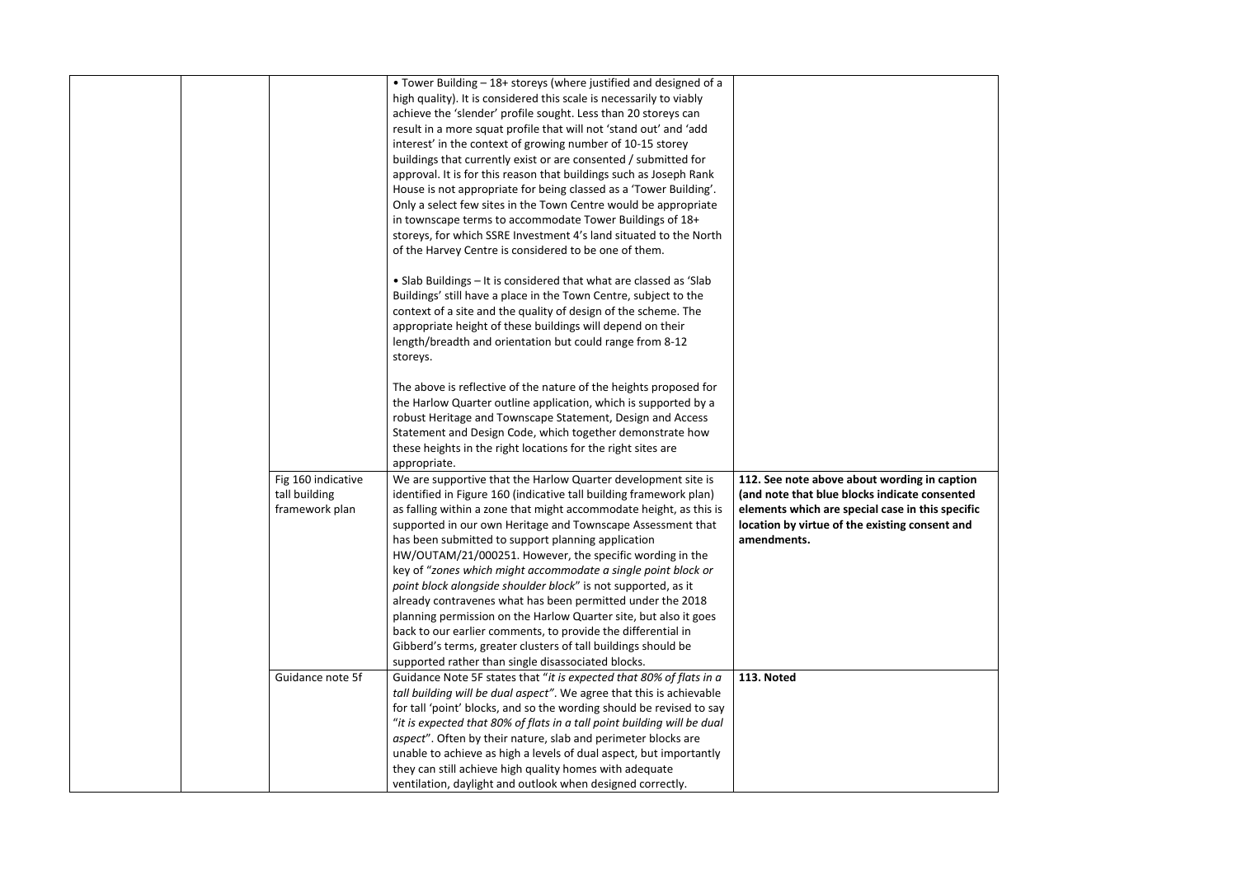|  |                    | • Tower Building - 18+ storeys (where justified and designed of a       |                                        |
|--|--------------------|-------------------------------------------------------------------------|----------------------------------------|
|  |                    | high quality). It is considered this scale is necessarily to viably     |                                        |
|  |                    | achieve the 'slender' profile sought. Less than 20 storeys can          |                                        |
|  |                    | result in a more squat profile that will not 'stand out' and 'add       |                                        |
|  |                    | interest' in the context of growing number of 10-15 storey              |                                        |
|  |                    | buildings that currently exist or are consented / submitted for         |                                        |
|  |                    | approval. It is for this reason that buildings such as Joseph Rank      |                                        |
|  |                    | House is not appropriate for being classed as a 'Tower Building'.       |                                        |
|  |                    | Only a select few sites in the Town Centre would be appropriate         |                                        |
|  |                    | in townscape terms to accommodate Tower Buildings of 18+                |                                        |
|  |                    | storeys, for which SSRE Investment 4's land situated to the North       |                                        |
|  |                    | of the Harvey Centre is considered to be one of them.                   |                                        |
|  |                    | • Slab Buildings – It is considered that what are classed as 'Slab      |                                        |
|  |                    | Buildings' still have a place in the Town Centre, subject to the        |                                        |
|  |                    | context of a site and the quality of design of the scheme. The          |                                        |
|  |                    | appropriate height of these buildings will depend on their              |                                        |
|  |                    | length/breadth and orientation but could range from 8-12                |                                        |
|  |                    | storeys.                                                                |                                        |
|  |                    | The above is reflective of the nature of the heights proposed for       |                                        |
|  |                    | the Harlow Quarter outline application, which is supported by a         |                                        |
|  |                    | robust Heritage and Townscape Statement, Design and Access              |                                        |
|  |                    | Statement and Design Code, which together demonstrate how               |                                        |
|  |                    | these heights in the right locations for the right sites are            |                                        |
|  |                    | appropriate.                                                            |                                        |
|  | Fig 160 indicative | We are supportive that the Harlow Quarter development site is           | 112. See note above about wording      |
|  | tall building      | identified in Figure 160 (indicative tall building framework plan)      | (and note that blue blocks indicate o  |
|  | framework plan     | as falling within a zone that might accommodate height, as this is      | elements which are special case in tl  |
|  |                    | supported in our own Heritage and Townscape Assessment that             | location by virtue of the existing con |
|  |                    | has been submitted to support planning application                      | amendments.                            |
|  |                    | HW/OUTAM/21/000251. However, the specific wording in the                |                                        |
|  |                    | key of "zones which might accommodate a single point block or           |                                        |
|  |                    | point block alongside shoulder block" is not supported, as it           |                                        |
|  |                    | already contravenes what has been permitted under the 2018              |                                        |
|  |                    | planning permission on the Harlow Quarter site, but also it goes        |                                        |
|  |                    | back to our earlier comments, to provide the differential in            |                                        |
|  |                    | Gibberd's terms, greater clusters of tall buildings should be           |                                        |
|  |                    | supported rather than single disassociated blocks.                      |                                        |
|  | Guidance note 5f   | Guidance Note 5F states that "it is expected that 80% of flats in a     | 113. Noted                             |
|  |                    | tall building will be dual aspect". We agree that this is achievable    |                                        |
|  |                    | for tall 'point' blocks, and so the wording should be revised to say    |                                        |
|  |                    | "it is expected that 80% of flats in a tall point building will be dual |                                        |
|  |                    | aspect". Often by their nature, slab and perimeter blocks are           |                                        |
|  |                    | unable to achieve as high a levels of dual aspect, but importantly      |                                        |
|  |                    | they can still achieve high quality homes with adequate                 |                                        |
|  |                    | ventilation, daylight and outlook when designed correctly.              |                                        |
|  |                    |                                                                         |                                        |

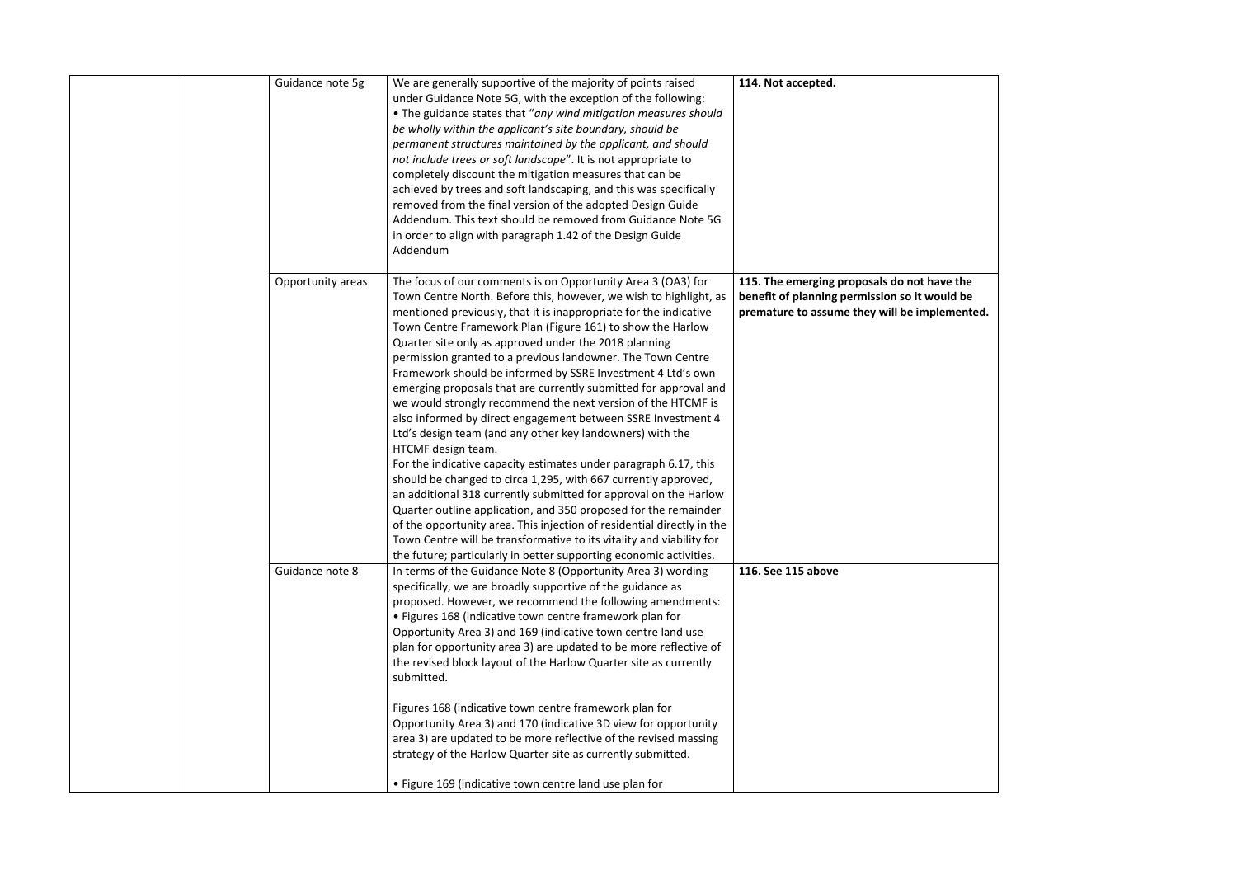| Guidance note 5g  | We are generally supportive of the majority of points raised<br>under Guidance Note 5G, with the exception of the following:<br>. The guidance states that "any wind mitigation measures should<br>be wholly within the applicant's site boundary, should be<br>permanent structures maintained by the applicant, and should<br>not include trees or soft landscape". It is not appropriate to<br>completely discount the mitigation measures that can be<br>achieved by trees and soft landscaping, and this was specifically<br>removed from the final version of the adopted Design Guide<br>Addendum. This text should be removed from Guidance Note 5G<br>in order to align with paragraph 1.42 of the Design Guide<br>Addendum                                                                                                                                                                                                                                                                                                                                                                                                                                              | 114. Not accepted.                                                                                                    |
|-------------------|-----------------------------------------------------------------------------------------------------------------------------------------------------------------------------------------------------------------------------------------------------------------------------------------------------------------------------------------------------------------------------------------------------------------------------------------------------------------------------------------------------------------------------------------------------------------------------------------------------------------------------------------------------------------------------------------------------------------------------------------------------------------------------------------------------------------------------------------------------------------------------------------------------------------------------------------------------------------------------------------------------------------------------------------------------------------------------------------------------------------------------------------------------------------------------------|-----------------------------------------------------------------------------------------------------------------------|
| Opportunity areas | The focus of our comments is on Opportunity Area 3 (OA3) for<br>Town Centre North. Before this, however, we wish to highlight, as<br>mentioned previously, that it is inappropriate for the indicative<br>Town Centre Framework Plan (Figure 161) to show the Harlow<br>Quarter site only as approved under the 2018 planning<br>permission granted to a previous landowner. The Town Centre<br>Framework should be informed by SSRE Investment 4 Ltd's own<br>emerging proposals that are currently submitted for approval and<br>we would strongly recommend the next version of the HTCMF is<br>also informed by direct engagement between SSRE Investment 4<br>Ltd's design team (and any other key landowners) with the<br>HTCMF design team.<br>For the indicative capacity estimates under paragraph 6.17, this<br>should be changed to circa 1,295, with 667 currently approved,<br>an additional 318 currently submitted for approval on the Harlow<br>Quarter outline application, and 350 proposed for the remainder<br>of the opportunity area. This injection of residential directly in the<br>Town Centre will be transformative to its vitality and viability for | 115. The emerging proposals do not I<br>benefit of planning permission so it v<br>premature to assume they will be im |
| Guidance note 8   | the future; particularly in better supporting economic activities.<br>In terms of the Guidance Note 8 (Opportunity Area 3) wording<br>specifically, we are broadly supportive of the guidance as<br>proposed. However, we recommend the following amendments:<br>• Figures 168 (indicative town centre framework plan for<br>Opportunity Area 3) and 169 (indicative town centre land use<br>plan for opportunity area 3) are updated to be more reflective of<br>the revised block layout of the Harlow Quarter site as currently<br>submitted.<br>Figures 168 (indicative town centre framework plan for<br>Opportunity Area 3) and 170 (indicative 3D view for opportunity<br>area 3) are updated to be more reflective of the revised massing<br>strategy of the Harlow Quarter site as currently submitted.<br>. Figure 169 (indicative town centre land use plan for                                                                                                                                                                                                                                                                                                        | 116. See 115 above                                                                                                    |